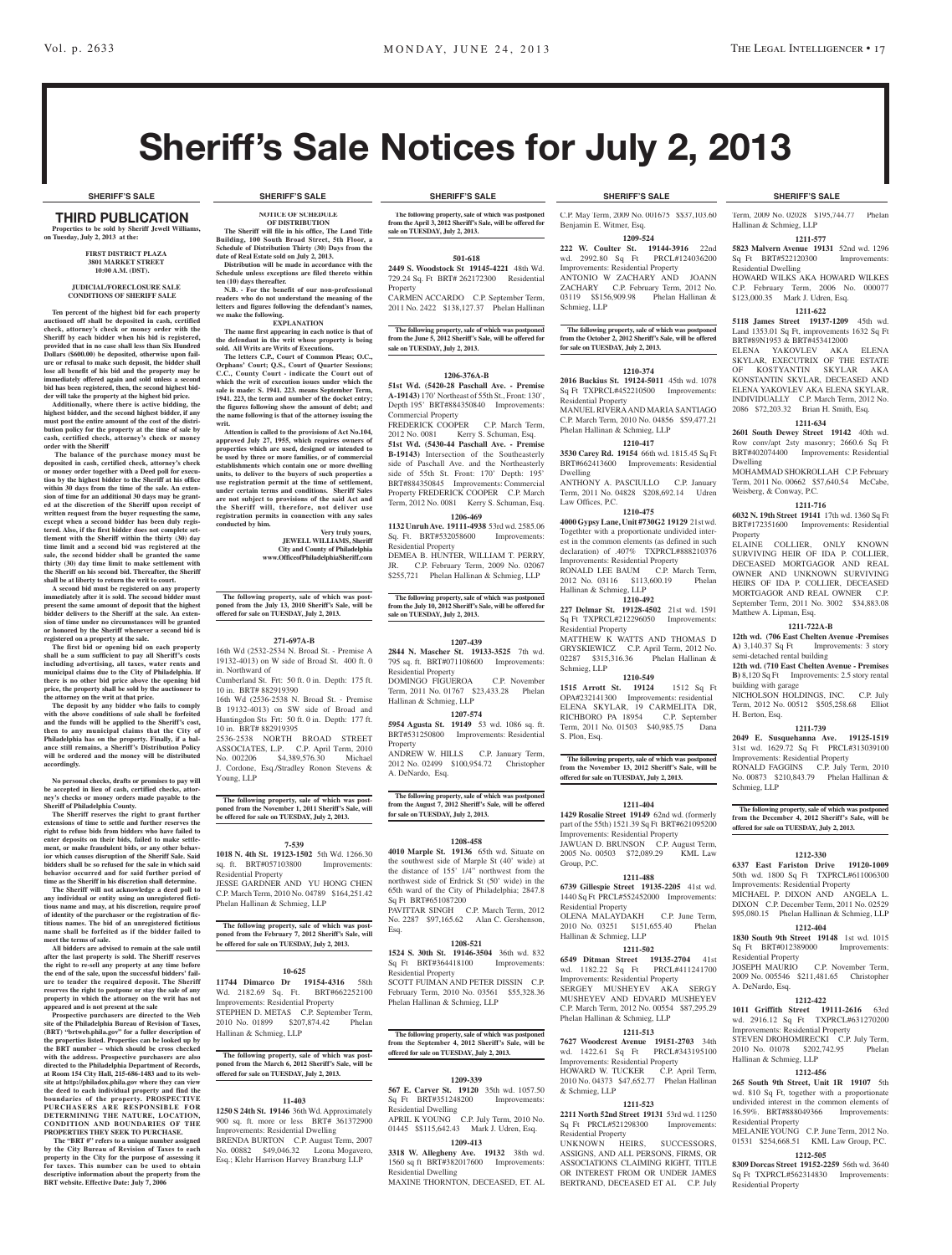# Sheriff's Sale Notices for July 2, 2013

#### third PUBLICATION **Properties to be sold by Sheriff Jewell Williams, on Tuesday, July 2, 2013 at the:**

#### **First District Plaza 3801 Market Street 10:00 A.M. (DST).**

#### **JUDICIAL/FORECLOSURE SALE CONDITIONS OF SHERIFF SALE**

**Ten percent of the highest bid for each property auctioned off shall be deposited in cash, certified check, attorney's check or money order with the Sheriff by each bidder when his bid is registered, provided that in no case shall less than Six Hundred Dollars (\$600.00) be deposited, otherwise upon fail-ure or refusal to make such deposit, the bidder shall lose all benefit of his bid and the property may be immediately offered again and sold unless a second bid has been registered, then, the second highest bid-**

**der will take the property at the highest bid price. Additionally, where there is active bidding, the highest bidder, and the second highest bidder, if any must post the entire amount of the cost of the distri-bution policy for the property at the time of sale by cash, certified check, attorney's check or money order with the Sheriff**

 **The balance of the purchase money must be deposited in cash, certified check, attorney's check or money order together with a Deed poll for execution by the highest bidder to the Sheriff at his office within 30 days from the time of the sale. An extension of time for an additional 30 days may be granted at the discretion of the Sheriff upon receipt of written request from the buyer requesting the same,**  excent when a second bidder has been duly regis**tered. Also, if the first bidder does not complete settlement with the Sheriff within the thirty (30) day time limit and a second bid was registered at the sale, the second bidder shall be granted the same thirty (30) day time limit to make settlement with the Sheriff on his second bid. Thereafter, the Sheriff shall be at liberty to return the writ to court.**

**A second bid must be registered on any property immediately after it is sold. The second bidder must present the same amount of deposit that the highest bidder delivers to the Sheriff at the sale. An extension of time under no circumstances will be granted or honored by the Sheriff whenever a second bid is registered on a property at the sale.** 

**The first bid or opening bid on each property shall be a sum sufficient to pay all Sheriff's costs including advertising, all taxes, water rents and municipal claims due to the City of Philadelphia. If there is no other bid price above the opening bid price, the property shall be sold by the auctioneer to** 

**the attorney on the writ at that price. The deposit by any bidder who fails to comply with the above conditions of sale shall be forfeited and the funds will be applied to the Sheriff's cost, then to any municipal claims that the City of Philadelphia has on the property. Finally, if a bal-ance still remains, a Sheriff's Distribution Policy will be ordered and the money will be distributed accordingly.**

**No personal checks, drafts or promises to pay will be accepted in lieu of cash, certified checks, attorney's checks or money orders made payable to the Sheriff of Philadelphia County.**

**The Sheriff reserves the right to grant further extensions of time to settle and further reserves the right to refuse bids from bidders who have failed to enter deposits on their bids, failed to make settle-ment, or make fraudulent bids, or any other behavior which causes disruption of the Sheriff Sale. Said bidders shall be so refused for the sale in which said behavior occurred and for said further period of time as the Sheriff in his discretion shall determine. The Sheriff will not acknowledge a deed poll to** 

**any individual or entity using an unregistered ficti**us name and may, at his discretion, require pro **of identity of the purchaser or the registration of fictitious names. The bid of an unregistered fictitious name shall be forfeited as if the bidder failed to meet the terms of sale.**

**All bidders are advised to remain at the sale until after the last property is sold. The Sheriff reserves the right to re-sell any property at any time before the end of the sale, upon the successful bidders' failure to tender the required deposit. The Sheriff reserves the right to postpone or stay the sale of any property in which the attorney on the writ has not** 

**appeared and is not present at the sale Prospective purchasers are directed to the Web site of the Philadelphia Bureau of Revision of Taxes, (BRT) "brtweb.phila.gov" for a fuller description of the properties listed. Properties can be looked up by the BRT number – which should be cross checked with the address. Prospective purchasers are also directed to the Philadelphia Department of Records, at Room 154 City Hall, 215-686-1483 and to its website at http://philadox.phila.gov where they can view the deed to each individual property and find the boundaries of the property. PROSPECTIVE PURCHASERS ARE RESPONSIBLE FOR DETERMINING THE NATURE, LOCATION, CONDITION AND BOUNDARIES OF THE PROPERTIES THEY SEEK TO PURCHASE.**

**The "BRT #" refers to a unique number assigned by the City Bureau of Revision of Taxes to each property in the City for the purpose of assessing it for taxes. This number can be used to obtain descriptive information about the property from the BRT website. Effective Date: July 7, 2006**

**NOTICE OF SCHEDULE OF DISTRIBUTION The Sheriff will file in his office, The Land Title Building, 100 South Broad Street, 5th Floor, a Schedule of Distribution Thirty (30) Days from the** 

**Distribution will be made in accordance with the Schedule unless exceptions are filed thereto within ten (10) days thereafter. N.B. - For the benefit of our non-professional readers who do not understand the meaning of the letters and figures following the defendant's names,** 

**EXPLANATION The name first appearing in each notice is that of the defendant in the writ whose property is being sold. All Writs are Writs of Executions. The letters C.P., Court of Common Pleas; O.C.,**  Orphans' Court; Q.S., Court of Quarter Session **C.C., County Court - indicate the Court out of which the writ of execution issues under which the**  sale is made: S. 1941. 223. means September Term, **1941. 223, the term and number of the docket entry; the figures following show the amount of debt; and the name following is that of the attorney issuing the** 

**Attention is called to the provisions of Act No.104, approved July 27, 1955, which requires owners of properties which are used, designed or intended to be used by three or more families, or of commercial establishments which contain one or more dwelling units, to deliver to the buyers of such properties a use registration permit at the time of settlement, under certain terms and conditions. Sheriff Sales are not subject to provisions of the said Act and the Sheriff will, therefore, not deliver use registration permits in connection with any sales** 

**The following property, sale of which was post-poned from the July 13, 2010 Sheriff's Sale, will be offered for sale on TUESDAY, July 2, 2013.**

**271-697A-B** 16th Wd (2532-2534 N. Broad St. - Premise A 19132-4013) on W side of Broad St. 400 ft. 0

Cumberland St. Frt: 50 ft. 0 in. Depth: 175 ft.

16th Wd (2536-2538 N. Broad St. - Premise B 19132-4013) on SW side of Broad and Huntingdon Sts Frt: 50 ft. 0 in. Depth: 177 ft.

2536-2538 NORTH BROAD STREET ASSOCIATES, L.P. C.P. April Term, 2010 No. 002206 \$4,389,576.30 Michael J. Cordone, Esq./Stradley Ronon Stevens &

**The following property, sale of which was post-poned from the November 1, 2011 Sheriff's Sale, will be offered for sale on TUESDAY, July 2, 2013.**

**7-539 1018 N. 4th St. 19123-1502** 5th Wd. 1266.30 sq. ft. BRT#057103800 Improvements:

JESSE GARDNER AND YU HONG CHEN C.P. March Term, 2010 No. 04789 \$164,251.42

**The following property, sale of which was post-poned from the February 7, 2012 Sheriff's Sale, will be offered for sale on TUESDAY, July 2, 2013.**

**10-625 11744 Dimarco Dr 19154-4316** 58th Wd. 2182.69 Sq. Ft. BRT#662252100 Improvements: Residential Property STEPHEN D. METAS C.P. September Term 2010 No. 01899 \$207,874.42 Phelan

**The following property, sale of which was postponed from the March 6, 2012 Sheriff's Sale, will be offered for sale on TUESDAY, July 2, 2013.**

**11-403 1250 S 24th St. 19146** 36th Wd. Approximately 900 sq. ft. more or less BRT# 361372900 Improvements: Residential Dwelling BRENDA BURTON C.P. August Term, 2007 No. 00882 \$49,046.32 Leona Mogavero, Esq.; Klehr Harrison Harvey Branzburg LLP

Phelan Hallinan & Schmieg, LLP

Hallinan & Schmieg, LLP

**Very truly yours, JEWELL WILLIAMS, Sheriff City and County of Philadelphia www.OfficeofPhiladelphiaSheriff.com**

**date of Real Estate sold on July 2, 2013.**

**we make the following.**

**writ.**

**conducted by him.**

in. Northward of

Young, LLP

Residential Property

10 in. BRT# 882919390

10 in. BRT# 882919395

**SHERIFF'S SALE SHERIFF'S SALE SHERIFF'S SALE SHERIFF'S SALE SHERIFF'S SALE**

**The following property, sale of which was postponed from the April 3, 2012 Sheriff's Sale, will be offered for sale on TUESDAY, July 2, 2013.**

#### **501-618 2449 S. Woodstock St 19145-4221** 48th Wd.

729.24 Sq. Ft BRT# 262172300 Residential Property CARMEN ACCARDO C.P. September Term,

2011 No. 2422 \$138,127.37 Phelan Hallinan

**The following property, sale of which was postponed from the June 5, 2012 Sheriff's Sale, will be offered for sale on TUESDAY, July 2, 2013.**

#### **1206-376A-B**

**51st Wd. (5420-28 Paschall Ave. - Premise A-19143)** 170' Northeast of 55th St., Front: 130', Depth 195' BRT#884350840 Improvements: Commercial Property

FREDERICK COOPER C.P. March Term, 2012 No. 0081 Kerry S. Schuman, Esq. **51st Wd. (5430-44 Paschall Ave. - Premise B-19143)** Intersection of the Southeasterly side of Paschall Ave. and the Northeasterly side of 55th St. Front: 170' Depth: 195' BRT#884350845 Improvements: Commercial Property FREDERICK COOPER C.P. March Term, 2012 No. 0081 Kerry S. Schuman, Esq.

# **1206-469**

**1132 Unruh Ave. 19111-4938** 53rd wd. 2585.06 Sq. Ft. BRT#532058600 Improvements: Residential Property

DEMEA B. HUNTER, WILLIAM T. PERRY, JR. C.P. February Term, 2009 No. 02067 \$255,721 Phelan Hallinan & Schmieg, LLP

**The following property, sale of which was postponed from the July 10, 2012 Sheriff's Sale, will be offered for sale on TUESDAY, July 2, 2013.**

## **1207-439**

**2844 N. Mascher St. 19133-3525** 7th wd. 795 sq. ft. BRT#071108600 Improvements: Residential Property DOMINGO FIGUEROA C.P. November Term, 2011 No. 01767 \$23,433.28 Phelan Hallinan & Schmieg, LLP

# **1207-574**

**5954 Agusta St. 19149** 53 wd. 1086 sq. ft. BRT#531250800 Improvements: Residential Property

ANDREW W. HILLS C.P. January Term, 2012 No. 02499 \$100,954.72 Christopher A. DeNardo, Esq.

**The following property, sale of which was postponed from the August 7, 2012 Sheriff's Sale, will be offered for sale on TUESDAY, July 2, 2013.**

#### **1208-458**

**4010 Marple St. 19136** 65th wd. Situate on the southwest side of Marple St (40' wide) at the distance of 155' 1/4" northwest from the northwest side of Erdrick St (50' wide) in the 65th ward of the City of Philadelphia; 2847.8 Sq Ft BRT#651087200 PAVITTAR SINGH C.P. March Term, 2012

No. 2287 \$97,165.62 Alan C. Gershenson, Esq. **1208-521**

**1524 S. 30th St. 19146-3504** 36th wd. 832 Sq Ft BRT#364418100 Improvements: Residential Property SCOTT FUIMAN AND PETER DISSIN C.P.

February Term, 2010 No. 03561 \$55,328.36 Phelan Hallinan & Schmieg, LLP

#### **The following property, sale of which was postponed from the September 4, 2012 Sheriff's Sale, will be offered for sale on TUESDAY, July 2, 2013.**

#### **1209-339**

**567 E. Carver St. 19120** 35th wd. 1057.50 Sq Ft BRT#351248200 Improvements: Residential Dwelling APRIL K YOUNG C.P. July Term, 2010 No. 01445 \$\$115,642.43 Mark J. Udren, Esq.

## **1209-413**

**3318 W. Allegheny Ave. 19132** 38th wd. 1560 sq ft BRT#382017600 Improvements: Residential Dwelling

MAXINE THORNTON, DECEASED, ET. AL

Benjamin E. Witmer, Esq.

**1209-524**

**222 W. Coulter St. 19144-3916** 22nd wd. 2992.80 Sq Ft Improvements: Residential Property ANTONIO W ZACHARY AND JOANN ZACHARY C.P. February Term, 2012 No. 03119 \$\$156,909.98 Phelan Hallinan & Schmieg, LLP

**The following property, sale of which was postponed from the October 2, 2012 Sheriff's Sale, will be offered for sale on TUESDAY, July 2, 2013.**

#### **1210-374**

**2016 Buckius St. 19124-5011** 45th wd. 1078 Sq Ft TXPRCL#452210500 Improvements: Residential Property MANUEL RIVERAAND MARIA SANTIAGO C.P. March Term, 2010 No. 04856 \$59,477.21 Phelan Hallinan & Schmieg, LLP

**1210-417 3530 Carey Rd. 19154** 66th wd. 1815.45 Sq Ft BRT#662413600 Improvements: Residential Dwelling

ANTHONY A. PASCIULLO C.P. January Term, 2011 No. 04828 \$208,692.14 Udren Law Offices, P.C. **1210-475**

**4000 Gypsy Lane, Unit #730G2 19129** 21st wd. Togethter with a proportionate undivided interest in the common elements (as defined in such declaration) of .407% TXPRCL#888210376 Improvements: Residential Property RONALD LEE BAUM C.P. March Term, 2012 No. 03116 \$113,600.19 Phelan Hallinan & Schmieg, LLP

**1210-492 227 Delmar St. 19128-4502** 21st wd. 1591 Sq Ft TXPRCL#212296050 Improvements: Residential Property MATTHEW K WATTS AND THOMAS D GRYSKIEWICZ C.P. April Term, 2012 No. 02287 \$315,316.36 Phelan Hallinan & Schmieg, LLP

## **1210-549**

**1515 Arrott St. 19124** 1512 Sq Ft OPA#232141300 Improvements: residential ELENA SKYLAR, 19 CARMELITA DR, RICHBORO PA 18954 C.P. September Term, 2011 No. 01503 \$40,985.75 Dana S. Plon, Esq.

**The following property, sale of which was postponed from the November 13, 2012 Sheriff's Sale, will be offered for sale on TUESDAY, July 2, 2013.**

#### **1211-404**

**1429 Rosalie Street 19149** 62nd wd. (formerly part of the 55th) 1521.39 Sq Ft BRT#621095200 Improvements: Residential Property JAWUAN D. BRUNSON C.P. August Term, 2005 No. 00503 \$72,089.29 KML Law Group, P.C.

#### **1211-488**

**6739 Gillespie Street 19135-2205** 41st wd. 1440 Sq Ft PRCL#552452000 Improvements: Residential Property OLENA MALAYDAKH C.P. June Term, 2010 No. 03251 \$151,655.40 Phelan

Hallinan & Schmieg, LLP

# **1211-502**

**6549 Ditman Street 19135-2704** 41st wd. 1182.22 Sq Ft Improvements: Residential Property SERGEY MUSHEYEV AKA SERGY MUSHEYEV AND EDVARD MUSHEYEV C.P. March Term, 2012 No. 00554 \$87,295.29 Phelan Hallinan & Schmieg, LLP

#### **1211-513 7627 Woodcrest Avenue 19151-2703** 34th

wd. 1422.61 Sq Ft PRCL#343195100 Improvements: Residential Property HOWARD W. TUCKER C.P. April Term, 2010 No. 04373 \$47,652.77 Phelan Hallinan & Schmieg, LLP

#### **1211-523**

**2211 North 52nd Street 19131** 53rd wd. 11250 Sq Ft PRCL#521298300 Improvements: Residential Property

UNKNOWN HEIRS, SUCCESSORS, ASSIGNS, AND ALL PERSONS, FIRMS, OR ASSOCIATIONS CLAIMING RIGHT, TITLE OR INTEREST FROM OR UNDER JAMES BERTRAND, DECEASED ET AL C.P. July

C.P. May Term, 2009 No. 001675 \$\$37,103.60 Term, 2009 No. 02028 \$195,744.77 Phelan Hallinan & Schmieg, LLP

**1211-577 5823 Malvern Avenue 19131** 52nd wd. 1296 Sq Ft BRT#522120300 Improvements: Residential Dwelling

HOWARD WILKS AKA HOWARD WILKES C.P. February Term, 2006 No. 000077 \$123,000.35 Mark J. Udren, Esq.

## **1211-622**

**5118 James Street 19137-1209** 45th wd. Land 1353.01 Sq Ft, improvements 1632 Sq Ft BRT#89N1953 & BRT#453412000

ELENA YAKOVLEV AKA ELE SKYLAR, EXECUTRIX OF THE ESTATE OF KOSTYANTIN SKYLAR AKA KONSTANTIN SKYLAR, DECEASED AND ELENA YAKOVLEV AKA ELENA SKYLAR, INDIVIDUALLY C.P. March Term, 2012 No. 2086 \$72,203.32 Brian H. Smith, Esq.

#### **1211-634**

**2601 South Dewey Street 19142** 40th wd. Row conv/apt 2sty masonry; 2660.6 Sq Ft BRT#402074400 Improvements: Residential Dwelling

MOHAMMAD SHOKROLLAH C.P. February Term, 2011 No. 00662 \$57,640.54 McCabe, Weisberg, & Conway, P.C.

# **1211-716**

**6032 N. 19th Street 19141** 17th wd. 1360 Sq Ft BRT#172351600 Improvements: Residential Property

ELAINE COLLIER, ONLY KNOWN SURVIVING HEIR OF IDA P. COLLIER, DECEASED MORTGAGOR AND REAL OWNER AND UNKNOWN SURVIVING HEIRS OF IDA P. COLLIER, DECEASE MORTGAGOR AND REAL OWNER C.P. September Term, 2011 No. 3002 \$34,883.08 Matthew A. Lipman, Esq.

## **1211-722A-B**

**12th wd. (706 East Chelten Avenue -Premises A)** 3,140.37 Sq Ft Improvements: 3 story semi-detached rental building **12th wd. (710 East Chelten Avenue - Premises** 

#### **B)** 8,120 Sq Ft Improvements: 2.5 story rental building with garage NICHOLSON HOLDINGS, INC. C.P. July

Term, 2012 No. 00512 \$505,258.68 Elliot H. Berton, Esq.

## **1211-739**

**2049 E. Susquehanna Ave. 19125-1519**  31st wd. 1629.72 Sq Ft PRCL#313039100 Improvements: Residential Property RONALD FAGGINS C.P. July Term, 2010 No. 00873 \$210,843.79 Phelan Hallinan & Schmieg, LLP

**The following property, sale of which was postponed from the December 4, 2012 Sheriff's Sale, will be offered for sale on TUESDAY, July 2, 2013.**

#### **1212-330**

**6337 East Fariston Drive 19120-1009**  50th wd. 1800 Sq Ft TXPRCL#611006300 Improvements: Residential Property MICHAEL P. DIXON AND ANGELA L.

DIXON C.P. December Term, 2011 No. 02529 \$95,080.15 Phelan Hallinan & Schmieg, LLP **1212-404 1830 South 9th Street 19148** 1st wd. 1015

JOSEPH MAURIO C.P. November Term, 2009 No. 005546 \$211,481.65 Christopher

**1212-422 1011 Griffith Street 19111-2616** 63rd wd. 2916.12 Sq Ft TXPRCL#631270200 Improvements: Residential Property STEVEN DROHOMIRECKI C.P. July Term,

**1212-456 265 South 9th Street, Unit 1R 19107** 5th wd. 810 Sq Ft, together with a proportionate undivided interest in the common elements of 16.59%. BRT#888049366 Improvements:

MELANIEYOUNG C.P. June Term, 2012 No. 01531 \$254,668.51 KML Law Group, P.C. **1212-505 8309 Dorcas Street 19152-2259** 56th wd. 3640 Sq Ft TXPRCL#562314830 Improvements:

Sq Ft BRT#012389000 Residential Property

2010 No. 01078 \$202,742.95 Hallinan & Schmieg, LLP

A. DeNardo, Esq.

Residential Property

Residential Property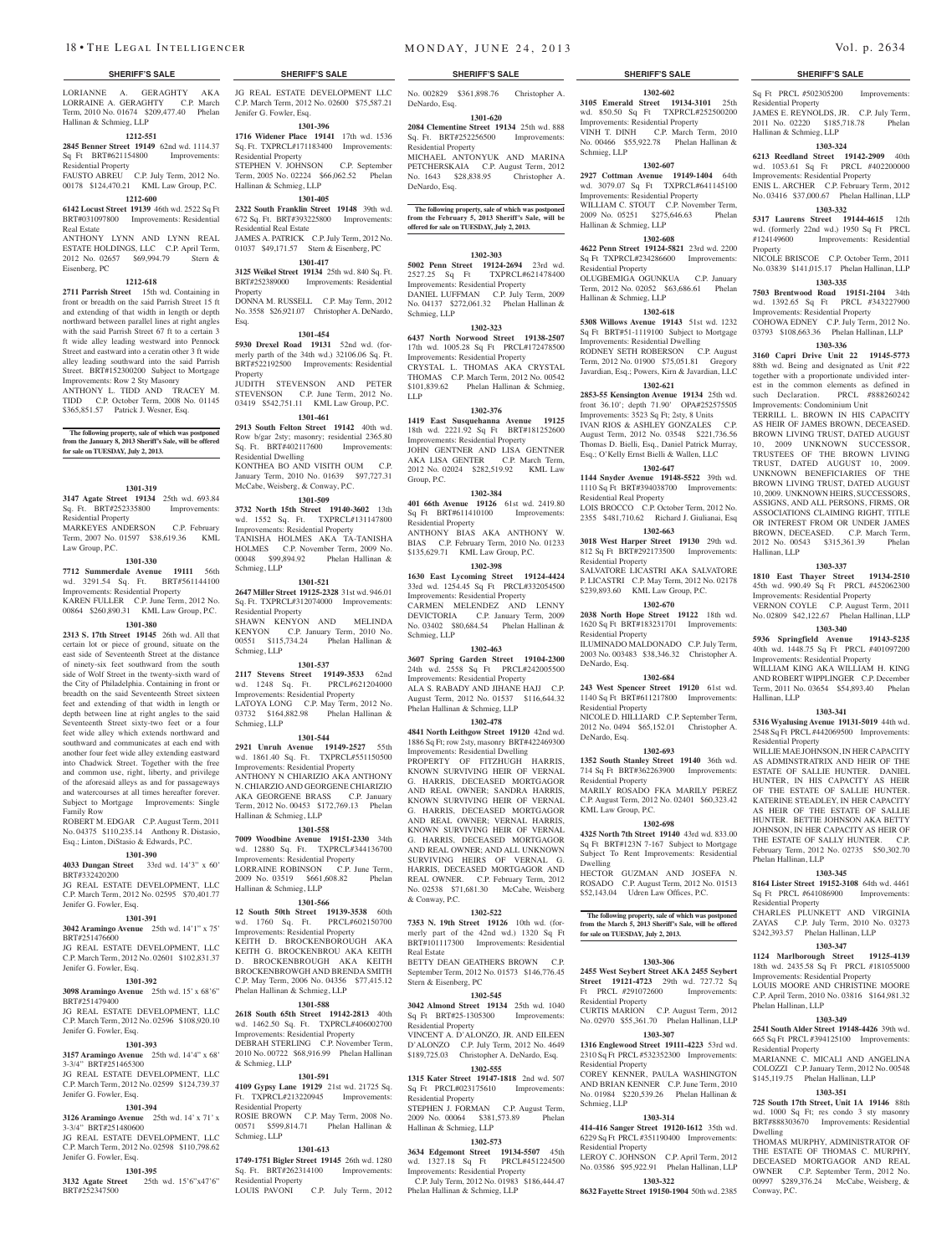LORIANNE A. GERAGHTY AKA LORRAINE A. GERAGHTY C.P. March Term, 2010 No. 01674 \$209,477.40 Phelan Hallinan & Schmieg, LLP

#### **1212-551**

**2845 Benner Street 19149** 62nd wd. 1114.37 Sq Ft BRT#621154800 Improvements: Residential Property

FAUSTO ABREU C.P. July Term, 2012 No. 00178 \$124,470.21 KML Law Group, P.C.

## **1212-600**

**6142 Locust Street 19139** 46th wd. 2522 Sq Ft BRT#031097800 Improvements: Residential Real Estate

ANTHONY LYNN AND LYNN REAL ESTATE HOLDINGS, LLC C.P. April Term, 2012 No. 02657 \$69,994.79 Stern & Eisenberg, PC

#### **1212-618**

**2711 Parrish Street** 15th wd. Containing in front or breadth on the said Parrish Street 15 ft and extending of that width in length or depth northward between parallel lines at right angles with the said Parrish Street 67 ft to a certain 3 ft wide alley leading westward into Pennock Street and eastward into a ceratin other 3 ft wide alley leading southward into the said Parrish Street. BRT#152300200 Subject to Mortgage Improvements: Row 2 Sty Masonry ANTHONY L. TIDD AND TRACEY M. TIDD C.P. October Term, 2008 No. 01145 \$365,851.57 Patrick J. Wesner, Esq.

## **The following property, sale of which was postponed from the January 8, 2013 Sheriff's Sale, will be offered for sale on TUESDAY, July 2, 2013.**

#### **1301-319**

**3147 Agate Street 19134** 25th wd. 693.84 Sq. Ft. BRT#252335800 Improvements: Residential Property MARKEYES ANDERSON C.P. February Term, 2007 No. 01597 \$38,619.36 KML Law Group, P.C.

#### **1301-330**

**7712 Summerdale Avenue 19111** 56th wd. 3291.54 Sq. Ft. BRT#561144100 Improvements: Residential Property KAREN FULLER C.P. June Term, 2012 No. 00864 \$260,890.31 KML Law Group, P.C.

#### **1301-380**

**2313 S. 17th Street 19145** 26th wd. All that certain lot or piece of ground, situate on the east side of Seventeenth Street at the distance of ninety-six feet southward from the south side of Wolf Street in the twenty-sixth ward of the City of Philadelphia. Containing in front or breadth on the said Seventeenth Street sixteen feet and extending of that width in length or depth between line at right angles to the said Seventeenth Street sixty-two feet or a four feet wide alley which extends northward and southward and communicates at each end with another four feet wide alley extending eastward into Chadwick Street. Together with the free and common use, right, liberty, and privilege of the aforesaid alleys as and for passageways and watercourses at all times hereafter forever. Subject to Mortgage Improvements: Single Family Row ROBERT M. EDGAR C.P. August Term, 2011

No. 04375 \$110,235.14 Anthony R. Distasio, Esq.; Linton, DiStasio & Edwards, P.C.

#### **1301-390**

**4033 Dungan Street** 33rd wd. 14'3" x 60' BRT#332420200

JG REAL ESTATE DEVELOPMENT, LLC C.P. March Term, 2012 No. 02595 \$70,401.77 Jenifer G. Fowler, Esq.

#### **1301-391**

**3042 Aramingo Avenue** 25th wd. 14'1" x 75' BRT#251476600 JG REAL ESTATE DEVELOPMENT, LLC C.P. March Term, 2012 No. 02601 \$102,831.37 Jenifer G. Fowler, Esq.

#### **1301-392**

#### **3098 Aramingo Avenue** 25th wd. 15' x 68'6"

BRT#251479400 JG REAL ESTATE DEVELOPMENT, LLC C.P. March Term, 2012 No. 02596 \$108,920.10 Jenifer G. Fowler, Esq.

# **1301-393**

**3157 Aramingo Avenue** 25th wd. 14'4" x 68' 3-3/4" BRT#251465300 JG REAL ESTATE DEVELOPMENT, LLC C.P. March Term, 2012 No. 02599 \$124,739.37 Jenifer G. Fowler, Esq.

#### **1301-394**

**3126 Aramingo Avenue** 25th wd. 14' x 71' x 3-3/4" BRT#251480600 JG REAL ESTATE DEVELOPMENT, LLC C.P. March Term, 2012 No. 02598 \$110,798.62 Jenifer G. Fowler, Esq.

## **1301-395**

**3132 Agate Street** 25th wd. 15'6"x47'6" BRT#252347500

JG REAL ESTATE DEVELOPMENT LLC C.P. March Term, 2012 No. 02600 \$75,587.21 Jenifer G. Fowler, Esq.

#### **1301-396**

**1716 Widener Place 19141** 17th wd. 1536 Sq. Ft. TXPRCL#171183400 Improvements: Residential Property STEPHEN V. JOHNSON C.P. September Term, 2005 No. 02224 \$66,062.52 Phelan Hallinan & Schmieg, LLP

#### **1301-405**

**2322 South Franklin Street 19148** 39th wd. 672 Sq. Ft. BRT#393225800 Improvements: Residential Real Estate JAMES A. PATRICK C.P. July Term, 2012 No. 01037 \$49,171.57 Stern & Eisenberg, PC

#### **1301-417**

**3125 Weikel Street 19134** 25th wd. 840 Sq. Ft. BRT#252389000 Improvements: Residential Property DONNA M. RUSSELL C.P. May Term, 2012 No. 3558 \$26,921.07 Christopher A. DeNardo, Esq.

#### **1301-454**

**5930 Drexel Road 19131** 52nd wd. (formerly parth of the 34th wd.) 32106.06 Sq. Ft. BRT#522192500 Improvements: Residential Property JUDITH STEVENSON AND PETER

STEVENSON C.P. June Term, 2012 No. 03419 \$542,751.11 KML Law Group, P.C. **1301-461**

**2913 South Felton Street 19142** 40th wd. Row b/gar 2sty; masonry; residential 2365.80 Sq. Ft. BRT#402117600 Improvements: Residential Dwelling

KONTHEA BO AND VISITH OUM C.P. January Term, 2010 No. 01639 \$97,727.31 McCabe, Weisberg, & Conway, P.C.

#### **1301-509**

**3732 North 15th Street 19140-3602** 13th wd. 1552 Sq. Ft. TXPRCL#131147800 Improvements: Residential Property TANISHA HOLMES AKA TA-TANISHA HOLMES C.P. November Term, 2009 No.<br>00048 \$99,894.92 Phelan Hallinan & 00048 \$99,894.92 Schmieg, LLP

#### **1301-521**

**2647 Miller Street 19125-2328** 31st wd. 946.01 Sq. Ft. TXPRCL#312074000 Improvements: Residential Property SHAWN KENYON AND MELINDA KENYON C.P. January Term, 2010 No. 00551 \$115,734.24 Phelan Hallinan & Schmieg, LLP

#### **1301-537**

**2117 Stevens Street 19149-3533** 62nd wd. 1248 Sq. Ft. PRCL#621204000 Improvements: Residential Property LATOYA LONG C.P. May Term, 2012 No. 03732 \$164,882.98 Phelan Hallinan & Schmieg, LLP

#### **1301-544**

**2921 Unruh Avenue 19149-2527** 55th wd. 1861.40 Sq. Ft. TXPRCL#551150500 Improvements: Residential Property ANTHONY N CHIARIZIO AKA ANTHONY N. CHIARZIO AND GEORGENE CHIARIZIO AKA GEORGENE BRASS C.P. January Term, 2012 No. 00453 \$172,769.13 Phelan

# Hallinan & Schmieg, LLP

**1301-558 7009 Woodbine Avenue 19151-2330** 34th wd. 12880 Sq. Ft. TXPRCL#344136700 Improvements: Residential Property LORRAINE ROBINSON C.P. June Term, 2009 No. 03519 \$661,608.82 Phelan Hallinan & Schmieg, LLP

#### **1301-566**

**12 South 50th Street 19139-3538** 60th wd. 1760 Sq. Ft. PRCL#602150700 Improvements: Residential Property

KEITH D. BROCKENBOROUGH AKA KEITH G. BROCKENBROU AKA KEITH D. BROCKENBROUGH AKA KEITH BROCKENBROWGH AND BRENDA SMITH C.P. May Term, 2006 No. 04356 \$77,415.12 Phelan Hallinan & Schmieg, LLP

#### **1301-588**

**2618 South 65th Street 19142-2813** 40th wd. 1462.50 Sq. Ft. TXPRCL#406002700 Improvements: Residential Property DEBRAH STERLING C.P. Novem

2010 No. 00722 \$68,916.99 Phelan Hallinan & Schmieg, LLP

# **1301-591**

**4109 Gypsy Lane 19129** 21st wd. 21725 Sq. Ft. TXPRCL#213220945 Improvements: Residential Property ROSIE BROWN C.P. May Term, 2008 No. 00571 \$599,814.71 Phelan Hallinan & Schmieg, LLP

#### **1301-613**

**1749-1751 Bigler Street 19145** 26th wd. 1280 Sq. Ft. BRT#262314100 Improvements: Residential Property LOUIS PAVONI C.P. July Term, 2012

No. 002829 \$361,898.76 Christopher A. DeNardo, Esq.

#### **1301-620 2084 Clementine Street 19134** 25th wd. 888 Sq. Ft. BRT#252256500 Improvements:

Residential Property MICHAEL ANTONYUK AND MARINA PETCHERSKAIA C.P. August Term, 2012 No. 1643 \$28,838.95 Christopher A. DeNardo, Esq.

The following property, sale of which was postponed **from the February 5, 2013 Sheriff's Sale, will be offered for sale on TUESDAY, July 2, 2013.**

#### **1302-303**

**5002 Penn Street 19124-2694** 23rd wd. 2527.25 Sq Ft TXPRCL#621478400 Improvements: Residential Property DANIEL LUFFMAN C.P. July Term, 2009 No. 04137 \$272,061.32 Phelan Hallinan & Schmieg, LLP

#### **1302-323**

**6437 North Norwood Street 19138-2507**  17th wd. 1005.28 Sq Ft PRCL#172478500 Improvements: Residential Property

CRYSTAL L. THOMAS AKA CRYSTAL THOMAS C.P. March Term, 2012 No. 00542 \$101,839.62 Phelan Hallinan & Schmieg, LLP

#### **1302-376**

**1419 East Susquehanna Avenue 19125**  18th wd. 2221.92 Sq Ft BRT#181252600 Improvements: Residential Property JOHN GENTNER AND LISA GENTNER AKA LISA GENTER C.P. March Term, 2012 No. 02024 \$282,519.92 KML Law Group, P.C.

#### **1302-384**

**401 66th Avenue 19126** 61st wd. 2419.80 Sq Ft BRT#611410100 Improvements: Residential Property ANTHONY BIAS AKA ANTHONY W. BIAS C.P. February Term, 2010 No. 01233 \$135,629.71 KML Law Group, P.C.

#### **1302-398**

**1630 East Lycoming Street 19124-4424**  33rd wd. 1254.45 Sq Ft PRCL#332054500 Improvements: Residential Property CARMEN MELENDEZ AND LENNY DEVICTORIA C.P. January Term, 2009 No. 03402 \$80,684.54 Phelan Hallinan & Schmieg, LLP

## **1302-463**

**3607 Spring Garden Street 19104-2300**  24th wd. 2558 Sq Ft PRCL#242005500 Improvements: Residential Property ALA S. RABADY AND JIHANE HAJJ C.P. August Term, 2012 No. 01537 \$116,644.32 Phelan Hallinan & Schmieg, LLP

#### **1302-478**

**4841 North Leithgow Street 19120** 42nd wd. 1886 Sq Ft; row 2sty, masonry BRT#422469300 Improvements: Residential Dwelling

PROPERTY OF FITZHUGH HARRIS, KNOWN SURVIVING HEIR OF VERNAL G. HARRIS, DECEASED MORTGAGOR AND REAL OWNER; SANDRA HARRIS, KNOWN SURVIVING HEIR OF VERNAL G. HARRIS, DECEASED MORTGAGOR AND REAL OWNER; VERNAL HARRIS, KNOWN SURVIVING HEIR OF VERNAL G. HARRIS, DECEASED MORTGAGOR AND REAL OWNER; AND ALL UNKNOWN SURVIVING HEIRS OF VERNAL G. HARRIS, DECEASED MORTGAGOR A REAL OWNER. C.P. February Term, 2012 No. 02538 \$71,681.30 McCabe, Weisberg & Conway, P.C.

#### **1302-522**

**7353 N. 19th Street 19126** 10th wd. (formerly part of the 42nd wd.) 1320 Sq Ft BRT#101117300 Improvements: Residential Real Estate BETTY DEAN GEATHERS BROWN C.P. September Term, 2012 No. 01573 \$146,776.45

# Stern & Eisenberg, PC

**1302-545 3042 Almond Street 19134** 25th wd. 1040 Sq Ft BRT#25-1305300 Improvements: Residential Property

VINCENT A. D'ALONZO, JR. AND EILEEN D'ALONZO C.P. July Term, 2012 No. 4649 \$189,725.03 Christopher A. DeNardo, Esq.

#### **1302-555 1315 Kater Street 19147-1818** 2nd wd. 507 Sq Ft PRCL#023175610 Improvements:

Residential Property STEPHEN J. FORMAN C.P. August Term, 2009 No. 00064 \$381,573.89 Phelan Hallinan & Schmieg, LLP

## **1302-573**

**3634 Edgemont Street 19134-5507** 45th wd. 1327.18 Sq Ft PRCL#451224500 Improvements: Residential Property C.P. July Term, 2012 No. 01983 \$186,444.47 Phelan Hallinan & Schmieg, LLP

#### **SHERIFF'S SALE SHERIFF'S SALE SHERIFF'S SALE SHERIFF'S SALE SHERIFF'S SALE**

Sq Ft PRCL #502305200 Improvements:

JAMES E. REYNOLDS, JR. C.P. July Term, 2011 No. 02220 \$185,718.78 Phelan

**1303-324 6213 Reedland Street 19142-2909** 40th wd. 1053.61 Sq Ft PRCL #402200000 Improvements: Residential Property ENIS L. ARCHER C.P. February Term, 2012 No. 03416 \$37,000.67 Phelan Hallinan, LLP **1303-332 5317 Laurens Street 19144-4615** 12th wd. (formerly 22nd wd.) 1950 Sq Ft PRCL #124149600 Improvements: Residential

NICOLE BRISCOE C.P. October Term, 2011 No. 03839 \$141,015.17 Phelan Hallinan, LLP **1303-335 7503 Brentwood Road 19151-2104** 34th wd. 1392.65 Sq Ft PRCL #343227900 Improvements: Residential Property COHOWA EDNEY C.P. July Term, 2012 No. 03793 \$108,663.36 Phelan Hallinan, LLP **1303-336 3160 Capri Drive Unit 22 19145-5773**  88th wd. Being and designated as Unit #22 together with a proportionate undivided interest in the common elements as defined in such Declaration. PRCL #888260242 Improvements: Condominium Unit TERRILL L. BROWN IN HIS CAPACITY AS HEIR OF JAMES BROWN, DECEASED. BROWN LIVING TRUST, DATED AUGUST 10, 2009 UNKNOWN SUCCESSOR, TRUSTEES OF THE BROWN LIVING TRUST, DATED AUGUST 10, 2009. UNKNOWN BENEFICIARIES OF THE BROWN LIVING TRUST, DATED AUGUST 10, 2009. UNKNOWN HEIRS, SUCCESSORS, ASSIGNS, AND ALL PERSONS, FIRMS, OR ASSOCIATIONS CLAIMING RIGHT, TITLE OR INTEREST FROM OR UNDER JAMES BROWN, DECEASED. C.P. March Term, 2012 No. 00543 \$315,361.39 Phelan

Residential Property

Property

Hallinan, LLP

Hallinan, LLP

Residential Property

Phelan Hallinan, LLP

Residential Property

Phelan Hallinan, LLP

Residential Property

Dwelling

Conway, P.C.

**1303-337 1810 East Thayer Street 19134-2510**  45th wd. 990.49 Sq Ft PRCL #452062300 Improvements: Residential Property VERNON COYLE C.P. August Term, 2011 No. 02809 \$42,122.67 Phelan Hallinan, LLP **1303-340 5936 Springfield Avenue 19143-5235**  40th wd. 1448.75 Sq Ft PRCL #401097200 Improvements: Residential Property WILLIAM KING AKA WILLIAM H. KING AND ROBERT WIPPLINGER C.P. December Term, 2011 No. 03654 \$54,893.40 Phelan

**1303-341 5316 Wyalusing Avenue 19131-5019** 44th wd. 2548 Sq Ft PRCL #442069500 Improvements:

WILLIE MAE JOHNSON, IN HER CAPACITY AS ADMINSTRATRIX AND HEIR OF THE ESTATE OF SALLIE HUNTER. DANIEL HUNTER, IN HIS CAPACITY AS HEIR OF THE ESTATE OF SALLIE HUNTER. KATERINE STEADLEY, IN HER CAPACITY AS HEIR OF THE ESTATE OF SALLIE HUNTER. BETTIE JOHNSON AKA BETTY JOHNSON, IN HER CAPACITY AS HEIR OF THE ESTATE OF SALLY HUNTER. C.P. February Term, 2012 No. 02735 \$50,302.70

**1303-345 8164 Lister Street 19152-3108** 64th wd. 4461 Sq Ft PRCL #641086900 Improvements:

CHARLES PLUNKETT AND VIRGINIA ZAYAS C.P. July Term, 2010 No. 03273 \$242,393.57 Phelan Hallinan, LLP **1303-347 1124 Marlborough Street 19125-4139**  18th wd. 2435.58 Sq Ft PRCL #181055000 Improvements: Residential Property LOUIS MOORE AND CHRISTINE MOORE C.P. April Term, 2010 No. 03816 \$164,981.32

**1303-349 2541 South Alder Street 19148-4426** 39th wd. 665 Sq Ft PRCL #394125100 Improvements:

MARIANNE C. MICALI AND ANGELINA COLOZZI C.P. January Term, 2012 No. 00548 \$145,119.75 Phelan Hallinan, LLP **1303-351 725 South 17th Street, Unit 1A 19146** 88th wd. 1000 Sq Ft; res condo 3 sty masonry BRT#888303670 Improvements: Residential

THOMAS MURPHY, ADMINISTRATOR OF THE ESTATE OF THOMAS C. MURPHY, DECEASED MORTGAGOR AND REAL OWNER C.P. September Term, 2012 No. 00997 \$289,376.24 McCabe, Weisberg, &

Hallinan & Schmieg, LLP

**1302-602 3105 Emerald Street 19134-3101** 25th wd. 850.50 Sq Ft TXPRCL#252500200 Improvements: Residential Property VINH T. DINH C.P. March Term, 2010 No. 00466 \$55,922.78 Phelan Hallinan & Schmieg, LLP

wd. 3079.07 Sq Ft TXPRCL#641145100 Improvements: Residential Property WILLIAM C. STOUT C.P. November Term, 2009 No. 05251 \$275,646.63 Phelan

**1302-608 4622 Penn Street 19124-5821** 23rd wd. 2200 Sq Ft TXPRCL#234286600 Improvements:

OLUGBEMIGA OGUNKUA C.P. January Term, 2012 No. 02052 \$63,686.61 Phelan

**1302-618 5308 Willows Avenue 19143** 51st wd. 1232 Sq Ft BRT#51-1119100 Subject to Mortgage Improvements: Residential Dwelling RODNEY SETH ROBERSON C.P. August Term, 2012 No. 01900 \$75,051.81 Gregory Javardian, Esq.; Powers, Kirn & Javardian, LLC **1302-621 2853-55 Kensington Avenue 19134** 25th wd. front 36.10'; depth 71.90' OPA#252575505 Improvements: 3523 Sq Ft; 2sty, 8 Units IVAN RIOS & ASHLEY GONZALES C.P. August Term, 2012 No. 03548 \$221,736.56 Thomas D. Bielli, Esq., Daniel Patrick Murray, Esq.; O'Kelly Ernst Bielli & Wallen, LLC **1302-647 1144 Snyder Avenue 19148-5522** 39th wd. 1110 Sq Ft BRT#394038700 Improvements:

#### **1302-607 2927 Cottman Avenue 19149-1404** 64th

Hallinan & Schmieg, LLP

Residential Property

Hallinan & Schmieg, LLP

Residential Real Property

Residential Property

Residential Property

Residential Property

Residential Property

KML Law Group, P.C.

Dwelling

DeNardo, Esq.

DeNardo, Esq.

LOIS BROCCO C.P. October Term, 2012 No. 2355 \$481,710.62 Richard J. Giulianai, Esq **1302-663 3018 West Harper Street 19130** 29th wd. 812 Sq Ft BRT#292173500 Improvements:

SALVATORE LICASTRI AKA SALVATORE P. LICASTRI C.P. May Term, 2012 No. 02178 \$239,893.60 KML Law Group, P.C. **1302-670 2038 North Hope Street 19122** 18th wd. 1620 Sq Ft BRT#183231701 Improvements:

ILUMINADO MALDONADO C.P. July Term, 2003 No. 003483 \$38,346.32 Christopher A.

**1302-684 243 West Spencer Street 19120** 61st wd. 1140 Sq Ft BRT#611217800 Improvements:

NICOLE D. HILLIARD C.P. September Term, 2012 No. 0494 \$65,152.01 Christopher A.

**1302-693 1352 South Stanley Street 19140** 36th wd. 714 Sq Ft BRT#362263900 Improvements:

MARILY ROSADO FKA MARILY PEREZ C.P. August Term, 2012 No. 02401 \$60,323.42

**1302-698 4325 North 7th Street 19140** 43rd wd. 833.00 Sq Ft BRT#123N 7-167 Subject to Mortgage Subject To Rent Improvements: Residential

HECTOR GUZMAN AND JOSEFA N. ROSADO C.P. August Term, 2012 No. 01513 \$52,143.04 Udren Law Offices, P.C.

**The following property, sale of which was postponed from the March 5, 2013 Sheriff's Sale, will be offered** 

**1303-306 2455 West Seybert Street AKA 2455 Seybert Street 19121-4723** 29th wd. 727.72 Sq Ft PRCL #291072600 Improvements:

CURTIS MARION C.P. August Term, 2012 No. 02970 \$55,361.70 Phelan Hallinan, LLP **1303-307 1316 Englewood Street 19111-4223** 53rd wd. 2310 Sq Ft PRCL #532352300 Improvements:

COREY KENNER, PAULA WASHINGTON AND BRIAN KENNER C.P. June Term, 2010 No. 01984 \$220,539.26 Phelan Hallinan &

**1303-314 414-416 Sanger Street 19120-1612** 35th wd. 6229 Sq Ft PRCL #351190400 Improvements:

LEROY C. JOHNSON C.P. April Term, 2012 No. 03586 \$95,922.91 Phelan Hallinan, LLP **1303-322 8632 Fayette Street 19150-1904** 50th wd. 2385

**for sale on TUESDAY, July 2, 2013.**

Residential Property

Residential Property

Residential Property

Schmieg, LLP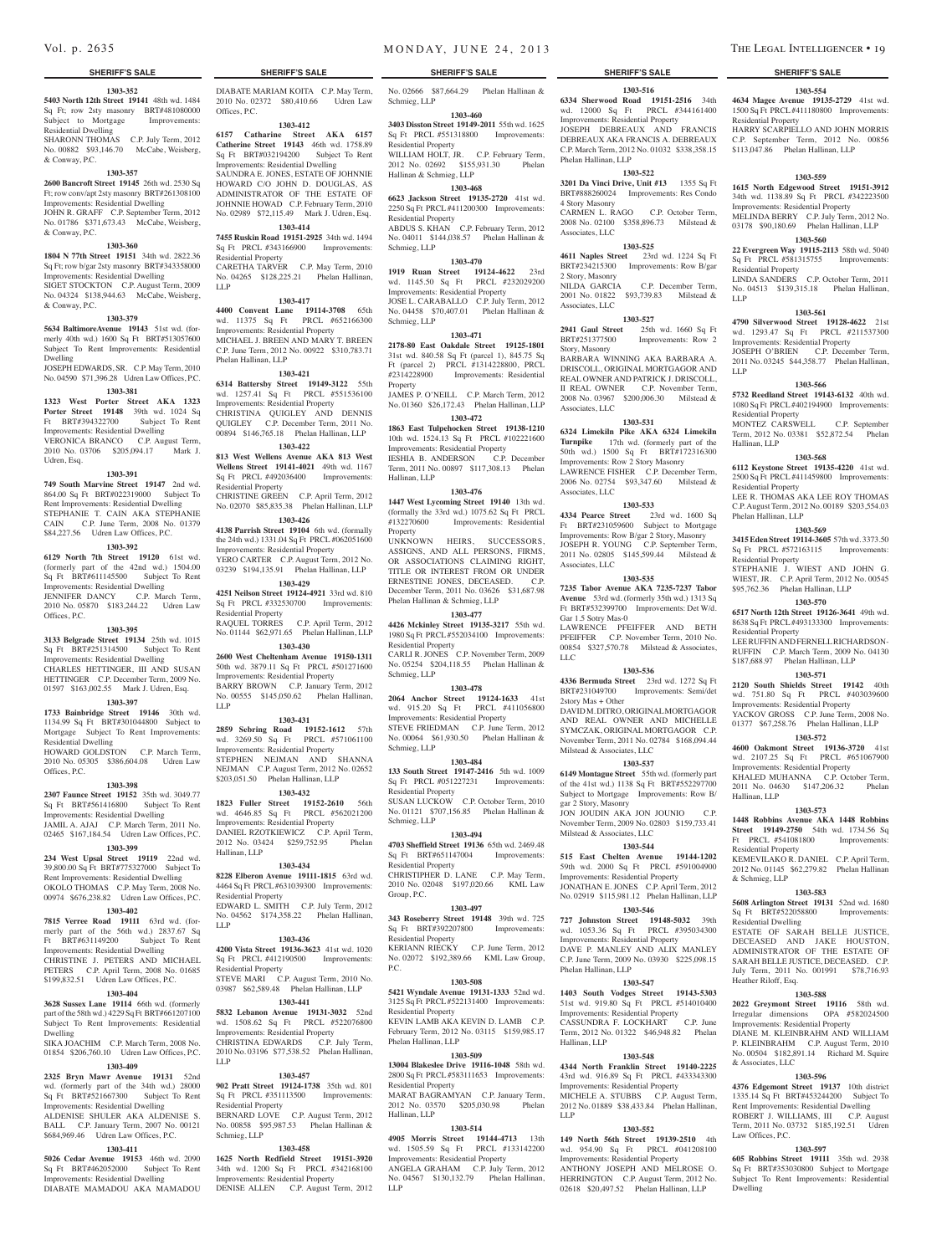#### **1303-352**

**5403 North 12th Street 19141** 48th wd. 1484 Sq Ft; row 2sty masonry BRT#481080000 Subject to Mortgage Improvements:

Residential Dwelling SHARONN THOMAS C.P. July Term, 2012 No. 00882 \$93,146.70 McCabe, Weisberg,

& Conway, P.C.

## **1303-357**

**2600 Bancroft Street 19145** 26th wd. 2530 Sq Ft; row conv/apt 2sty masonry BRT#261308100 Improvements: Residential Dwelling JOHN R. GRAFF C.P. September Term, 2012 No. 01786 \$371,673.43 McCabe, Weisberg, & Conway, P.C.

#### **1303-360**

**1804 N 77th Street 19151** 34th wd. 2822.36 Sq Ft; row b/gar 2sty masonry BRT#343358000 Improvements: Residential Dwelling SIGET STOCKTON C.P. August Term, 2009 No. 04324 \$138,944.63 McCabe, Weisberg, & Conway, P.C.

#### **1303-379**

**5634 BaltimoreAvenue 19143** 51st wd. (formerly 40th wd.) 1600 Sq Ft BRT#513057600 Subject To Rent Improvements: Residential Dwelling

JOSEPH EDWARDS, SR. C.P. May Term, 2010 No. 04590 \$71,396.28 Udren Law Offices, P.C.

#### **1303-381 1323 West Porter Street AKA 1323 Porter Street 19148** 39th wd. 1024 Sq<br>Ft BRT#394322700 Subject To Rent Ft BRT#394322700 Improvements: Residential Dwelling VERONICA BRANCO C.P. August Term, 2010 No. 03706 \$205,094.17 Mark J. Udren, Esq.

# **1303-391**

**749 South Marvine Street 19147** 2nd wd. 864.00 Sq Ft BRT#022319000 Subject To Rent Improvements: Residential Dwelling STEPHANIE T. CAIN AKA STEPHANIE CAIN C.P. June Term, 2008 No. 01379 \$84,227.56 Udren Law Offices, P.C.

#### **1303-392**

**6129 North 7th Street 19120** 61st wd. (formerly part of the 42nd wd.) 1504.00 Sq Ft BRT#611145500 Subject To Rent Improvements: Residential Dwelling JENNIFER DANCY C.P. March Term, 2010 No. 05870 \$183,244.22 Udren Law Offices, P.C.

#### **1303-395**

**3133 Belgrade Street 19134** 25th wd. 1015 Sq Ft BRT#251314500 Subject To Rent Improvements: Residential Dwelling

CHARLES HETTINGER, III AND SUSAN HETTINGER C.P. December Term, 2009 No. 01597 \$163,002.55 Mark J. Udren, Esq.

#### **1303-397**

**1733 Bainbridge Street 19146** 30th wd. 1134.99 Sq Ft BRT#301044800 Subject to<br>Mortgage Subject To Rent Improvements: Subject To Rent Improvements:

Residential Dwelling HOWARD GOLDSTON C.P. March Term, 2010 No. 05305 \$386,604.08 Udren Law Offices, P.C.

#### **1303-398**

**2307 Faunce Street 19152** 35th wd. 3049.77 Sq Ft BRT#561416800 Subject To Rent Improvements: Residential Dwelling JAMIL A. AJAJ C.P. March Term, 2011 No. 02465 \$167,184.54 Udren Law Offices, P.C.

#### **1303-399**

**234 West Upsal Street 19119** 22nd wd. 39,800.00 Sq Ft BRT#775327000 Subject To Rent Improvements: Residential Dwelling OKOLO THOMAS C.P. May Term, 2008 No. 00974 \$676,238.82 Udren Law Offices, P.C.

## **1303-402**

**7815 Verree Road 19111** 63rd wd. (formerly part of the 56th wd.) 2837.67 Sq Ft BRT#631149200 Subject To Rent Improvements: Residential Dwelling CHRISTINE J. PETERS AND MICHAEL PETERS C.P. April Term, 2008 No. 01685 \$199,832.51 Udren Law Offices, P.C.

## **1303-404**

**3628 Sussex Lane 19114** 66th wd. (formerly part of the 58th wd.) 4229 Sq Ft BRT#661207100 Subject To Rent Improvements: Residential Dwelling

SIKA JOACHIM C.P. March Term, 2008 No. 01854 \$206,760.10 Udren Law Offices, P.C.

#### **1303-409**

**2325 Bryn Mawr Avenue 19131** 52nd wd. (formerly part of the 34th wd.) 28000 Sq Ft BRT#521667300 Subject To Rent

Improvements: Residential Dwelling ALDENISE SHULER AKA ALDENISE S. BALL C.P. January Term, 2007 No. 00121

## \$684,969.46 Udren Law Offices, P.C. **1303-411**

**5026 Cedar Avenue 19153** 46th wd. 2090 Sq Ft BRT#462052000 Subject To Rent Improvements: Residential Dwelling DIABATE MAMADOU AKA MAMADOU DIABATE MARIAM KOITA C.P. May Term, 2010 No. 02372 \$80,410.66 Udren Law

**1303-412 6157 Catharine Street AKA 6157 Catherine Street 19143** 46th wd. 1758.89 Sq Ft BRT#032194200 Subject To Rent Improvements: Residential Dwelling SAUNDRA E. JONES, ESTATE OF JOHNNIE HOWARD C/O JOHN D. DOUGLAS, AS ADMINISTRATOR OF THE ESTATE OF JOHNNIE HOWAD C.P. February Term, 2010 No. 02989 \$72,115.49 Mark J. Udren, Esq. **1303-414 7455 Ruskin Road 19151-2925** 34th wd. 1494 Sq Ft PRCL #343166900 Improvements:

CARETHA TARVER C.P. May Term, 2010 No. 04265 \$128,225.21 Phelan Hallinan,

**1303-417 4400 Convent Lane 19114-3708** 65th wd. 11375 Sq Ft PRCL #652166300 Improvements: Residential Property MICHAEL J. BREEN AND MARY T. BREEN C.P. June Term, 2012 No. 00922 \$310,783.71

**1303-421 6314 Battersby Street 19149-3122** 55th wd. 1257.41 Sq Ft PRCL #551536100 Improvements: Residential Property CHRISTINA QUIGLEY AND DENNIS QUIGLEY C.P. December Term, 2011 No. 00894 \$146,765.18 Phelan Hallinan, LLP **1303-422 813 West Wellens Avenue AKA 813 West Wellens Street 19141-4021** 49th wd. 1167 Sq Ft PRCL #492036400 Improvements:

CHRISTINE GREEN C.P. April Term, 2012 No. 02070 \$85,835.38 Phelan Hallinan, LLP **1303-426 4138 Parrish Street 19104** 6th wd. (formally the 24th wd.) 1331.04 Sq Ft PRCL #062051600 Improvements: Residential Property YERO CARTER C.P. August Term, 2012 No. 03239 \$194,135.91 Phelan Hallinan, LLP **1303-429 4251 Neilson Street 19124-4921** 33rd wd. 810 Sq Ft PRCL #332530700 Improvements:

RAQUEL TORRES C.P. April Term, 2012 No. 01144 \$62,971.65 Phelan Hallinan, LLP **1303-430 2600 West Cheltenham Avenue 19150-1311**  50th wd. 3879.11 Sq Ft PRCL #501271600 Improvements: Residential Property BARRY BROWN C.P. January Term, 2012 No. 00555 \$145,050.62 Phelan Hallinan,

**1303-431 2859 Sebring Road 19152-1612** 57th wd. 3269.50 Sq Ft PRCL #571061100 Improvements: Residential Property STEPHEN NEJMAN AND SHANNA NEJMAN C.P. August Term, 2012 No. 02652 \$203,051.50 Phelan Hallinan, LLP **1303-432 1823 Fuller Street 19152-2610** 56th wd. 4646.85 Sq Ft PRCL #562021200 Improvements: Residential Property

DANIEL RZOTKIEWICZ C.P. April Term,<br>2012 No. 03424 \$259,752.95 Phelan 2012 No. 03424 \$259,752.95

**1303-434 8228 Elberon Avenue 19111-1815** 63rd wd. 4464 Sq Ft PRCL #631039300 Improvements:

EDWARD L. SMITH C.P. July Term, 2012 No. 04562 \$174,358.22 Phelan Hallinan,

**1303-436 4200 Vista Street 19136-3623** 41st wd. 1020 Sq Ft PRCL #412190500 Improvements:

STEVE MARI C.P. August Term, 2010 No. 03987 \$62,589.48 Phelan Hallinan, LLP **1303-441 5832 Lebanon Avenue 19131-3032** 52nd wd. 1508.62 Sq Ft PRCL #522076800 Improvements: Residential Property CHRISTINA EDWARDS C.P. July 2010 No. 03196 \$77,538.52 Phelan Hallinan,

**1303-457 902 Pratt Street 19124-1738** 35th wd. 801 Sq Ft PRCL #351113500 Improvements:

BERNARD LOVE C.P. August Term, 2012 No. 00858 \$95,987.53 Phelan Hallinan &

**1303-458 1625 North Redfield Street 19151-3920**  34th wd. 1200 Sq Ft PRCL #342168100 Improvements: Residential Property DENISE ALLEN C.P. August Term, 2012

Offices, P.C.

Residential Property

Phelan Hallinan, LLP

Residential Property

Residential Property

LLP

Hallinan, LLP

LLP

LLP

Residential Property

Residential Property

Residential Property

Schmieg, LLP

LLP

No. 02666 \$87,664.29 Phelan Hallinan & Schmieg, LLP

# **1303-460**

**3403 Disston Street 19149-2011** 55th wd. 1625 Sq Ft PRCL #551318800 Improvements: Residential Property

WILLIAM HOLT, JR. C.P. February Term, 2012 No. 02692 \$155,931.30 Phelan Hallinan & Schmieg, LLP

## **1303-468**

**6623 Jackson Street 19135-2720** 41st wd. 2250 Sq Ft PRCL #411200300 Improvements: Residential Property ABDUS S. KHAN C.P. February Term, 2012 No. 04011 \$144,038.57 Phelan Hallinan & Schmieg, LLP

#### **1303-470**

**1919 Ruan Street 19124-4622** 23rd wd. 1145.50 Sq Ft PRCL #232029200 Improvements: Residential Property JOSE L. CARABALLO C.P. July Term, 2012 No. 04458 \$70,407.01 Phelan Hallinan & Schmieg, LLP

#### **1303-471**

**2178-80 East Oakdale Street 19125-1801**  31st wd. 840.58 Sq Ft (parcel 1), 845.75 Sq Ft (parcel 2) PRCL #1314228800, PRCL #2314228900 Improvements: Residential Property

JAMES P. O'NEILL C.P. March Term, 2012 No. 01360 \$26,172.43 Phelan Hallinan, LLP **1303-472**

**1863 East Tulpehocken Street 19138-1210**  10th wd. 1524.13 Sq Ft PRCL #102221600 Improvements: Residential Property IESHIA B. ANDERSON C.P. December Term, 2011 No. 00897 \$117,308.13 Phelan Hallinan, LLP

#### **1303-476**

**1447 West Lycoming Street 19140** 13th wd. (formally the 33rd wd.) 1075.62 Sq Ft PRCL Improvements: Residential Property<br>UNKNOWN HEIRS, SUCCESSORS,

ASSIGNS, AND ALL PERSONS, FIRMS, OR ASSOCIATIONS CLAIMING RIGHT TITLE OR INTEREST FROM OR UNDER ERNESTINE JONES, DECEASED. C.P. December Term, 2011 No. 03626 \$31,687.98 Phelan Hallinan & Schmieg, LLP

## **1303-477**

**4426 Mckinley Street 19135-3217** 55th wd. 1980 Sq Ft PRCL #552034100 Improvements: Residential Property CARLI R. JONES C.P. November Term, 2009

No. 05254 \$204,118.55 Phelan Hallinan & Schmieg, LLP **1303-478**

**2064 Anchor Street 19124-1633** 41st wd. 915.20 Sq Ft PRCL #411056800 Improvements: Residential Property STEVE FRIEDMAN C.P. June Term, 2012 No. 00064 \$61,930.50 Phelan Hallinan & Schmieg, LLP

#### **1303-484**

**133 South Street 19147-2416** 5th wd. 1009 Sq Ft PRCL #051227231 Improvements: Residential Property SUSAN LUCKOW C.P. October Term, 2010 No. 01121 \$707,156.85 Phelan Hallinan &

#### Schmieg, LLP **1303-494**

**4703 Sheffield Street 19136** 65th wd. 2469.48 Sq Ft BRT#651147004 Improvements: Residential Property CHRISTIPHER D. LANE C.P. May Term, 2010 No. 02048 \$197,020.66 KML Law Group, P.C.

#### **1303-497**

**343 Roseberry Street 19148** 39th wd. 725 Sq Ft BRT#392207800 Improvements: Residential Property KERIANN RIECKY C.P. June Term, 2012 No. 02072 \$192,389.66 KML Law Group,

P.C.

**1303-508 5421 Wyndale Avenue 19131-1333** 52nd wd. 3125 Sq Ft PRCL #522131400 Improvements: Residential Property

KEVIN LAMB AKA KEVIN D. LAMB C.P. February Term, 2012 No. 03115 \$159,985.17 Phelan Hallinan, LLP

#### **1303-509**

**13004 Blakeslee Drive 19116-1048** 58th wd. 2800 Sq Ft PRCL #583111653 Improvements: Residential Property

MARAT BAGRAMYAN C.P. January Term,<br>2012 No. 03570 \$205.030.98 Phelan 2012 No. 03570 \$205,030.98 Hallinan, LLP

#### **1303-514**

**4905 Morris Street 19144-4713** 13th wd. 1505.59 Sq Ft PRCL #133142200 Improvements: Residential Property ANGELA GRAHAM C.P. July Term, 2012 No. 04567 \$130,132.79 Phelan Hallinan, LLP

#### **SHERIFF'S SALE SHERIFF'S SALE SHERIFF'S SALE SHERIFF'S SALE SHERIFF'S SALE**

**1303-554 4634 Magee Avenue 19135-2729** 41st wd. 1500 Sq Ft PRCL #411180800 Improvements:

HARRY SCARPIELLO AND JOHN MORRIS C.P. September Term, 2012 No. 00856 \$113,047.86 Phelan Hallinan, LLP

**1303-559 1615 North Edgewood Street 19151-3912**  34th wd. 1138.89 Sq Ft PRCL #342223500 Improvements: Residential Property MELINDA BERRY C.P. July Term, 2012 No. 03178 \$90,180.69 Phelan Hallinan, LLP **1303-560 22 Evergreen Way 19115-2113** 58th wd. 5040 Sq Ft PRCL #581315755 Improvements:

LINDA SANDERS C.P. October Term, 2011 No. 04513 \$139,315.18 Phelan Hallinan,

**1303-561 4790 Silverwood Street 19128-4622** 21st wd. 1293.47 Sq Ft PRCL #211537300 Improvements: Residential Property JOSEPH O'BRIEN C.P. December Term, 2011 No. 03245 \$44,358.77 Phelan Hallinan,

**1303-566 5732 Reedland Street 19143-6132** 40th wd. 1080 Sq Ft PRCL #402194900 Improvements:

MONTEZ CARSWELL C.P. September Term, 2012 No. 03381 \$52,872.54 Phelan

**1303-568 6112 Keystone Street 19135-4220** 41st wd. 2500 Sq Ft PRCL #411459800 Improvements:

LEE R. THOMAS AKA LEE ROY THOMAS C.P. August Term, 2012 No. 00189 \$203,554.03

**1303-569 3415 Eden Street 19114-3605** 57th wd. 3373.50 Sq Ft PRCL #572163115 Improvements:

STEPHANIE J. WIEST AND JOHN G. WIEST, JR. C.P. April Term, 2012 No. 00545 \$95,762.36 Phelan Hallinan, LLP **1303-570 6517 North 12th Street 19126-3641** 49th wd. 8638 Sq Ft PRCL #493133300 Improvements:

LEE RUFFIN AND FERNELL RICHARDSON-RUFFIN C.P. March Term, 2009 No. 04130 \$187,688.97 Phelan Hallinan, LLP **1303-571 2120 South Shields Street 19142** 40th wd. 751.80 Sq Ft PRCL #403039600 Improvements: Residential Property YACKOV GROSS C.P. June Term, 2008 No. 01377 \$67,258.76 Phelan Hallinan, LLP **1303-572 4600 Oakmont Street 19136-3720** 41st wd. 2107.25 Sq Ft PRCL #651067900 Improvements: Residential Property KHALED MUHANNA C.P. October Term, 2011 No. 04630 \$147,206.32 Phelan

**1303-573 1448 Robbins Avenue AKA 1448 Robbins Street 19149-2750** 54th wd. 1734.56 Sq Ft PRCL #541081800 Improvements:

KEMEVILAKO R. DANIEL C.P. April Term, 2012 No. 01145 \$62,279.82 Phelan Hallinan

**1303-583 5608 Arlington Street 19131** 52nd wd. 1680 Sq Ft BRT#522058800 Improvements:

ESTATE OF SARAH BELLE JUSTICE, DECEASED AND JAKE HOUSTON, ADMINISTRATOR OF THE ESTATE OF SARAH BELLE JUSTICE, DECEASED. C.P. July Term, 2011 No. 001991 \$78,716.93

**1303-588 2022 Greymont Street 19116** 58th wd. Irregular dimensions OPA #582024500 Improvements: Residential Property DIANE M. KLEINBRAHM AND WILLIAM P. KLEINBRAHM C.P. August Term, 2010 No. 00504 \$182,891.14 Richard M. Squire

**1303-596 4376 Edgemont Street 19137** 10th district 1335.14 Sq Ft BRT#453244200 Subject To Rent Improvements: Residential Dwelling ROBERT J. WILLIAMS, III C.P. August Term, 2011 No. 03732 \$185,192.51 Udren

**1303-597 605 Robbins Street 19111** 35th wd. 2938 Sq Ft BRT#353030800 Subject to Mortgage Subject To Rent Improvements: Residential

Residential Property

Residential Property

Residential Property

Residential Property

Phelan Hallinan, LLP

Residential Property

Residential Property

Hallinan, LLP

Residential Property

& Schmieg, LLP

Residential Dwelling

Heather Riloff, Esq.

& Associates, LLC

Law Offices, P.C.

Dwelling

Hallinan, LLP

LLP

LLP

**1303-516 6334 Sherwood Road 19151-2516** 34th wd. 12000 Sq Ft PRCL #344161400 Improvements: Residential Property JOSEPH DEBREAUX AND FRANCIS DEBREAUX AKA FRANCIS A. DEBREAUX C.P. March Term, 2012 No. 01032 \$338,358.15 Phelan Hallinan, LLP

#### **1303-522**

**3201 Da Vinci Drive, Unit #13** 1355 Sq Ft BRT#888260024 Improvements: Res Condo 4 Story Masonry CARMEN L. RAGO C.P. October Term,

2008 No. 02100 \$358,896.73 Milstead & Associates, LLC **1303-525**

**4611 Naples Street** 23rd wd. 1224 Sq Ft BRT#234215300 Improvements: Row B/gar 2 Story, Masonry NILDA GARCIA C.P. December Term, 2001 No. 01822 \$93,739.83 Milstead & Associates, LLC

#### **1303-527**

**2941 Gaul Street** 25th wd. 1660 Sq Ft BRT#251377500 Improvements: Row 2 Story, Masonry BARBARA WINNING AKA BARBARA A. DRISCOLL, ORIGINAL MORTGAGOR AND REAL OWNER AND PATRICK J. DRISCOLL, II REAL OWNER C.P. November Term, 2008 No. 03967 \$200,006.30 Milstead & Associates, LLC

#### **1303-531**

**6324 Limekiln Pike AKA 6324 Limekiln Turnpike** 17th wd. (formerly part of the 50th wd.) 1500 Sq Ft BRT#172316300 Improvements: Row 2 Story Masonry LAWRENCE FISHER C.P. December Term, 2006 No. 02754 \$93,347.60 Milstead & Associates, LLC

#### **1303-533**

**4334 Pearce Street** 23rd wd. 1600 Sq Ft BRT#231059600 Subject to Mortgage Improvements: Row B/gar 2 Story, Masonry JOSEPH R. YOUNG C.P. September Term, 2011 No. 02805 \$145,599.44 Milstead & Associates, LLC

#### **1303-535**

**7235 Tabor Avenue AKA 7235-7237 Tabor Avenue** 53rd wd. (formerly 35th wd.) 1313 Sq Ft BRT#532399700 Improvements: Det W/d. Gar 1.5 Sotry Mas-0 LAWRENCE PFEIFFER AND BETH PFEIFFER C.P. November Term, 2010 No. 00854 \$327,570.78 Milstead & Associates,

#### **1303-536**

LLC

**4336 Bermuda Street** 23rd wd. 1272 Sq Ft BRT#231049700 Improvements: Semi/det 2story Mas + Other DAVID M. DITRO, ORIGINAL MORTGAGOR AND REAL OWNER AND MICHELLE SYMCZAK, ORIGINAL MORTGAGOR C.P. November Term, 2011 No. 02784 \$168,094.44 Milstead & Associates, LLC

#### **1303-537**

**6149 Montague Street** 55th wd. (formerly part of the 41st wd.) 1138 Sq Ft BRT#552297700 Subject to Mortgage Improvements: Row B/ gar 2 Story, Masonry JON JOUDIN AKA JON JOUNIO C.P. November Term, 2009 No. 02803 \$159,733.41

Milstead & Associates, LLC **1303-544**

**515 East Chelten Avenue 19144-1202**  59th wd. 2000 Sq Ft PRCL #591004900 Improvements: Residential Property JONATHAN E. JONES C.P. April Term, 2012 No. 02919 \$115,981.12 Phelan Hallinan, LLP

**1303-546 727 Johnston Street 19148-5032** 39th

wd. 1053.36 Sq Ft PRCL #395034300 Improvements: Residential Property DAVE P. MANLEY AND ALIX MANLEY C.P. June Term, 2009 No. 03930 \$225,098.15 Phelan Hallinan, LLP

## **1303-547**

LLP

**1403 South Vodges Street 19143-5303**  51st wd. 919.80 Sq Ft PRCL #514010400 Improvements: Residential Property<br>CASSUNDRA F. LOCKHART C.P. June CASSUNDRA F. LOCKHART Term, 2012 No. 01322 \$46,948.82 Phelan Hallinan, LLP **1303-548**

**4344 North Franklin Street 19140-2225**  43rd wd. 916.89 Sq Ft PRCL #433343300 Improvements: Residential Property MICHELE A. STUBBS C.P. August Term, 2012 No. 01889 \$38,433.84 Phelan Hallinan,

**1303-552 149 North 56th Street 19139-2510** 4th wd. 954.90 Sq Ft PRCL #041208100 Improvements: Residential Property ANTHONY JOSEPH AND MELROSE O. HERRINGTON C.P. August Term, 2012 No. 02618 \$20,497.52 Phelan Hallinan, LLP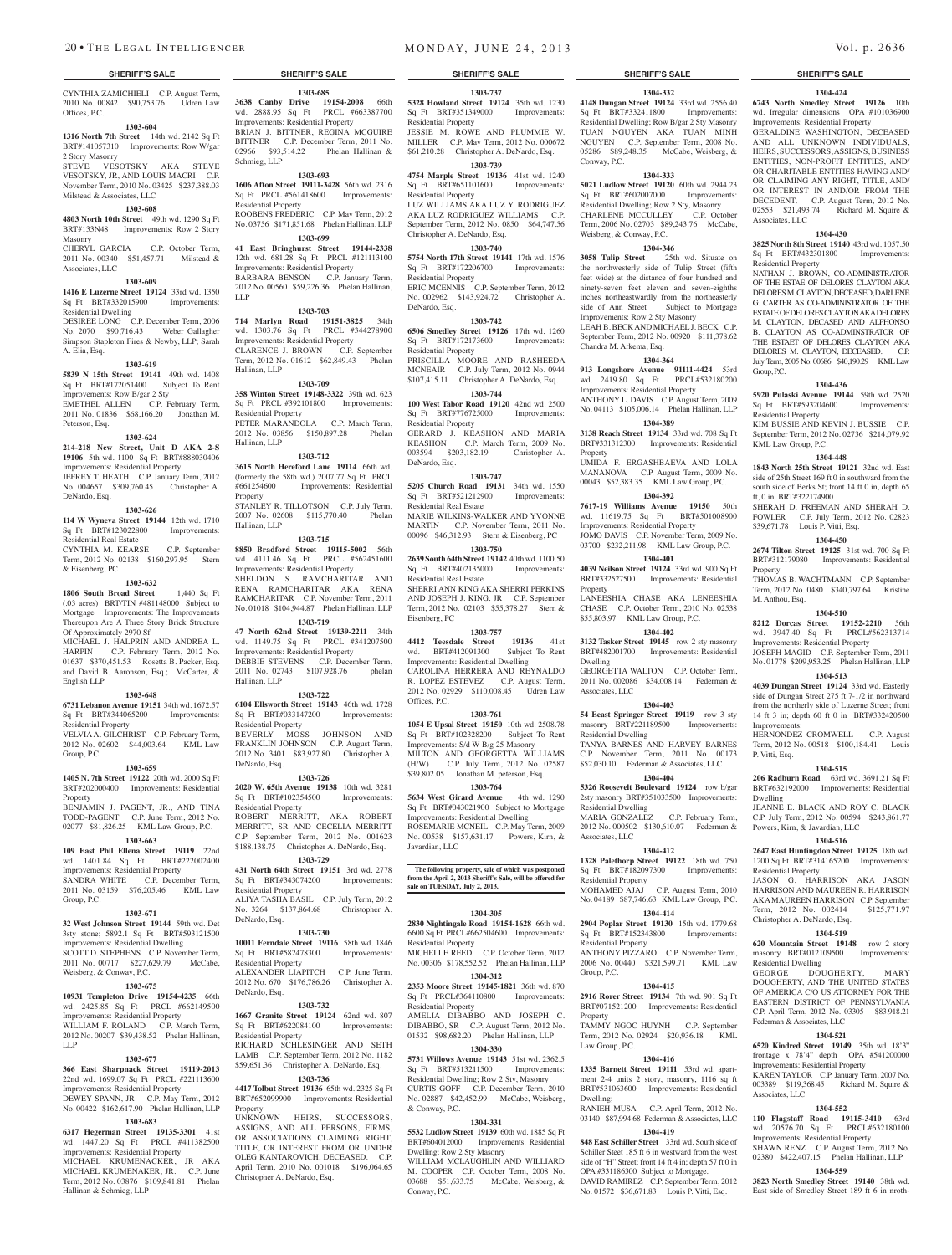CYNTHIA ZAMICHIELI C.P. August Term, 2010 No. 00842 \$90,753.76 Udren Law Offices, P.C.

#### **1303-604**

**1316 North 7th Street** 14th wd. 2142 Sq Ft BRT#141057310 Improvements: Row W/gar

# 2 Story Masonry

STEVE VESOTSKY AKA STEVE VESOTSKY, JR, AND LOUIS MACRI C.P. November Term, 2010 No. 03425 \$237,388.03 Milstead & Associates, LLC

#### **1303-608**

**4803 North 10th Street** 49th wd. 1290 Sq Ft BRT#133N48 Improvements: Row 2 Story Masonry CHERYL GARCIA C.P. October Term, 2011 No. 00340 \$51,457.71 Milstead &

# Associates, LLC

#### **1303-609**

**1416 E Luzerne Street 19124** 33rd wd. 1350 Sq Ft BRT#332015900 Improvements: Residential Dwelling DESIREE LONG C.P. December Term, 2006 No. 2070 \$90,716.43 Weber Gallagher Simpson Stapleton Fires & Newby, LLP; Sarah A. Elia, Esq.

#### **1303-619**

**5839 N 15th Street 19141** 49th wd. 1408 Sq Ft BRT#172051400 Subject To Rent Improvements: Row B/gar 2 Sty<br>EMETHEL ALLEN C.P. February Term, EMETHEL ALLEN C.P. February Term, 2011 No. 01836 \$68,166.20 Jonathan M. Peterson, Esq.

#### **1303-624**

**214-218 New Street, Unit D AKA 2-S 19106** 5th wd. 1100 Sq Ft BRT#888030406 Improvements: Residential Property JEFREY T. HEATH C.P. January Term, 2012 No. 004657 \$309,760.45 Christopher A. DeNardo, Esq.

#### **1303-626**

**114 W Wyneva Street 19144** 12th wd. 1710 Sq Ft BRT#123022800 Improvements: Residential Real Estate CYNTHIA M. KEARSE C.P. September

Term, 2012 No. 02138 \$160,297.95 Stern & Eisenberg, PC

#### **1303-632**

**1806 South Broad Street** 1,440 Sq Ft (.03 acres) BRT/TIN #481148000 Subject to Mortgage Improvements: The Improvements Thereupon Are A Three Story Brick Structure Of Approximately 2970 Sf MICHAEL J. HALPRIN AND ANDREA L.

HARPIN C.P. February Term, 2012 No. 01637 \$370,451.53 Rosetta B. Packer, Esq. and David B. Aaronson, Esq.; McCarter, & English LLP

#### **1303-648**

**6731 Lebanon Avenue 19151** 34th wd. 1672.57 Sq Ft BRT#344065200 Improvements: Residential Property VELVIA A. GILCHRIST C.P. February Term,

2012 No. 02602 \$44,003.64 KML Law Group, P.C.

#### **1303-659**

**1405 N. 7th Street 19122** 20th wd. 2000 Sq Ft BRT#202000400 Improvements: Residential Property

BENJAMIN J. PAGENT, JR., AND TINA TODD-PAGENT C.P. June Term, 2012 No. 02077 \$81,826.25 KML Law Group, P.C.

# **1303-663**

**109 East Phil Ellena Street 19119** 22nd wd. 1401.84 Sq Ft BRT#222002400 Improvements: Residential Property SANDRA WHITE C.P. December Term, 2011 No. 03159 \$76,205.46 KML Law Group, P.C.

#### **1303-671**

**32 West Johnson Street 19144** 59th wd. Det 3sty stone; 5892.1 Sq Ft BRT#593121500 Improvements: Residential Dwelling SCOTT D. STEPHENS C.P. November Term,

2011 No. 00717 \$227,629.79 McCabe, Weisberg, & Conway, P.C. **1303-675**

# **10931 Templeton Drive 19154-4235** 66th

wd. 2425.85 Sq Ft PRCL #662149500 Improvements: Residential Property WILLIAM F. ROLAND C.P. March Term, 2012 No. 00207 \$39,438.52 Phelan Hallinan, LLP

#### **1303-677**

**366 East Sharpnack Street 19119-2013**  22nd wd. 1699.07 Sq Ft PRCL #221113600 Improvements: Residential Property DEWEY SPANN, JR C.P. May Term, 2012 No. 00422 \$162,617.90 Phelan Hallinan, LLP

## **1303-683**

**6317 Hegerman Street 19135-3301** 41st wd. 1447.20 Sq Ft PRCL #411382500 Improvements: Residential Property MICHAEL KRUMENACKER, JR AKA MICHAEL KRUMENAKER, JR. C.P. June Term, 2012 No. 03876 \$109,841.81 Phelan Hallinan & Schmieg, LLP

**1303-685 3638 Canby Drive 19154-2008** 66th wd. 2888.95 Sq Ft PRCL #663387700 Improvements: Residential Property BRIAN J. BITTNER, REGINA MCGUIRE BITTNER C.P. December Term, 2011 No. 02966 \$93,514.22 Phelan Hallinan &

## **1303-693**

Schmieg, LLP

**1606 Afton Street 19111-3428** 56th wd. 2316 Sq Ft PRCL #561418600 Improvements: Residential Property ROOBENS FREDERIC C.P. May Term, 2012

No. 03756 \$171,851.68 Phelan Hallinan, LLP **1303-699 41 East Bringhurst Street 19144-2338** 

#### 12th wd. 681.28 Sq Ft PRCL #121113100 Improvements: Residential Property BARBARA BENSON C.P. January Term, 2012 No. 00560 \$59,226.36 Phelan Hallinan, LLP

#### **1303-703**

**714 Marlyn Road 19151-3825** 34th wd. 1303.76 Sq Ft PRCL #344278900 Improvements: Residential Property CLARENCE J. BROWN C.P. September Term, 2012 No. 01612 \$62,849.43 Phelan Hallinan, LLP

#### **1303-709**

**358 Winton Street 19148-3322** 39th wd. 623 Sq Ft PRCL #392101800 Improvements: Residential Property PETER MARANDOLA C.P. March Term, 2012 No. 03856 \$150,897.28 Phelan Hallinan, LLP

#### **1303-712**

**3615 North Hereford Lane 19114** 66th wd. (formerly the 58th wd.)  $2007.77$  Sq Ft PRCL  $#661254600$  Improvements: Residential Improvements: Residential Property STANLEY R. TILLOTSON C.P. July Term,<br>2007 No. 02608 \$115.770.40 Phelan 2007 No. 02608 \$115,770.40 Hallinan, LLP

#### **1303-715**

**8850 Bradford Street 19115-5002** 56th wd. 4111.46 Sq Ft PRCL #562451600 Improvements: Residential Property SHELDON S. RAMCHARITAR AND RENA RAMCHARITAR AKA RENA RAMCHARITAR C.P. November Term, 2011 No. 01018 \$104,944.87 Phelan Hallinan, LLP **1303-719**

**47 North 62nd Street 19139-2211** 34th wd. 1149.75 Sq Ft PRCL #341207500 Improvements: Residential Property DEBBIE STEVENS C.P. December Term, 2011 No. 02743 \$107,928.76 phelan Hallinan, LLP

#### **1303-722 6104 Ellsworth Street 19143** 46th wd. 1728<br> **Sq** Ft BRT#033147200 Improvements: Sq Ft BRT#033147200 Residential Property

BEVERLY MOSS JOHNSON AND FRANKLIN JOHNSON C.P. August Term, 2012 No. 3401 \$83,927.80 Christopher A. DeNardo, Esq.

#### **1303-726**

**2020 W. 65th Avenue 19138** 10th wd. 3281 Sq Ft BRT#102354500 Improvements: Residential Property ROBERT MERRITT, AKA ROBERT MERRITT, SR AND CECELIA MERRITT C.P. September Term, 2012 No. 001623 \$188,138.75 Christopher A. DeNardo, Esq.

## **1303-729**

**431 North 64th Street 19151** 3rd wd. 2778 Sq Ft BRT#343074200 Improvements: Residential Property ALIYA TASHA BASIL C.P. July Term, 2012 No. 3264 \$137,864.68 Christopher A.

#### **1303-730**

DeNardo, Esq.

**10011 Ferndale Street 19116** 58th wd. 1846 Sq Ft BRT#582478300 Improvements: Residential Property ALEXANDER LIAPITCH C.P. June Term, 2012 No. 670 \$176,786.26 Christopher A. DeNardo, Esq.

#### **1303-732**

**1667 Granite Street 19124** 62nd wd. 807 Sq Ft BRT#622084100 Improvements: Residential Property RICHARD SCHLESINGER LAMB C.P. September Term, 2012 No. 1182 \$59,651.36 Christopher A. DeNardo, Esq.

## **1303-736**

**4417 Tolbut Street 19136** 65th wd. 2325 Sq Ft BRT#652099900 Improvements: Residential Property UNKNOWN HEIRS, SUCCESSORS, ASSIGNS, AND ALL PERSONS, FIRMS, OR ASSOCIATIONS CLAIMING RIGHT, TITLE, OR INTEREST FROM OR UNDER OLEG KANTAROVICH, DECEASED. C.P. April Term, 2010 No. 001018 \$196,064.65

Christopher A. DeNardo, Esq.

#### **SHERIFF'S SALE SHERIFF'S SALE SHERIFF'S SALE SHERIFF'S SALE SHERIFF'S SALE**

**1303-737 5328 Howland Street 19124** 35th wd. 1230<br>Sq Ft BRT#351349000 Improvements: Sq Ft BRT#351349000 Residential Property JESSIE M. ROWE AND PLUMMIE W.

MILLER C.P. May Term, 2012 No. 000672 \$61,210.28 Christopher A. DeNardo, Esq. **1303-739**

**4754 Marple Street 19136** 41st wd. 1240 Sq Ft BRT#651101600 Improvements: Residential Property LUZ WILLIAMS AKA LUZ Y. RODRIGUEZ AKA LUZ RODRIGUEZ WILLIAMS C.P.

September Term, 2012 No. 0850 \$64,747.56 Christopher A. DeNardo, Esq. **1303-740**

**5754 North 17th Street 19141** 17th wd. 1576 Sq Ft BRT#172206700 Improvements: Residential Property

ERIC MCENNIS C.P. September Term, 2012 No. 002962 \$143,924,72 Christopher A. DeNardo, Esq.

#### **1303-742**

**6506 Smedley Street 19126** 17th wd. 1260 Sq Ft BRT#172173600 Residential Property

PRISCILLA MOORE AND RASHEEDA MCNEAIR C.P. July Term, 2012 No. 0944 \$107,415.11 Christopher A. DeNardo, Esq.

**1303-744 100 West Tabor Road 19120** 42nd wd. 2500 Sq Ft BRT#776725000 Improvements: Residential Property

GERARD J. KEASHON AND MARIA KEASHON C.P. March Term, 2009 No.<br>003594 \$203,182.19 Christopher A. 003594 \$203,182.19 DeNardo, Esq.

#### **1303-747**

**5205 Church Road 19131** 34th wd. 1550 Sq Ft BRT#521212900 Improvements: Residential Real Estate MARIE WILKINS-WALKER AND YVONNE MARTIN C.P. November Term, 2011 No. 00096 \$46,312.93 Stern & Eisenberg, PC **1303-750**

## **2639 South 64th Street 19142** 40th wd. 1100.50

Sq Ft BRT#402135000 Improvements: Residential Real Estate SHERRI ANN KING AKA SHERRI PERKINS AND JOSEPH J. KING. JR C.P. September Term, 2012 No. 02103 \$55,378.27 Stern & Eisenberg, PC

#### **1303-757**

**4412 Teesdale Street 19136** 41st<br>wd. BRT#412091300 Subject To Rent wd. BRT#412091300 Improvements: Residential Dwelling CAROLINA HERRERA AND REYNALDO R. LOPEZ ESTEVEZ C.P. August Term, 2012 No. 02929 \$110,008.45 Udren Law Offices, P.C.

## **1303-761**

**1054 E Upsal Street 19150** 10th wd. 2508.78 Sq Ft BRT#102328200 Subject To Rent Improvements: S/d W B/g 25 Masonry MILTON AND GEORGETTA WILLIAMS (H/W) C.P. July Term, 2012 No. 02587 \$39,802.05 Jonathan M. peterson, Esq.

#### **1303-764**

**5634 West Girard Avenue** 4th wd. 1290 Sq Ft BRT#043021900 Subject to Mortgage Improvements: Residential Dwelling ROSEMARIE MCNEIL C.P. May Term, 2009 No. 00538 \$157,631.17 Powers, Kirn, & Javardian, LLC

**The following property, sale of which was postponed from the April 2, 2013 Sheriff's Sale, will be offered for sale on TUESDAY, July 2, 2013.**

#### **1304-305**

**2830 Nightingale Road 19154-1628** 66th wd. 6600 Sq Ft PRCL#662504600 Improvements: Residential Property MICHELLE REED C.P. October Term, 2012 No. 00306 \$178,552.52 Phelan Hallinan, LLP

#### **1304-312 2353 Moore Street 19145-1821** 36th wd. 870 Sq Ft PRCL#364110800 Improvements:

Residential Property AMELIA DIBABBO AND JOSEPH C. DIBABBO, SR C.P. August Term, 2012 No. 01532 \$98,682.20 Phelan Hallinan, LLP

#### **1304-330**

**5731 Willows Avenue 19143** 51st wd. 2362.5<br>
Sq Ft BRT#513211500 Improvements: Sq Ft BRT#513211500 Residential Dwelling; Row 2 Sty, Masonry CURTIS GOFF C.P. December Term, 2010 No. 02887 \$42,452.99 McCabe, Weisberg, & Conway, P.C.

#### **1304-331**

**5532 Ludlow Street 19139** 60th wd. 1885 Sq Ft BRT#604012000 Improvements: Residential Dwelling; Row 2 Sty Masonry WILLIAM MCLAUGHLIN AND WILLIARD M. COOPER C.P. October Term, 2008 No. 03688 \$51,633.75 McCabe, Weisberg, & Conway, P.C.

# **1304-332**

**4148 Dungan Street 19124** 33rd wd. 2556.40 Sq Ft BRT#332411800 Improvements: Residential Dwelling; Row B/gar 2 Sty Masonry TUAN NGUYEN AKA TUAN MINH NGUYEN C.P. September Term, 2008 No. 05286 \$89,248.35 McCabe, Weisberg, &

**1304-424 6743 North Smedley Street 19126** 10th wd. Irregular dimensions OPA #101036900 Improvements: Residential Property GERALDINE WASHINGTON, DECEASED AND ALL UNKNOWN INDIVIDUALS, HEIRS, SUCCESSORS, ASSIGNS, BUSINESS ENTITIES, NON-PROFIT ENTITIES, AND/ OR CHARITABLE ENTITIES HAVING AND/ OR CLAIMING ANY RIGHT, TITLE, AND/ OR INTEREST IN AND/OR FROM THE DECEDENT. C.P. August Term, 2012 No. 02553 \$21,493.74 Richard M. Squire &

**1304-430 3825 North 8th Street 19140** 43rd wd. 1057.50 Sq Ft BRT#432301800 Improvements:

NATHAN J. BROWN, CO-ADMINISTRATOR OF THE ESTAE OF DELORES CLAYTON AKA DELORES M. CLAYTON, DECEASED, DARLENE G. CARTER AS CO-ADMINISTRATOR OF THE ESTATE OF DEL ORES CLAYTON AK A DELORES M. CLAYTON, DECASED AND ALPHONSO B. CLAYTON AS CO-ADMINSTRATOR OF THE ESTAET OF DELORES CLAYTON AKA DELORES M. CLAYTON, DECEASED. C.P. July Term, 2005 No. 00686 \$40,190.29 KML Law

**1304-436 5920 Pulaski Avenue 19144** 59th wd. 2520 Sq Ft BRT#593204600 Improvements:

KIM BUSSIE AND KEVIN J. BUSSIE C.P. September Term, 2012 No. 02736 \$214,079.92

**1304-448 1843 North 25th Street 19121** 32nd wd. East side of 25th Street 169 ft 0 in southward from the south side of Berks St; front 14 ft 0 in, depth 65

SHERAH D. FREEMAN AND SHERAH D. FOWLER C.P. July Term, 2012 No. 02823

**1304-450 2674 Tilton Street 19125** 31st wd. 700 Sq Ft BRT#312179080 Improvements: Residential

THOMAS B. WACHTMANN C.P. September Term, 2012 No. 0480 \$340,797.64 Kristine

**1304-510 8212 Dorcas Street 19152-2210** 56th wd. 3947.40 Sq Ft PRCL#562313714 Improvements: Residential Property JOSEPH MAGID C.P. September Term, 2011 No. 01778 \$209,953.25 Phelan Hallinan, LLP **1304-513 4039 Dungan Street 19124** 33rd wd. Easterly side of Dungan Street 275 ft 7-1/2 in northward from the northerly side of Luzerne Street; front 14 ft 3 in; depth 60 ft 0 in BRT#332420500

HERNONDEZ CROMWELL C.P. August Term, 2012 No. 00518 \$100,184.41 Louis

**1304-515 206 Radburn Road** 63rd wd. 3691.21 Sq Ft BRT#632192000 Improvements: Residential

JEANNE E. BLACK AND ROY C. BLACK C.P. July Term, 2012 No. 00594 \$243,861.77

**1304-516 2647 East Huntingdon Street 19125** 18th wd. 1200 Sq Ft BRT#314165200 Improvements:

JASON G. HARRISON AKA JASON HARRISON AND MAUREEN R. HARRISON AKA MAUREEN HARRISON C.P. September Term, 2012 No. 002414 \$125,771.97

**1304-519 620 Mountain Street 19148** row 2 story masonry BRT#012109500 Improvements:

GEORGE DOUGHERTY, MARY DOUGHERTY, AND THE UNITED STATES OF AMERICA C/O US ATTORNEY FOR THE EASTERN DISTRICT OF PENNSYLVANIA C.P. April Term, 2012 No. 03305 \$83,918.21

**1304-521 6520 Kindred Street 19149** 35th wd. 18'3" frontage x 78'4" depth OPA #541200000

KAREN TAYLOR C.P. January Term, 2007 No. 003389 \$119,368.45 Richard M. Squire &

**1304-552 110 Flagstaff Road 19115-3410** 63rd wd. 20576.70 Sq Ft PRCL#632180100 Improvements: Residential Property SHAWN RENZ C.P. August Term, 2012 No. 02380 \$422,407.15 Phelan Hallinan, LLP **1304-559 3823 North Smedley Street 19140** 38th wd. East side of Smedley Street 189 ft 6 in nroth-

Powers, Kirn, & Javardian, LLC

Christopher A. DeNardo, Esq.

Residential Property

Residential Dwelling

Federman & Associates, LLC

Associates, LLC

Improvements: Residential Property

Associates, LLC

Residential Property

Group, P.C.

Property

M. Anthou, Esq.

Improvements:

P. Vitti, Esq.

Dwelling

Residential Property

KML Law Group, P.C.

ft, 0 in BRT#322174900

\$39,671.78 Louis P. Vitti, Esq.

**1304-333 5021 Ludlow Street 19120** 60th wd. 2944.23 Sq Ft BRT#602007000 Improvements: Residential Dwelling; Row 2 Sty, Masonry CHARLENE MCCULLEY C.P. October Term, 2006 No. 02703 \$89,243.76 McCabe,

**1304-346 3058 Tulip Street** 25th wd. Situate on the northwesterly side of Tulip Street (fifth feet wide) at the distance of four hundred and ninety-seven feet eleven and seven-eighths inches northeastwardly from the northeasterly<br>side of Ann Street Subject to Mortgage side of Ann Street Subject to Mortgage Improvements: Row 2 Sty Masonry LEAH B. BECK AND MICHAEL J. BECK C.P. September Term, 2012 No. 00920 \$111,378.62

**1304-364 913 Longshore Avenue 91111-4424** 53rd wd. 2419.80 Sq Ft PRCL#532180200

ANTHONY L. DAVIS C.P. August Term, 2009 No. 04113 \$105,006.14 Phelan Hallinan, LLP **1304-389 3138 Reach Street 19134** 33rd wd. 708 Sq Ft BRT#331312300 Improvements: Residential

UMIDA F. ERGASHBAEVA AND LOLA MANANOVA C.P. August Term, 2009 No. 00043 \$52,383.35 KML Law Group, P.C. **1304-392 7617-19 Williams Avenue 19150** 50th wd. 11619.75 Sq Ft BRT#501008900 Improvements: Residential Property JOMO DAVIS C.P. November Term, 2009 No. 03700 \$232,211.98 KML Law Group, P.C. **1304-401 4039 Neilson Street 19124** 33rd wd. 900 Sq Ft BRT#332527500 Improvements: Residential

LANEESHIA CHASE AKA LENEESHIA CHASE C.P. October Term, 2010 No. 02538 \$55,803.97 KML Law Group, P.C. **1304-402 3132 Tasker Street 19145** row 2 sty masonry BRT#482001700 Improvements: Residential

GEORGETTA WALTON C.P. October Term, 2011 No. 002086 \$34,008.14 Federman &

**1304-403 54 Eeast Springer Street 19119** row 3 sty masonry BRT#221189500 Improvements:

TANYA BARNES AND HARVEY BARNES C.P. November Term, 2011 No. 00173 \$52,030.10 Federman & Associates, LLC **1304-404 5326 Roosevelt Boulevard 19124** row b/gar 2sty masonry BRT#351033500 Improvements:

MARIA GONZALEZ C.P. February Term, 2012 No. 000502 \$130,610.07 Federman &

**1304-412 1328 Palethorp Street 19122** 18th wd. 750 Sq Ft BRT#182097300 Improvements:

MOHAMED AJAJ C.P. August Term, 2010 No. 04189 \$87,746.63 KML Law Group, P.C. **1304-414 2904 Poplar Street 19130** 15th wd. 1779.68 Sq Ft BRT#152343800 Improvements:

ANTHONY PIZZARO C.P. November Term, 2006 No. 00440 \$321,599.71 KML Law

**1304-415 2916 Rorer Street 19134** 7th wd. 901 Sq Ft BRT#071521200 Improvements: Residential

TAMMY NGOC HUYNH C.P. September Term, 2012 No. 02924 \$20,936.18 KML

**1304-416 1335 Barnett Street 19111** 53rd wd. apartment 2-4 units 2 story, masonry, 1116 sq ft BRT#531063600 Improvements: Residential

RANIEH MUSA C.P. April Term, 2012 No. 03140 \$87,994.68 Federman & Associates, LLC **1304-419 848 East Schiller Street** 33rd wd. South side of Schiller Steet 185 ft 6 in westward from the west side of "H" Street; front 14 ft 4 in; depth 57 ft 0 in OPA #331186300 Subject to Mortgage. DAVID RAMIREZ C.P. September Term, 2012 No. 01572 \$36,671.83 Louis P. Vitti, Esq.

Improvements: Residential Property

Conway, P.C.

Weisberg, & Conway, P.C.

Chandra M. Arkema, Esq.

Property

Property

Dwelling

Associates, LLC

Residential Dwelling

Residential Dwelling

Residential Property

Residential Property

Group, P.C.

Law Group, P.C.

Property

Dwelling;

Associates, LLC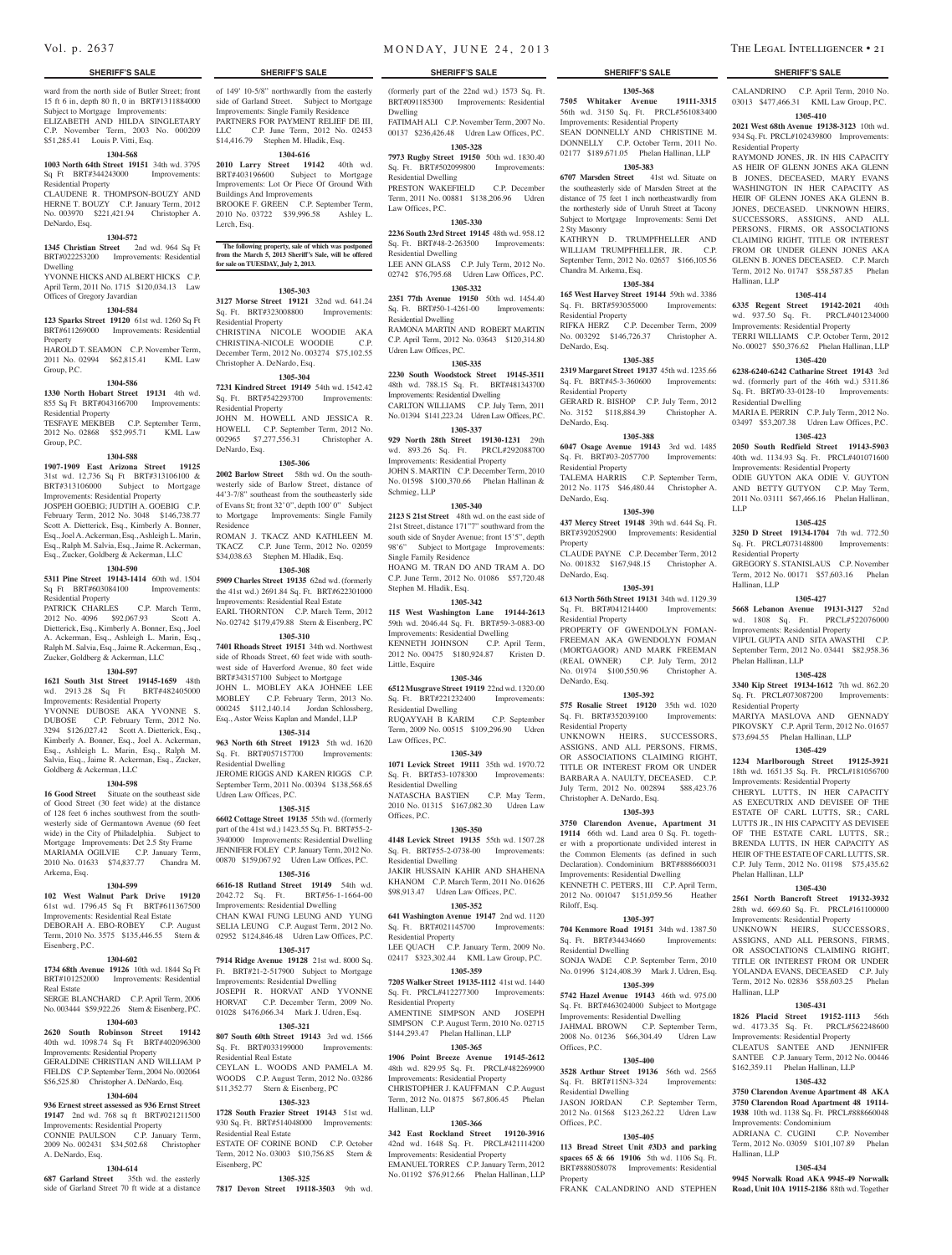ward from the north side of Butler Street; front 15 ft 6 in, depth 80 ft, 0 in BRT#1311884000 Subject to Mortgage Improvements: ELIZABETH AND HILDA SINGLETARY

C.P. November Term, 2003 No. 000209 \$51,285.41 Louis P. Vitti, Esq.

## **1304-568**

**1003 North 64th Street 19151** 34th wd. 3795 Sq Ft BRT#344243000 Improvements: Residential Property

#### CLAUDENE R. THOMPSON-BOUZY AND

HERNE T. BOUZY C.P. January Term, 2012 No. 003970 \$221,421.94 Christopher A. DeNardo, Esq. **1304-572**

## **1345 Christian Street** 2nd wd. 964 Sq Ft

BRT#022253200 Improvements: Residential Dwelling YVONNE HICKS AND ALBERT HICKS C.P.

April Term, 2011 No. 1715 \$120,034.13 Law Offices of Gregory Javardian

#### **1304-584**

**123 Sparks Street 19120** 61st wd. 1260 Sq Ft BRT#611269000 Improvements: Residential

**Property** HAROLD T. SEAMON C.P. November Term,

2011 No. 02994 \$62,815.41 KML Law Group, P.C.

#### **1304-586**

**1330 North Hobart Street 19131** 4th wd. 855 Sq Ft BRT#043166700 Improvements: Residential Property TESFAYE MEKBEB C.P. September Term,<br>2012 No. 02868 \$52,995.71 KML Law

2012 No. 02868 \$52,995.71 Group, P.C.

## **1304-588**

**1907-1909 East Arizona Street 19125**  31st wd. 12,736 Sq Ft BRT#313106100 & BRT#313106000 Subject to Mortgage Improvements: Residential Property

JOSPEH GOEBIG; JUDTIH A. GOEBIG C.P. February Term, 2012 No. 3048 \$146,738.77 Scott A. Dietterick, Esq., Kimberly A. Bonner, Esq., Joel A. Ackerman, Esq., Ashleigh L. Marin, Esq., Ralph M. Salvia, Esq., Jaime R. Ackerman, Esq., Zucker, Goldberg & Ackerman, LLC

#### **1304-590**

**5311 Pine Street 19143-1414** 60th wd. 1504 Sq Ft BRT#603084100 Improvements: Residential Property

PATRICK CHARLES C.P. March Term, 2012 No. 4096 \$92,067.93 Scott A. Dietterick, Esq., Kimberly A. Bonner, Esq., Joel A. Ackerman, Esq., Ashleigh L. Marin, Esq., Ralph M. Salvia, Esq., Jaime R. Ackerman, Esq., Zucker, Goldberg & Ackerman, LLC

#### **1304-597**

**1621 South 31st Street 19145-1659** 48th wd. 2913.28 Sq Ft BRT#482405000 Improvements: Residential Property YVONNE DUBOSE AKA YVONNE S. DUBOSE C.P. February Term, 2012 No. 3294 \$126,027.42 Scott A. Dietterick, Esq.,

Kimberly A. Bonner, Esq., Joel A. Ackerman, Esq., Ashleigh L. Marin, Esq., Ralph M. Salvia, Esq., Jaime R. Ackerman, Esq., Zucker, Goldberg & Ackerman, LLC

#### **1304-598**

16 Good Street Situate on the southeast side of Good Street (30 feet wide) at the distance of 128 feet 6 inches southwest from the southwesterly side of Germantown Avenue (60 feet wide) in the City of Philadelphia. Subject to Mortgage Improvements: Det 2.5 Sty Frame MARIAMA OGILVIE C.P. January Term, 2010 No. 01633 \$74,837.77 Chandra M. Arkema, Esq.

#### **1304-599**

**102 West Walnut Park Drive 19120** 

61st wd. 1796.45 Sq Ft BRT#611367500 Improvements: Residential Real Estate DEBORAH A. EBO-ROBEY C.P. August

Term, 2010 No. 3575 \$135,446.55 Stern & Eisenberg, P.C.

## **1304-602**

**1734 68th Avenue 19126** 10th wd. 1844 Sq Ft BRT#101252000 Improvements: Residential Real Estate SERGE BLANCHARD C.P. April Term, 2006

#### No. 003444 \$59,922.26 Stern & Eisenberg, P.C. **1304-603**

**2620 South Robinson Street 19142**  40th wd. 1098.74 Sq Ft BRT#402096300 Improvements: Residential Property GERALDINE CHRISTIAN AND WILLIAM P

#### FIELDS C.P. September Term, 2004 No. 002064 \$56,525.80 Christopher A. DeNardo, Esq. **1304-604**

## **936 Ernest street assessed as 936 Ernst Street**

**19147** 2nd wd. 768 sq ft BRT#021211500 Improvements: Residential Property CONNIE PAULSON C.P. January Term, 2009 No. 002431 \$34,502.68 Christopher

A. DeNardo, Esq.

# **1304-614**

**687 Garland Street** 35th wd. the easterly side of Garland Street 70 ft wide at a distance

#### **SHERIFF'S SALE SHERIFF'S SALE SHERIFF'S SALE SHERIFF'S SALE SHERIFF'S SALE**

of 149' 10-5/8" northwardly from the easterly side of Garland Street. Subject to Mortgage Improvements: Single Family Residence PARTNERS FOR PAYMENT RELIEF DE III LLC C.P. June Term, 2012 No. 02453 \$14,416.79 Stephen M. Hladik, Esq. **1304-616 2010 Larry Street 19142** 40th wd. BRT#403196600 Subject to Mortgage Improvements: Lot Or Piece Of Ground With

BROOKE F. GREEN C.P. September Term, 2010 No. 03722 \$39,996.58 Ashley L.

**The following property, sale of which was postponed from the March 5, 2013 Sheriff's Sale, will be offered** 

**1305-303 3127 Morse Street 19121** 32nd wd. 641.24 Sq. Ft. BRT#323008800 Improvements:

CHRISTINA NICOLE WOODIE AKA CHRISTINA-NICOLE WOODIE C.P. December Term, 2012 No. 003274 \$75,102.55

**1305-304 7231 Kindred Street 19149** 54th wd. 1542.42 Sq. Ft. BRT#542293700 Improvements:

JOHN M. HOWELL AND JESSICA R. HOWELL C.P. September Term, 2012 No. 002965 \$7,277,556.31 Christopher A.

**1305-306 2002 Barlow Street** 58th wd. On the southwesterly side of Barlow Street, distance of 44'3-7/8" southeast from the southeasterly side of Evans St; front 32' 0", depth 100' 0" Subject to Mortgage Improvements: Single Family

ROMAN J. TKACZ AND KATHLEEN M. TKACZ C.P. June Term, 2012 No. 02059 \$34,038.63 Stephen M. Hladik, Esq. **1305-308 5909 Charles Street 19135** 62nd wd. (formerly the 41st wd.) 2691.84 Sq. Ft. BRT#622301000 Improvements: Residential Real Estate EARL THORNTON C.P. March Term, 2012 No. 02742 \$179,479.88 Stern & Eisenberg, PC **1305-310 7401 Rhoads Street 19151** 34th wd. Northwest side of Rhoads Street, 60 feet wide with southwest side of Haverford Avenue, 80 feet wide BRT#343157100 Subject to Mortgage JOHN L. MOBLEY AKA JOHNEE LEE<br>MOBLEY C.P. February Term, 2013 No. C.P. February Term, 2013 No.

000245 \$112,140.14 Jordan Schlossberg, Esq., Astor Weiss Kaplan and Mandel, LLP **1305-314 963 North 6th Street 19123** 5th wd. 1620 Sq. Ft. BRT#057157700 Improvements:

JEROME RIGGS AND KAREN RIGGS C.P. September Term, 2011 No. 00394 \$138,568.65

**1305-315 6602 Cottage Street 19135** 55th wd. (formerly part of the 41st wd.) 1423.55 Sq. Ft. BRT#55-2- 3940000 Improvements: Residential Dwelling JENNIFER FOLEY C.P. January Term, 2012 No. 00870 \$159,067.92 Udren Law Offices, P.C. **1305-316 6616-18 Rutland Street 19149** 54th wd. 2042.72 Sq. Ft. BRT#56-1-1664-00 Improvements: Residential Dwelling CHAN KWAI FUNG LEUNG AND YUNG SELIA LEUNG C.P. August Term, 2012 No. 02952 \$124,846.48 Udren Law Offices, P.C. **1305-317 7914 Ridge Avenue 19128** 21st wd. 8000 Sq. Ft. BRT#21-2-517900 Subject to Mortgage Improvements: Residential Dwelling JOSEPH R. HORVAT AND YVONNE HORVAT C.P. December Term, 2009 No. 01028 \$476,066.34 Mark J. Udren, Esq. **1305-321 807 South 60th Street 19143** 3rd wd. 1566 Sq. Ft. BRT#033199000 Improvements:

Residential Dwelling

Udren Law Offices, P.C.

Residential Real Estate

Residential Real Estate

Eisenberg, PC

CEYLAN L. WOODS AND PAMELA M. WOODS C.P. August Term, 2012 No. 03286 \$11,352.77 Stern & Eisenberg, PC **1305-323 1728 South Frazier Street 19143** 51st wd. 930 Sq. Ft. BRT#514048000 Improvements:

ESTATE OF CORINE BOND C.P. October Term, 2012 No. 03003 \$10,756.85 Stern &

**1305-325 7817 Devon Street 19118-3503** 9th wd.

Buildings And Improvements

**for sale on TUESDAY, July 2, 2013.**

Christopher A. DeNardo, Esq.

Residential Property

Residential Property

DeNardo, Esq.

Residence

Lerch, Esq.

(formerly part of the 22nd wd.) 1573 Sq. Ft. BRT#091185300 Improvements: Residential Dwelling

FATIMAH ALI C.P. November Term, 2007 No. 00137 \$236,426.48 Udren Law Offices, P.C. **1305-328**

**7973 Rugby Street 19150** 50th wd. 1830.40 Sq. Ft. BRT#502099800 Improvements: Residential Dwelling PRESTON WAKEFIELD C.P. December Term, 2011 No. 00881 \$138,206.96 Udren Law Offices, P.C.

## **1305-330**

**2236 South 23rd Street 19145** 48th wd. 958.12 Sq. Ft. BRT#48-2-263500 Improvements: Residential Dwelling

LEE ANN GLASS C.P. July Term, 2012 No. 02742 \$76,795.68 Udren Law Offices, P.C. **1305-332**

**2351 77th Avenue 19150** 50th wd. 1454.40 Sq. Ft. BRT#50-1-4261-00 Improvements: Residential Dwelling RAMONA MARTIN AND ROBERT MARTIN C.P. April Term, 2012 No. 03643 \$120,314.80 Udren Law Offices, P.C.

#### **1305-335**

**2230 South Woodstock Street 19145-3511**  48th wd. 788.15 Sq. Ft. BRT#481343700 Improvements: Residential Dwelling CARLTON WILLIAMS C.P. July Term, 2011 No. 01394 \$141,223.24 Udren Law Offices, P.C.

**1305-337 929 North 28th Street 19130-1231** 29th wd. 893.26 Sq. Ft. PRCL#292088700 Improvements: Residential Property

JOHN S. MARTIN C.P. December Term, 2010 No. 01598 \$100,370.66 Phelan Hallinan & Schmieg, LLP **1305-340**

**2123 S 21st Street** 48th wd. on the east side of 21st Street, distance 171"7" southward from the south side of Snyder Avenue; front 15'5", depth 98'6" Subject to Mortgage Improvements: Single Family Residence HOANG M. TRAN DO AND TRAM A. DO C.P. June Term, 2012 No. 01086 \$57,720.48

#### Stephen M. Hladik, Esq. **1305-342**

**115 West Washington Lane 19144-2613**  59th wd. 2046.44 Sq. Ft. BRT#59-3-0883-00 Improvements: Residential Dwelling KENNETH JOHNSON C.P. April Term, 2012 No. 00475 \$180,924.87 Kristen D. Little, Esquire

## **1305-346**

**6512 Musgrave Street 19119** 22nd wd. 1320.00 Sq. Ft. BRT#221232400 Improvements: Residential Dwelling RUQAYYAH B KARIM C.P. September

Term, 2009 No. 00515 \$109,296.90 Udren Law Offices, P.C.

#### **1305-349**

**1071 Levick Street 19111** 35th wd. 1970.72 Sq. Ft. BRT#53-1078300 Improvements: Sq. Ft. BRT#53-1078300 Residential Dwelling NATASCHA BASTIEN C.P. May Term, 2010 No. 01315 \$167,082.30 Udren Law

Offices, P.C. **1305-350**

## **4148 Levick Street 19135** 55th wd. 1507.28

Sq. Ft. BRT#55-2-0738-00 Improvements: Residential Dwelling JAKIR HUSSAIN KAHIR AND SHAHENA KHANOM C.P. March Term, 2011 No. 01626 \$98,913.47 Udren Law Offices, P.C.

# **1305-352**

**641 Washington Avenue 19147** 2nd wd. 1120 Sq. Ft. BRT#021145700 Improvements: Residential Property LEE QUACH C.P. January Term, 2009 No. 02417 \$323,302.44 KML Law Group, P.C.

#### **1305-359**

**7205 Walker Street 19135-1112** 41st wd. 1440 Sq. Ft. PRCL#412277300 Improvements: Residential Property AMENTINE SIMPSON AND JOSEPH SIMPSON C.P. August Term, 2010 No. 02715 \$144,293.47 Phelan Hallinan, LLP

# **1305-365**

**1906 Point Breeze Avenue 19145-2612**  48th wd. 829.95 Sq. Ft. PRCL#482269900 Improvements: Residential Property CHRISTOPHER J. KAUFFMAN C.P. August Term, 2012 No. 01875 \$67,806.45 Phelan Hallinan, LLP

#### **1305-366**

**342 East Rockland Street 19120-3916**  42nd wd. 1648 Sq. Ft. PRCL#421114200 Improvements: Residential Property EMANUEL TORRES C.P. January Term, 2012 No. 01192 \$76,912.66 Phelan Hallinan, LLP

CALANDRINO C.P. April Term, 2010 No. 03013 \$477,466.31 KML Law Group, P.C. **1305-410 2021 West 68th Avenue 19138-3123** 10th wd. 934 Sq. Ft. PRCL#102439800 Improvements:

RAYMOND JONES, JR. IN HIS CAPACITY AS HEIR OF GLENN JONES AKA GLENN B JONES, DECEASED, MARY EVANS WASHINGTON IN HER CAPACITY AS HEIR OF GLENN JONES AKA GLENN B. JONES, DECEASED. UNKNOWN HEIRS, SUCCESSORS, ASSIGNS, AND ALL PERSONS, FIRMS, OR ASSOCIATIONS CLAIMING RIGHT, TITLE OR INTEREST FROM OR UNDER GLENN JONES AKA GLENN B. JONES DECEASED. C.P. March Term, 2012 No. 01747 \$58,587.85 Phelan

**1305-414 6335 Regent Street 19142-2021** 40th wd. 937.50 Sq. Ft. PRCL#401234000 Improvements: Residential Property TERRI WILLIAMS C.P. October Term, 2012 No. 00027 \$50,376.62 Phelan Hallinan, LLP **1305-420 6238-6240-6242 Catharine Street 19143** 3rd wd. (formerly part of the 46th wd.) 5311.86 Sq. Ft. BRT#0-33-0128-10 Improvements:

MARIA E. PERRIN C.P. July Term, 2012 No. 03497 \$53,207.38 Udren Law Offices, P.C. **1305-423 2050 South Redfield Street 19143-5903**  40th wd. 1134.93 Sq. Ft. PRCL#401071600 Improvements: Residential Property ODIE GUYTON AKA ODIE V. GUYTON AND BETTY GUTYON C.P. May Term, 2011 No. 03111 \$67,466.16 Phelan Hallinan,

**1305-425 3250 D Street 19134-1704** 7th wd. 772.50 Sq. Ft. PRCL#073148800 Improvements:

GREGORY S. STANISLAUS C.P. November Term, 2012 No. 00171 \$57,603.16 Phelan

**1305-427 5668 Lebanon Avenue 19131-3127** 52nd wd. 1808 Sq. Ft. PRCL#522076000 Improvements: Residential Property VIPUL GUPTA AND SITA AWASTHI C.P. September Term, 2012 No. 03441 \$82,958.36

**1305-428 3340 Kip Street 19134-1612** 7th wd. 862.20 Sq. Ft. PRCL#073087200 Improvements:

MARIYA MASLOVA AND GENNADY PIKOVSKY C.P. April Term, 2012 No. 01657 \$73,694.55 Phelan Hallinan, LLP **1305-429 1234 Marlborough Street 19125-3921**  18th wd. 1651.35 Sq. Ft. PRCL#181056700 Improvements: Residential Property CHERYL LUTTS, IN HER CAPACITY AS EXECUTRIX AND DEVISEE OF THE ESTATE OF CARL LUTTS, SR.; CARL LUTTS JR., IN HIS CAPACITY AS DEVISEE OF THE ESTATE CARL LUTTS, SR.; BRENDA LUTTS, IN HER CAPACITY AS HEIR OF THE ESTATE OF CARL LUTTS, SR. C.P. July Term, 2012 No. 01198 \$75,435.62

**1305-430 2561 North Bancroft Street 19132-3932**  28th wd. 669.60 Sq. Ft. PRCL#161100000 Improvements: Residential Property UNKNOWN HEIRS, SUCCESSORS, ASSIGNS, AND ALL PERSONS, FIRMS OR ASSOCIATIONS CLAIMING RIGHT, TITLE OR INTEREST FROM OR UNDER YOLANDA EVANS, DECEASED C.P. July Term, 2012 No. 02836 \$58,603.25 Phelan

**1305-431 1826 Placid Street 19152-1113** 56th wd. 4173.35 Sq. Ft. PRCL#562248600 Improvements: Residential Property CLEATUS SANTEE AND JENNIFER SANTEE C.P. January Term, 2012 No. 00446 \$162,359.11 Phelan Hallinan, LLP **1305-432 3750 Clarendon Avenue Apartment 48 AKA 3750 Clarendon Road Apartment 48 19114- 1938** 10th wd. 1138 Sq. Ft. PRCL#888660048

ADRIANA C. CUGINI C.P. November Term, 2012 No. 03059 \$101,107.89 Phelan

**1305-434 9945 Norwalk Road AKA 9945-49 Norwalk Road, Unit 10A 19115-2186** 88th wd. Together

Improvements: Condominium

Hallinan, LLP

Residential Property

Hallinan, LLP

Residential Dwelling

Residential Property

Phelan Hallinan, LLP

Residential Property

Phelan Hallinan, LLP

Hallinan, LLP

Hallinan, LLP

LLP

**1305-368 7505 Whitaker Avenue 19111-3315**  56th wd. 3150 Sq. Ft. PRCL#561083400 Improvements: Residential Property SEAN DONNELLY AND CHRISTINE M. DONNELLY C.P. October Term, 2011 No. 02177 \$189,671.05 Phelan Hallinan, LLP

## **1305-383**

**6707 Marsden Street** 41st wd. Situate on the southeasterly side of Marsden Street at the distance of 75 feet 1 inch northeastwardly from the northesterly side of Unruh Street at Tacony Subject to Mortgage Improvements: Semi Det 2 Sty Masonry KATHRYN D. TRUMPFHELLER AND

WILLIAM TRUMPFHELLER, JR. C.P. September Term, 2012 No. 02657 \$166,105.56 Chandra M. Arkema, Esq.

#### **1305-384**

**165 West Harvey Street 19144** 59th wd. 3386 Sq. Ft. BRT#593055000 Improvements: Residential Property RIFKA HERZ C.P. December Term, 2009 No. 003292 \$146,726.37 Christopher A. DeNardo, Esq.

## **1305-385**

**2319 Margaret Street 19137** 45th wd. 1235.66 Sq. Ft. BRT#45-3-360600 Improvements: Residential Property GERARD R. BISHOP C.P. July Term, 2012 No. 3152 \$118,884.39 Christopher A. DeNardo, Esq.

#### **1305-388**

**6047 Osage Avenue 19143** 3rd wd. 1485 Sq. Ft. BRT#03-2057700 Improvements: Residential Property TALEMA HARRIS C.P. September Term, 2012 No. 1175 \$46,480.44 Christopher A. DeNardo, Esq.

## **1305-390**

**437 Mercy Street 19148** 39th wd. 644 Sq. Ft. BRT#392052900 Improvements: Residential Property

CLAUDE PAYNE C.P. December Term, 2012 No. 001832 \$167,948.15 Christopher A. DeNardo, Esq.

# **1305-391**

**613 North 56th Street 19131** 34th wd. 1129.39 Sq. Ft. BRT#041214400 Improvements: Residential Property PROPERTY OF GWENDOLYN FOMAN-FREEMAN AKA GWENDOLYN FOMAN (MORTGAGOR) AND MARK FREEMAN (REAL OWNER) C.P. July Term, 2012 No. 01974 \$100,550.96 Christopher A.

#### **1305-392**

DeNardo, Esq.

**575 Rosalie Street 19120** 35th wd. 1020 Sq. Ft. BRT#352039100 Improvements: Residential Property

UNKNOWN HEIRS, SUCCESSORS, ASSIGNS, AND ALL PERSONS, FIRMS, OR ASSOCIATIONS CLAIMING RIGHT, TITLE OR INTEREST FROM OR UNDER BARBARA A. NAULTY, DECEASED. C.P. July Term, 2012 No. 002894 \$88,423.76 Christopher A. DeNardo, Esq.

#### **1305-393**

**3750 Clarendon Avenue, Apartment 31 19114** 66th wd. Land area 0 Sq. Ft. together with a proportionate undivided interest in the Common Elements (as defined in such Declaration). Condominium BRT#888660031 Improvements: Residential Dwelling KENNETH C. PETERS, III C.P. April Term, 2012 No. 001047 \$151,059.56 Heather Riloff, Esq.

#### **1305-397**

Offices, P.C.

Offices, P.C.

Property

Residential Dwelling<br>JASON JORDAN

**704 Kenmore Road 19151** 34th wd. 1387.50 Sq. Ft. BRT#34434660 Improvements: Residential Dwelling SONJA WADE C.P. September Term, 2010 No. 01996 \$124,408.39 Mark J. Udren, Esq. **1305-399**

**5742 Hazel Avenue 19143** 46th wd. 975.00 Sq. Ft. BRT#463024000 Subject to Mortgage Improvements: Residential Dwelling JAHMAL BROWN C.P. September Term, 2008 No. 01236 \$66,304.49 Udren Law

**1305-400 3528 Arthur Street 19136** 56th wd. 2565 Sq. Ft. BRT#115N3-324 Improvements:

2012 No. 01568 \$123,262.22 Udren Law

**1305-405 113 Bread Street Unit #3D3 and parking spaces 65 & 66 19106** 5th wd. 1106 Sq. Ft. BRT#888058078 Improvements: Residential

FRANK CALANDRINO AND STEPHEN

C.P. September Term,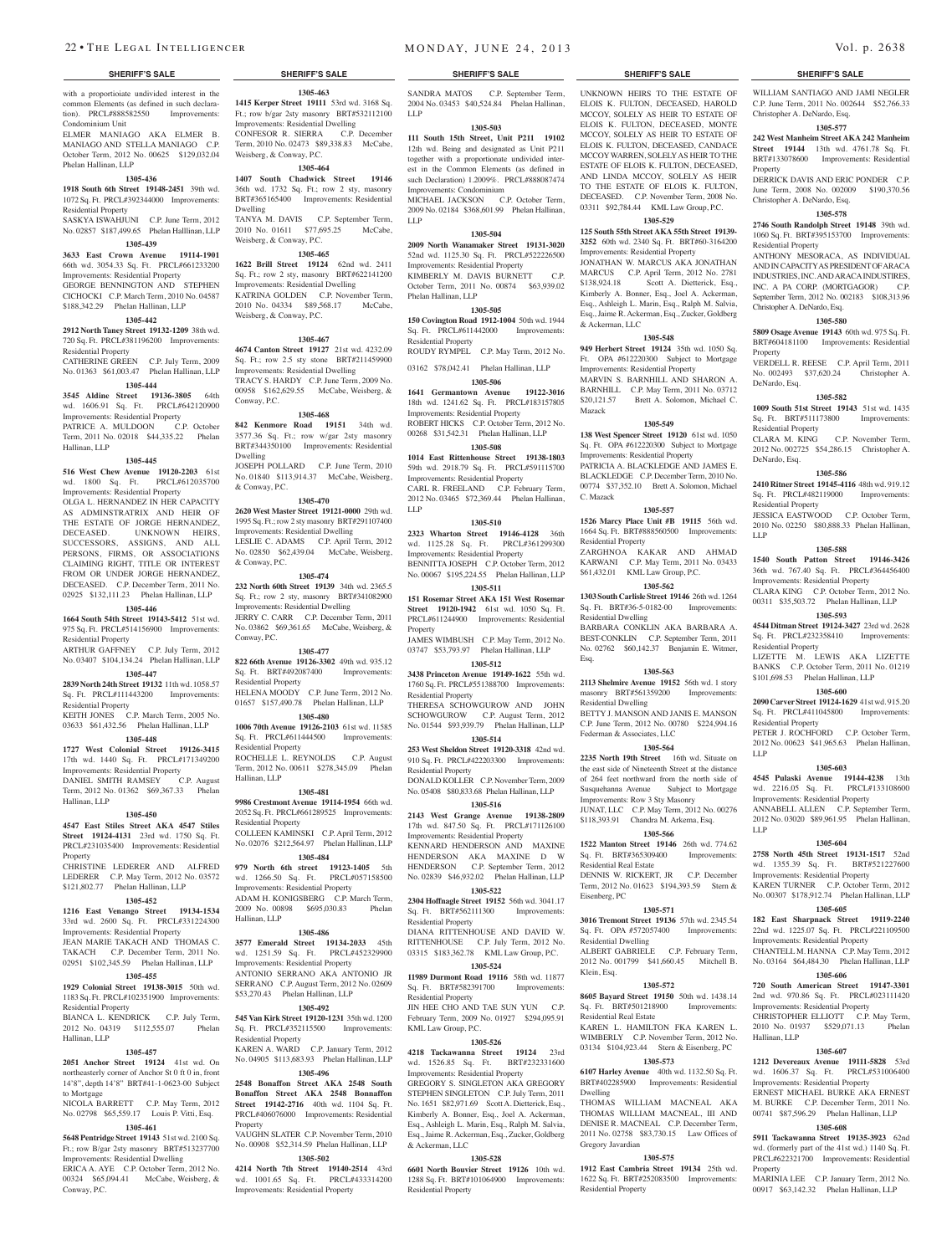#### **SHERIFF'S SALE SHERIFF'S SALE SHERIFF'S SALE SHERIFF'S SALE SHERIFF'S SALE**

with a proportioiate undivided interest in the common Elements (as defined in such declaration). PRCL#888582550 Improvements: Condominium Unit ELMER MANIAGO AKA ELMER B. MANIAGO AND STELLA MANIAGO C.P.

October Term, 2012 No. 00625 \$129,032.04 Phelan Hallinan, LLP

## **1305-436**

**1918 South 6th Street 19148-2451** 39th wd. 1072 Sq. Ft. PRCL#392344000 Improvements: Residential Property SASKYA ISWAHJUNI C.P. June Term, 2012

No. 02857 \$187,499.65 Phelan Halllinan, LLP **1305-439**

#### **3633 East Crown Avenue 19114-1901**

66th wd. 3054.33 Sq. Ft. PRCL#661233200 Improvements: Residential Property GEORGE BENNINGTON AND STEPHEN CICHOCKI C.P. March Term, 2010 No. 04587 \$188,342.29 Phelan Hallinan, LLP

#### **1305-442**

**2912 North Taney Street 19132-1209** 38th wd. 720 Sq. Ft. PRCL#381196200 Improvements: Residential Property

#### CATHERINE GREEN C.P. July Term, 2009 No. 01363 \$61,003.47 Phelan Hallinan, LLP **1305-444**

**3545 Aldine Street 19136-3805** 64th wd. 1606.91 Sq. Ft. PRCL#642120900 Improvements: Residential Property<br>
PATRICE A. MULDOON C.P. October PATRICE A. MULDOON Term, 2011 No. 02018 \$44,335.22 Phelan Hallinan, LLP

#### **1305-445**

**516 West Chew Avenue 19120-2203** 61st wd. 1800 Sq. Ft. PRCL#612035700 Improvements: Residential Property OLGA L. HERNANDEZ IN HER CAPACITY AS ADMINSTRATRIX AND HEIR OF THE ESTATE OF JORGE HERNANDEZ, DECEASED. UNKNOWN HEIRS, UNKNOWN HEIRS. SUCCESSORS, ASSIGNS, AND ALL PERSONS, FIRMS, OR ASSOCIATIONS CLAIMING RIGHT, TITLE OR INTEREST FROM OR UNDER JORGE HERNANDEZ DECEASED. C.P. December Term, 2011 No. 02925 \$132,111.23 Phelan Hallinan, LLP

#### **1305-446**

**1664 South 54th Street 19143-5412** 51st wd. 975 Sq. Ft. PRCL#514156900 Improvements: Residential Property

### ARTHUR GAFFNEY C.P. July Term, 2012 No. 03407 \$104,134.24 Phelan Hallinan, LLP **1305-447**

## **2839 North 24th Street 19132** 11th wd. 1058.57

Sq. Ft. PRCL#111443200 Improvements: Residential Property KEITH JONES C.P. March Term, 2005 No.

03633 \$61,432.56 Phelan Hallinan, LLP **1305-448**

## **1727 West Colonial Street 19126-3415**

17th wd. 1440 Sq. Ft. PRCL#171349200 Improvements: Residential Property

DANIEL SMITH RAMSEY C.P. August Term, 2012 No. 01362 \$69,367.33 Phelan Hallinan, LLP

#### **1305-450**

**4547 East Stiles Street AKA 4547 Stiles Street 19124-4131** 23rd wd. 1750 Sq. Ft. PRCL#231035400 Improvements: Residential Property CHRISTINE LEDERER AND ALFRED

LEDERER C.P. May Term, 2012 No. 03572 \$121,802.77 Phelan Hallinan, LLP

## **1305-452**

**1216 East Venango Street 19134-1534**  33rd wd. 2600 Sq. Ft. PRCL#331224300 Improvements: Residential Property JEAN MARIE TAKACH AND THOMAS C. TAKACH C.P. December Term, 2011 No. 02951 \$102,345.59 Phelan Hallinan, LLP

## **1305-455**

**1929 Colonial Street 19138-3015** 50th wd. 1183 Sq. Ft. PRCL#102351900 Improvements: Residential Property

BIANCA L. KENDRICK C.P. July Term, 2012 No. 04319 \$112,555.07 Phelan Hallinan, LLP

#### **1305-457**

**2051 Anchor Street 19124** 41st wd. On northeasterly corner of Anchor St 0 ft 0 in, front 14'8", depth 14'8" BRT#41-1-0623-00 Subject to Mortgage

NICOLA BARRETT C.P. May Term, 2012 No. 02798 \$65,559.17 Louis P. Vitti, Esq.

## **1305-461**

**5648 Pentridge Street 19143** 51st wd. 2100 Sq. Ft.; row B/gar 2sty masonry BRT#513237700 Improvements: Residential Dwelling ERICA A. AYE C.P. October Term, 2012 No. 00324 \$65,094.41 McCabe, Weisberg, & Conway, P.C.

# **1305-463**

**1415 Kerper Street 19111** 53rd wd. 3168 Sq. Ft.; row b/gar 2sty masonry BRT#532112100 Improvements: Residential Dwelling CONFESOR R. SIERRA C.P. December Term, 2010 No. 02473 \$89,338.83 McCabe, Weisberg, & Conway, P.C.

# **1305-464**

**1407 South Chadwick Street 19146**  36th wd. 1732 Sq. Ft.; row 2 sty, masonry BRT#365165400 Improvements: Residential Dwelling TANYA M. DAVIS C.P. September Term, 2010 No. 01611 \$77,695.25 McCabe, Weisberg, & Conway, P.C.

## **1305-465**

**1622 Brill Street 19124** 62nd wd. 2411 Sq. Ft.; row 2 sty, masonry BRT#622141200 Improvements: Residential Dwelling KATRINA GOLDEN C.P. November Term, 2010 No. 04334 \$89,568.17 McCabe, Weisberg, & Conway, P.C.

#### **1305-467**

**4674 Canton Street 19127** 21st wd. 4232.09 Sq. Ft.; row 2.5 sty stone BRT#211459900 Improvements: Residential Dwelling TRACY S. HARDY C.P. June Term, 2009 No. 00958 \$162,629.55 McCabe, Weisberg, & Conway, P.C.

#### **1305-468**

**842 Kenmore Road 19151** 34th wd. 3577.36 Sq. Ft.; row w/gar 2sty masonry BRT#344350100 Improvements: Residential Dwelling JOSEPH POLLARD C.P. June Term, 2010 No. 01840 \$113,914.37 McCabe, Weisberg,

#### **1305-470**

& Conway, P.C.

**2620 West Master Street 19121-0000** 29th wd. 1995 Sq. Ft.; row 2 sty masonry BRT#291107400 Improvements: Residential Dwelling LESLIE C. ADAMS C.P. April Term, 2012 No. 02850 \$62,439.04 McCabe, Weisberg, & Conway, P.C.

**1305-474**

**232 North 60th Street 19139** 34th wd. 2365.5 Sq. Ft.; row 2 sty, masonry BRT#341082900 Improvements: Residential Dwelling JERRY C. CARR C.P. December Term, 2011 No. 03862 \$69,361.65 McCabe, Weisberg, & Conway, P.C.

#### **1305-477**

**822 66th Avenue 19126-3302** 49th wd. 935.12 Sq. Ft. BRT#492087400 Improvements: Residential Property HELENA MOODY C.P. June Term, 2012 No.

01657 \$157,490.78 Phelan Hallinan, LLP **1305-480 1006 70th Avenue 19126-2103** 61st wd. 11585

Sq. Ft. PRCL#611444500 Improvements: Residential Property

ROCHELLE L. REYNOLDS C.P. August Term, 2012 No. 00611 \$278,345.09 Phelan Hallinan, LLP

#### **1305-481**

**9986 Crestmont Avenue 19114-1954** 66th wd. 2052 Sq. Ft. PRCL#661289525 Improvements: Residential Property COLLEEN KAMINSKI C.P. April Term, 2012 No. 02076 \$212,564.97 Phelan Hallinan, LLP

**1305-484 979 North 6th street 19123-1405** 5th

wd. 1266.50 Sq. Ft. PRCL#057158500 Improvements: Residential Property ADAM H. KONIGSBERG C.P. March Term,<br>2009 No. 00898 \$695,030.83 Phelan 2009 No. 00898 \$695,030.83 Hallinan, LLP

#### **1305-486**

**3577 Emerald Street 19134-2033** 45th wd. 1251.59 Sq. Ft. PRCL#452329900 Improvements: Residential Property ANTONIO SERRANO AKA ANTONIO JR SERRANO C.P. August Term, 2012 No. 02609 \$53,270.43 Phelan Hallinan, LLP

#### **1305-492**

**545 Van Kirk Street 19120-1231** 35th wd. 1200 Sq. Ft. PRCL#352115500 Improvements: Residential Property KAREN A. WARD C.P. January Term, 2012 No. 04905 \$113,683.93 Phelan Hallinan, LLP

#### **1305-496**

**2548 Bonaffon Street AKA 2548 South Bonaffon Street AKA 2548 Bonnaffon Street 19142-2716** 40th wd. 1104 Sq. Ft. PRCL#406076000 Improvements: Residential Property

VAUGHN SLATER C.P. November Term, 2010 No. 00908 \$52,314.59 Phelan Hallinan, LLP **1305-502**

**4214 North 7th Street 19140-2514** 43rd wd. 1001.65 Sq. Ft. PRCL#433314200 Improvements: Residential Property

SANDRA MATOS C.P. September Term, 2004 No. 03453 \$40,524.84 Phelan Hallinan, LLP

UNKNOWN HEIRS TO THE ESTATE OF ELOIS K. FULTON, DECEASED, HAROLD MCCOY, SOLELY AS HEIR TO ESTATE OF ELOIS K. FULTON, DECEASED, MONTE MCCOY, SOLELY AS HEIR TO ESTATE OF ELOIS K. FULTON, DECEASED, CANDACE MCCOY WARREN, SOLELY AS HEIR TO THE ESTATE OF ELOIS K. FULTON, DECEASED AND LINDA MCCOY, SOLELY AS HEIR TO THE ESTATE OF ELOIS K. FULTON, DECEASED. C.P. November Term, 2008 No. 03311 \$92,784.44 KML Law Group, P.C. **1305-529 125 South 55th Street AKA 55th Street 19139- 3252** 60th wd. 2340 Sq. Ft. BRT#60-3164200 WILLIAM SANTIAGO AND JAMI NEGLER C.P. June Term, 2011 No. 002644 \$52,766.33

**1305-577 242 West Manheim Street AKA 242 Manheim Street 19144** 13th wd. 4761.78 Sq. Ft. BRT#133078600 Improvements: Residential

DERRICK DAVIS AND ERIC PONDER C.P. June Term, 2008 No. 002009 \$190,370.56

**1305-578 2746 South Randolph Street 19148** 39th wd. 1060 Sq. Ft. BRT#395153700 Improvements:

ANTHONY MESORACA, AS INDIVIDUAL AND IN CAPACITY AS PRESIDENT OF ARACA INDUSTRIES, INC. AND ARACA INDUSTIRES, INC. A PA CORP. (MORTGAGOR) C.P. September Term, 2012 No. 002183 \$108,313.96

**1305-580 5809 Osage Avenue 19143** 60th wd. 975 Sq. Ft. BRT#604181100 Improvements: Residential

VERDELL R. REESE C.P. April Term, 2011 No. 002493 \$37,620.24 Christopher A.

**1305-582 1009 South 51st Street 19143** 51st wd. 1435 Sq. Ft. BRT#511173800 Improvements:

CLARA M. KING C.P. November Term, 2012 No. 002725 \$54,286.15 Christopher A.

**1305-586 2410 Ritner Street 19145-4116** 48th wd. 919.12 Sq. Ft. PRCL#482119000 Improvements:

JESSICA EASTWOOD C.P. October Term, 2010 No. 02250 \$80,888.33 Phelan Hallinan,

**1305-588 1540 South Patton Street 19146-3426**  36th wd. 767.40 Sq. Ft. PRCL#364456400 Improvements: Residential Property CLARA KING C.P. October Term, 2012 No. 00311 \$35,503.72 Phelan Hallinan, LLP **1305-593 4544 Ditman Street 19124-3427** 23rd wd. 2628 Sq. Ft. PRCL#232358410 Improvements:

LIZETTE M. LEWIS AKA LIZETTE BANKS C.P. October Term, 2011 No. 01219 \$101,698.53 Phelan Hallinan, LLP **1305-600 2090 Carver Street 19124-1629** 41st wd. 915.20 Sq. Ft. PRCL#411045800 Improvements:

PETER J. ROCHFORD C.P. October Term. 2012 No. 00623 \$41,965.63 Phelan Hallinan,

**1305-603 4545 Pulaski Avenue 19144-4238** 13th wd. 2216.05 Sq. Ft. PRCL#133108600 Improvements: Residential Property ANNABELL ALLEN C.P. September Term, 2012 No. 03020 \$89,961.95 Phelan Hallinan,

**1305-604 2758 North 45th Street 19131-1517** 52nd wd. 1355.39 Sq. Ft. BRT#521227600 Improvements: Residential Property KAREN TURNER C.P. October Term, 2012 No. 00307 \$178,912.74 Phelan Hallinan, LLP **1305-605 182 East Sharpnack Street 19119-2240**  22nd wd. 1225.07 Sq. Ft. PRCL#221109500 Improvements: Residential Property CHANTELL M. HANNA C.P. May Term, 2012 No. 03164 \$64,484.30 Phelan Hallinan, LLP **1305-606 720 South American Street 19147-3301**  2nd wd. 970.86 Sq. Ft. PRCL#023111420 Improvements: Residential Property

CHRISTOPHER ELLIOTT C.P. May Term,<br>2010 No. 01937 \$529,071.13 Phelan 2010 No. 01937 \$529,071.13

**1305-607 1212 Devereaux Avenue 19111-5828** 53rd wd. 1606.37 Sq. Ft. PRCL#531006400 Improvements: Residential Property ERNEST MICHAEL BURKE AKA ERNEST M. BURKE C.P. December Term, 2011 No. 00741 \$87,596.29 Phelan Hallinan, LLP **1305-608 5911 Tackawanna Street 19135-3923** 62nd wd. (formerly part of the 41st wd.) 1140 Sq. Ft. PRCL#622321700 Improvements: Residential

MARINIA LEE C.P. January Term, 2012 No. 00917 \$63,142.32 Phelan Hallinan, LLP

Christopher A. DeNardo, Esq.

Christopher A. DeNardo, Esq.

Christopher A. DeNardo, Esq.

Residential Property

Property

Property

DeNardo, Esq.

Residential Property

Residential Property

Residential Property

Residential Property

LLP

LLP

Hallinan, LLP

Property

DeNardo, Esq.

LLP

Improvements: Residential Property

& Ackerman, LLC

Mazack

C. Mazack

Residential Property

Residential Dwelling

Residential Dwelling

Residential Real Estate

Residential Dwelling

Residential Real Estate

Eisenberg, PC

Klein, Esq.

Dwelling

Gregory Javardian

Residential Property

Federman & Associates, LLC

Esq.

JONATHAN W. MARCUS AKA JONATHAN MARCUS C.P. April Term, 2012 No. 2781 \$138,924.18 Scott A. Dietterick, Esq., Kimberly A. Bonner, Esq., Joel A. Ackerman, Esq., Ashleigh L. Marin, Esq., Ralph M. Salvia, Esq., Jaime R. Ackerman, Esq., Zucker, Goldberg

**1305-548 949 Herbert Street 19124** 35th wd. 1050 Sq. Ft. OPA #612220300 Subject to Mortgage Improvements: Residential Property MARVIN S. BARNHILL AND SHARON A. BARNHILL C.P. May Term, 2011 No. 03712 \$20,121.57 Brett A. Solomon, Michael C.

**1305-549 138 West Spencer Street 19120** 61st wd. 1050 Sq. Ft. OPA #612220300 Subject to Mortgage

PATRICIA A. BLACKLEDGE AND JAMES E. BLACKLEDGE C.P. December Term, 2010 No. 00774 \$37,352.10 Brett A. Solomon, Michael

**1305-557 1526 Marcy Place Unit #B 19115** 56th wd. 1664 Sq. Ft. BRT#888560500 Improvements:

ZARGHNOA KAKAR AND AHMAD KARWANI C.P. May Term, 2011 No. 03433 \$61,432.01 KML Law Group, P.C. **1305-562 1303 South Carlisle Street 19146** 26th wd. 1264 Sq. Ft. BRT#36-5-0182-00 Improvements:

BARBARA CONKLIN AKA BARBARA A. BEST-CONKLIN C.P. September Term, 2011 No. 02762 \$60,142.37 Benjamin E. Witmer,

**1305-563 2113 Shelmire Avenue 19152** 56th wd. 1 story masonry BRT#561359200 Improvements:

BETTY J. MANSON AND JANIS E. MANSON C.P. June Term, 2012 No. 00780 \$224,994.16

**1305-564 2235 North 19th Street** 16th wd. Situate on the east side of Nineteenth Street at the distance of 264 feet northward from the north side of Susquehanna Avenue Subject to Mortgage Improvements: Row 3 Sty Masonry

JUNAT, LLC C.P. May Term, 2012 No. 00276 \$118,393.91 Chandra M. Arkema, Esq. **1305-566 1522 Manton Street 19146** 26th wd. 774.62 Sq. Ft. BRT#365309400 Improvements:

DENNIS W. RICKERT, JR C.P. December Term, 2012 No. 01623 \$194,393.59 Stern &

**1305-571 3016 Tremont Street 19136** 57th wd. 2345.54 Sq. Ft. OPA #572057400 Improvements:

ALBERT GABRIELE C.P. February Term, 2012 No. 001799 \$41,660.45 Mitchell B.

**1305-572 8605 Bayard Street 19150** 50th wd. 1438.14 Sq. Ft. BRT#501218900 Improvements:

KAREN L. HAMILTON FKA KAREN L. WIMBERLY C.P. November Term, 2012 No. 03134 \$104,923.44 Stern & Eisenberg, PC **1305-573 6107 Harley Avenue** 40th wd. 1132.50 Sq. Ft. BRT#402285900 Improvements: Residential

THOMAS WILLIAM MACNEAL AKA THOMAS WILLIAM MACNEAL, III AND DENISE R. MACNEAL C.P. December Term, 2011 No. 02758 \$83,730.15 Law Offices of

**1305-575 1912 East Cambria Street 19134** 25th wd. 1622 Sq. Ft. BRT#252083500 Improvements:

Improvements: Residential Property

#### **1305-503**

**111 South 15th Street, Unit P211 19102**  12th wd. Being and designated as Unit P211 together with a proportionate undivided interest in the Common Elements (as defined in such Declaration) 1.2009%. PRCL#888087474 Improvements: Condominium

MICHAEL JACKSON C.P. October Term, 2009 No. 02184 \$368,601.99 Phelan Hallinan, LLP

#### **1305-504**

**2009 North Wanamaker Street 19131-3020**  52nd wd. 1125.30 Sq. Ft. PRCL#522226500 Improvements: Residential Property KIMBERLY M. DAVIS BURNETT October Term, 2011 No. 00874 \$63,939.02 Phelan Hallinan, LLP

#### **1305-505 150 Covington Road 1912-1004** 50th wd. 1944 Sq. Ft. PRCL#611442000 Improvements:

Residential Property ROUDY RYMPEL C.P. May Term, 2012 No.

03162 \$78,042.41 Phelan Hallinan, LLP

#### **1305-506**

**1641 Germantown Avenue 19122-3016**  18th wd. 1241.62 Sq. Ft. PRCL#183157805 Improvements: Residential Property ROBERT HICKS C.P. October Term, 2012 No. 00268 \$31,542.31 Phelan Hallinan, LLP

## **1305-508**

**1014 East Rittenhouse Street 19138-1803**  59th wd. 2918.79 Sq. Ft. PRCL#591115700 Improvements: Residential Property

CARL R. FREELAND C.P. February Term, 2012 No. 03465 \$72,369.44 Phelan Hallinan, LLP

#### **1305-510**

**2323 Wharton Street 19146-4128** 36th wd. 1125.28 Sq. Ft. PRCL#361299300 Improvements: Residential Property BENNITTA JOSEPH C.P. October Term, 2012

No. 00067 \$195,224.55 Phelan Hallinan, LLP **1305-511**

**151 Rosemar Street AKA 151 West Rosemar Street 19120-1942** 61st wd. 1050 Sq. Ft. PRCL#611244900 Improvements: Residential Property

JAMES WIMBUSH C.P. May Term, 2012 No. 03747 \$53,793.97 Phelan Hallinan, LLP **1305-512**

**3438 Princeton Avenue 19149-1622** 55th wd. 1760 Sq. Ft. PRCL#551388700 Improvements: Residential Property

THERESA SCHOWGUROW AND JOHN SCHOWGUROW C.P. August Term, 2012 No. 01544 \$93,939.79 Phelan Hallinan, LLP **1305-514**

**253 West Sheldon Street 19120-3318** 42nd wd. 910 Sq. Ft. PRCL#422203300 Improvements: Residential Property

DONALD KOLLER C.P. November Term, 2009 No. 05408 \$80,833.68 Phelan Hallinan, LLP **1305-516**

**2143 West Grange Avenue 19138-2809**  17th wd. 847.50 Sq. Ft. PRCL#171126100 Improvements: Residential Property KENNARD HENDERSON AND MAXINE HENDERSON AKA MAXINE D W

HENDERSON C.P. September Term, 2012 No. 02839 \$46,932.02 Phelan Hallinan, LLP **1305-522 2304 Hoffnagle Street 19152** 56th wd. 3041.17

Sq. Ft. BRT#562111300 Improvements: Residential Property

DIANA RITTENHOUSE AND DAVID W. RITTENHOUSE C.P. July Term, 2012 No. 03315 \$183,362.78 KML Law Group, P.C. **1305-524**

**11989 Durmont Road 19116** 58th wd. 11877 Sq. Ft. BRT#582391700 Improvements: Residential Property

JIN HEE CHO AND TAE SUN YUN C.P. February Term, 2009 No. 01927 \$294,095.91 KML Law Group, P.C.

**1305-526 4218 Tackawanna Street 19124** 23rd wd. 1526.85 Sq. Ft. BRT#232331600 Improvements: Residential Property GREGORY S. SINGLETON AKA GREGORY STEPHEN SINGLETON C.P. July Term, 2011 No. 1651 \$82,971.69 Scott A. Dietterick, Esq., Kimberly A. Bonner, Esq., Joel A. Ackerman, Esq., Ashleigh L. Marin, Esq., Ralph M. Salvia, Esq., Jaime R. Ackerman, Esq., Zucker, Goldberg

**1305-528 6601 North Bouvier Street 19126** 10th wd. 1288 Sq. Ft. BRT#101064900 Improvements:

& Ackerman, LLC

Residential Property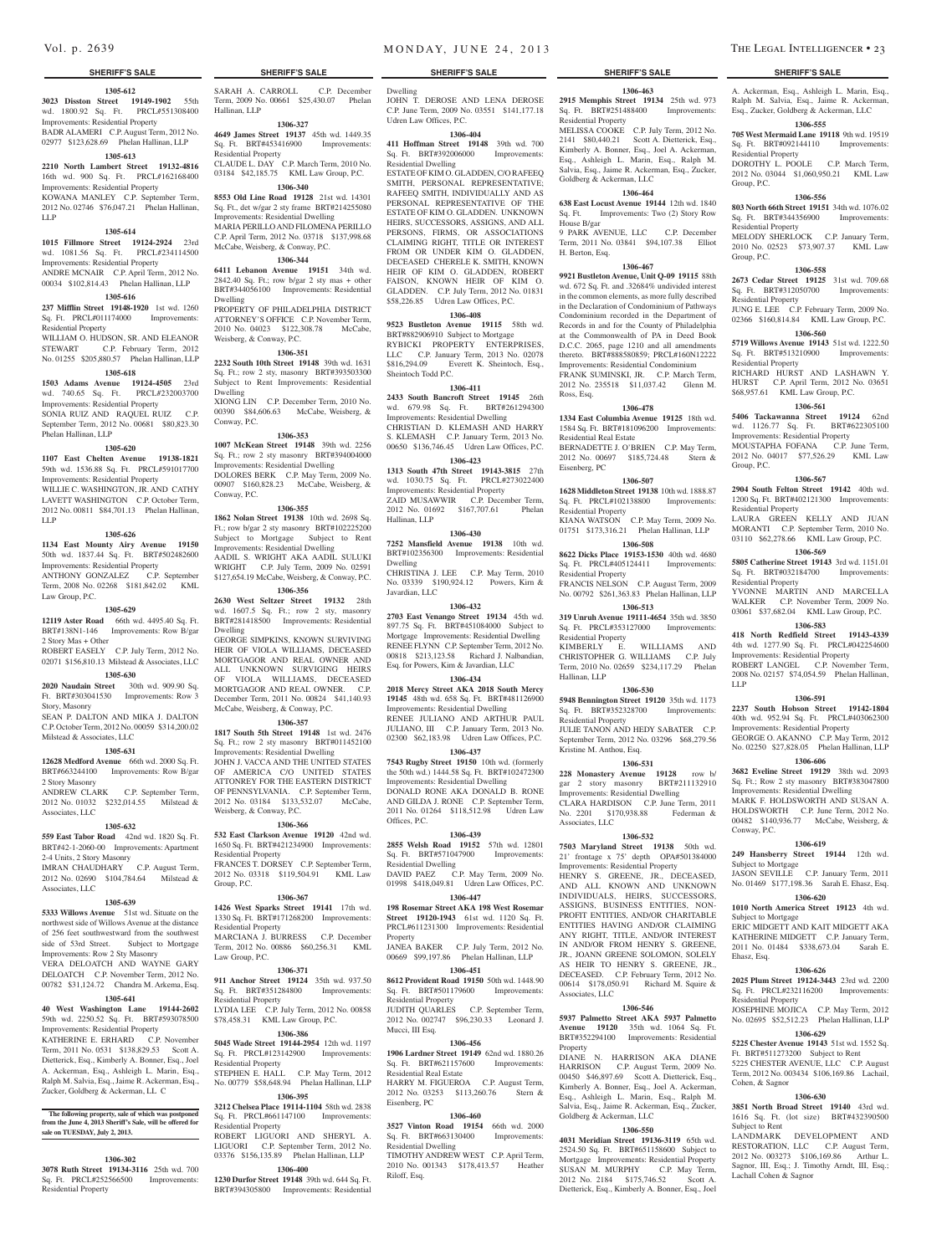#### **1305-612**

**3023 Disston Street 19149-1902** 55th wd. 1800.92 Sq. Ft. PRCL#551308400 Improvements: Residential Property BADR ALAMERI C.P. August Term, 2012 No. 02977 \$123,628.69 Phelan Hallinan, LLP

#### **1305-613**

**2210 North Lambert Street 19132-4816**  16th wd. 900 Sq. Ft. PRCL#162168400 Improvements: Residential Property KOWANA MANLEY C.P. September Term,

# 2012 No. 02746 \$76,047.21 Phelan Hallinan,

#### **1305-614**

LLP

**1015 Fillmore Street 19124-2924** 23rd wd. 1081.56 Sq. Ft. PRCL#234114500 Improvements: Residential Property ANDRE MCNAIR C.P. April Term, 2012 No.

00034 \$102,814.43 Phelan Hallinan, LLP **1305-616**

**237 Mifflin Street 19148-1920** 1st wd. 1260 Sq. Ft. PRCL#011174000 Improvements: Residential Property

WILLIAM O. HUDSON, SR. AND ELEANOR STEWART C.P. February Term, 2012 No. 01255 \$205,880.57 Phelan Hallinan, LLP

## **1305-618**

**1503 Adams Avenue 19124-4505** 23rd wd. 740.65 Sq. Ft. PRCL#232003700 Improvements: Residential Property SONIA RUIZ AND RAQUEL RUIZ C.P. September Term, 2012 No. 00681 \$80,823.30

#### **1305-620**

Phelan Hallinan, LLP

**1107 East Chelten Avenue 19138-1821**  59th wd. 1536.88 Sq. Ft. PRCL#591017700 Improvements: Residential Property

WILLIE C. WASHINGTON, JR. AND CATHY LAVETT WASHINGTON C.P. October Term, 2012 No. 00811 \$84,701.13 Phelan Hallinan, LLP

#### **1305-626**

**1134 East Mounty Airy Avenue 19150**  50th wd. 1837.44 Sq. Ft. BRT#502482600 Improvements: Residential Property ANTHONY GONZALEZ C.P. September

Term, 2008 No. 02268 \$181,842.02 KML Law Group, P.C.

## **1305-629**

**12119 Aster Road** 66th wd. 4495.40 Sq. Ft. BRT#138N1-146 Improvements: Row B/gar 2 Story Mas + Other

#### ROBERT EASELY C.P. July Term, 2012 No. 02071 \$156,810.13 Milstead & Associates, LLC

**1305-630**

## **2020 Naudain Street** 30th wd. 909.90 Sq.

Ft. BRT#303041530 Improvements: Row 3 Story, Masonry SEAN P. DALTON AND MIKA J. DALTON C.P. October Term, 2012 No. 00059 \$314,200.02

Milstead & Associates, LLC **1305-631**

**12628 Medford Avenue** 66th wd. 2000 Sq. Ft. BRT#663244100 Improvements: Row B/gar 2 Story Masonry

ANDREW CLARK C.P. September Term, 2012 No. 01032 \$232,014.55 Milstead & Associates, LLC

#### **1305-632**

**559 East Tabor Road** 42nd wd. 1820 Sq. Ft. BRT#42-1-2060-00 Improvements: Apartment 2-4 Units, 2 Story Masonry

IMRAN CHAUDHARY C.P. August Term, 2012 No. 02690 \$104,784.64 Milstead & Associates, LLC

## **1305-639**

**5333 Willows Avenue** 51st wd. Situate on the northwest side of Willows Avenue at the distance of 256 feet southwestward from the southwest side of 53rd Street. Subject to Mortgage Improvements: Row 2 Sty Masonry

VERA DELOATCH AND WAYNE GARY DELOATCH C.P. November Term, 2012 No. 00782 \$31,124.72 Chandra M. Arkema, Esq.

#### **1305-641**

**40 West Washington Lane 19144-2602**  59th wd. 2250.52 Sq. Ft. BRT#593078500 Improvements: Residential Property

#### KATHERINE E. ERHARD C.P. November Term, 2011 No. 0531 \$138,829.53 Scott A. Dietterick, Esq., Kimberly A. Bonner, Esq., Joel A. Ackerman, Esq., Ashleigh L. Marin, Esq., Ralph M. Salvia, Esq., Jaime R. Ackerman, Esq., Zucker, Goldberg & Ackerman, LL C

**The following property, sale of which was postponed from the June 4, 2013 Sheriff's Sale, will be offered for sale on TUESDAY, July 2, 2013.**

#### **1306-302**

**3078 Ruth Street 19134-3116** 25th wd. 700 Sq. Ft. PRCL#252566500 Improvements: Residential Property

**SHERIFF'S SALE SHERIFF'S SALE SHERIFF'S SALE SHERIFF'S SALE SHERIFF'S SALE** SARAH A. CARROLL C.P. December

> **1306-327 4649 James Street 19137** 45th wd. 1449.35 Sq. Ft. BRT#453416900 Improvements:

CLAUDE L. DAY C.P. March Term, 2010 No. 03184 \$42,185.75 KML Law Group, P.C. **1306-340 8553 Old Line Road 19128** 21st wd. 14301 Sq. Ft., det w/gar 2 sty frame BRT#214255080 Improvements: Residential Dwelling MARIA PERILLOAND FILOMENA PERILLO C.P. April Term, 2012 No. 03718 \$137,998.68 McCabe, Weisberg, & Conway, P.C. **1306-344 6411 Lebanon Avenue 19151** 34th wd. 2842.40 Sq. Ft.; row  $b/$ gar 2 sty mas + other BRT#344056100 Improvements: Residential

PROPERTY OF PHILADELPHIA DISTRICT ATTORNEY'S OFFICE C.P. November Term, 2010 No. 04023 \$122,308.78 McCabe,

**1306-351 2232 South 10th Street 19148** 39th wd. 1631 Sq. Ft.; row 2 sty, masonry BRT#393503300 Subject to Rent Improvements: Residential

XIONG LIN C.P. December Term, 2010 No. 00390 \$84,606.63 McCabe, Weisberg, &

**1306-353 1007 McKean Street 19148** 39th wd. 2256 Sq. Ft.; row 2 sty masonry BRT#394004000 Improvements: Residential Dwelling DOLORES BERK C.P. May Term, 2009 No. 00907 \$160,828.23 McCabe, Weisberg, &

**1306-355 1862 Nolan Street 19138** 10th wd. 2698 Sq. Ft.; row b/gar 2 sty masonry BRT#102225200<br>Subject to Mortgage Subject to Rent

GEORGE SIMPKINS, KNOWN SURVIVING HEIR OF VIOLA WILLIAMS, DECEASED MORTGAGOR AND REAL OWNER AND ALL UNKNOWN SURVIGING HEIRS OF VIOLA WILLIAMS, DECEASED MORTGAGOR AND REAL OWNER. C.P. December Term, 2011 No. 00824 \$41,140.93 McCabe, Weisberg, & Conway, P.C. **1306-357 1817 South 5th Street 19148** 1st wd. 2476 Sq. Ft.; row 2 sty masonry BRT#011452100 Improvements: Residential Dwelling JOHN J. VACCA AND THE UNITED STATES OF AMERICA C/O UNITED STATES ATTONREY FOR THE EASTERN DISTRICT OF PENNSYLVANIA. C.P. September Term, 2012 No. 03184 \$133,532.07 McCabe,

Weisberg, & Conway, P.C.

Hallinan, LLP

Dwelling

Dwelling

Conway, P.C.

Conway, P.C.

Dwelling

Subject to Mortgage Improvements: Residential Dwelling AADIL S. WRIGHT AKA AADIL SULUKI WRIGHT C.P. July Term, 2009 No. 02591 \$127,654.19 McCabe, Weisberg, & Conway, P.C. **1306-356 2630 West Seltzer Street 19132** 28th wd. 1607.5 Sq. Ft.; row 2 sty, masonry BRT#281418500 Improvements: Residential

Weisberg, & Conway, P.C.

Residential Property

Residential Property

Law Group, P.C.

Residential Property

Residential Property

Residential Property

Group, P.C.

**1306-366 532 East Clarkson Avenue 19120** 42nd wd. 1650 Sq. Ft. BRT#421234900 Improvements:

FRANCES T. DORSEY C.P. September Term, 2012 No. 03318 \$119,504.91 KML Law

**1306-367 1426 West Sparks Street 19141** 17th wd. 1330 Sq. Ft. BRT#171268200 Improvements:

MARCIANA J. BURRESS C.P. December Term, 2012 No. 00886 \$60,256.31 KML

**1306-371 911 Anchor Street 19124** 35th wd. 937.50 Sq. Ft. BRT#351284800 Improvements:

LYDIA LEE C.P. July Term, 2012 No. 00858 \$78,458.31 KML Law Group, P.C. **1306-386 5045 Wade Street 19144-2954** 12th wd. 1197 Sq. Ft. PRCL#123142900 Improvements:

STEPHEN E. HALL C.P. May Term, 2012 No. 00779 \$58,648.94 Phelan Hallinan, LLP **1306-395 3212 Chelsea Place 19114-1104** 58th wd. 2838 Sq. Ft. PRCL#661147100 Improvements:

ROBERT LIGUORI AND SHERYL A. LIGUORI C.P. September Term, 2012 No. 03376 \$156,135.89 Phelan Hallinan, LLP **1306-400 1230 Durfor Street 19148** 39th wd. 644 Sq. Ft. BRT#394305800 Improvements: Residential

Residential Property

Term, 2009 No. 00661 \$25,430.07 Phelan Dwelling JOHN T. DEROSE AND LENA DEROSE C.P. June Term, 2009 No. 03551 \$141,177.18 Udren Law Offices, P.C.

#### **1306-404**

**411 Hoffman Street 19148** 39th wd. 700 Sq. Ft. BRT#392006000 Improvements: Residential Dwelling

ESTATE OF KIM O. GLADDEN, C/O RAFEEQ SMITH, PERSONAL REPRESENTATIVE; RAFEEQ SMITH, INDIVIDUALLY AND AS PERSONAL REPRESENTATIVE OF THE ESTATE OF KIM O. GLADDEN. UNKNOWN HEIRS, SUCCESSORS, ASSIGNS, AND ALL PERSONS, FIRMS, OR ASSOCIATIONS CLAIMING RIGHT, TITLE OR INTEREST FROM OR UNDER KIM O. GLADDEN, DECEASED CHERELE K. SMITH, KNOWN HEIR OF KIM O. GLADDEN, ROBERT FAISON, KNOWN HEIR OF KIM O. GLADDEN. C.P. July Term, 2012 No. 01831 \$58,226.85 Udren Law Offices, P.C.

#### **1306-408**

**9523 Bustleton Avenue 19115** 58th wd. BRT#882906910 Subject to Mortgage RYBICKI PROPERTY ENTERPRISES, LLC C.P. January Term, 2013 No. 02078<br>\$816,294.09 Everett K. Sheintoch, Esq., Everett K. Sheintoch, Esq., Sheintoch Todd P.C.

#### **1306-411**

**2433 South Bancroft Street 19145** 26th wd. 679.98 Sq. Ft. BRT#261294300 Improvements: Residential Dwelling CHRISTIAN D. KLEMASH AND HARRY S. KLEMASH C.P. January Term, 2013 No. 00650 \$136,746.45 Udren Law Offices, P.C.

# **1306-423**

**1313 South 47th Street 19143-3815** 27th wd. 1030.75 Sq. Ft. PRCL#273022400 Improvements: Residential Property ZAID MUSAWWIR C.P. December Term 2012 No. 01692 \$167,707.61 Phelan Hallinan, LLP

#### **1306-430**

**7252 Mansfield Avenue 19138** 10th wd. BRT#102356300 Improvements: Residential Dwelling CHRISTINA J. LEE C.P. May Term, 2010

No. 03339 \$190,924.12 Powers, Kirn & Javardian, LLC

**1306-432**

**2703 East Venango Street 19134** 45th wd. 897.75 Sq. Ft. BRT#451084000 Subject to Mortgage Improvements: Residential Dwelling RENEE FLYNN C.P. September Term, 2012 No. 00818 \$213,123.58 Richard J. Nalbandian, Esq. for Powers, Kim & Javardian, LLC

## **1306-434**

**2018 Mercy Street AKA 2018 South Mercy 19145** 48th wd. 658 Sq. Ft. BRT#481126900 Improvements: Residential Dwelling RENEE JULIANO AND ARTHUR PAUL JULIANO, III C.P. January Term, 2013 No. 02300 \$62,183.98 Udren Law Offices, P.C.

#### **1306-437**

**7543 Rugby Street 19150** 10th wd. (formerly the 50th wd.) 1444.58 Sq. Ft. BRT#102472300 Improvements: Residential Dwelling DONALD RONE AKA DONALD B. RONE AND GILDA J. RONE C.P. September Term, 2011 No. 01264 \$118,512.98 Udren Law Offices, P.C.

#### **1306-439**

**2855 Welsh Road 19152** 57th wd. 12801 Sq. Ft. BRT#571047900 Improvements: Residential Dwelling DAVID PAEZ C.P. May Term, 2009 No. 01998 \$418,049.81 Udren Law Offices, P.C.

#### **1306-447**

**198 Rosemar Street AKA 198 West Rosemar Street 19120-1943** 61st wd. 1120 Sq. Ft. PRCL#611231300 Improvements: Residential Property

JANEA BAKER C.P. July Term, 2012 No. 00669 \$99,197.86 Phelan Hallinan, LLP **1306-451**

**8612 Provident Road 19150** 50th wd. 1448.90 Sq. Ft. BRT#501179600 Improvements: Residential Property JUDITH QUARLES C.P. September Term,

2012 No. 002747 \$96,230.33 Leonard J. Mucci, III Esq.

#### **1306-456 1906 Lardner Street 19149** 62nd wd. 1880.26 Sq. Ft. BRT#621157600 Improvements:

Residential Real Estate HARRY M. FIGUEROA C.P. August Term, 2012 No. 03253 \$113,260.76 Stern & Eisenberg, PC

#### **1306-460**

**3527 Vinton Road 19154 66th wd. 2000**<br>Sq. Ft. BRT#663130400 **Improvements:** Sq. Ft. BRT#663130400 Residential Dwelling TIMOTHY ANDREW WEST C.P. April Term, 2010 No. 001343 \$178,413.57 Heather Riloff, Esq.

A. Ackerman, Esq., Ashleigh L. Marin, Esq., Ralph M. Salvia, Esq., Jaime R. Ackerman, Esq., Zucker, Goldberg & Ackerman, LLC **1306-555 705 West Mermaid Lane 19118** 9th wd. 19519 Sq. Ft. BRT#092144110 Improvements:

DOROTHY L. POOLE C.P. March Term, 2012 No. 03044 \$1,060,950.21 KML Law

**1306-556 803 North 66th Street 19151** 34th wd. 1076.02 Sq. Ft. BRT#344356900 Improvements:

MELODY SHERLOCK C.P. January Term, 2010 No. 02523 \$73,907.37 KML Law

**1306-558 2673 Cedar Street 19125** 31st wd. 709.68 Sq. Ft. BRT#312050700 Improvements:

JUNG E. LEE C.P. February Term, 2009 No. 02366 \$160,814.84 KML Law Group, P.C. **1306-560 5719 Willows Avenue 19143** 51st wd. 1222.50 Sq. Ft. BRT#513210900 Improvements:

RICHARD HURST AND LASHAWN Y. HURST C.P. April Term, 2012 No. 03651 \$68,957.61 KML Law Group, P.C. **1306-561 5406 Tackawanna Street 19124** 62nd wd. 1126.77 Sq. Ft. BRT#622305100 Improvements: Residential Property MOUSTAPHA FOFANA C.P. June Term, 2012 No. 04017 \$77,526.29 KML Law

**1306-567 2904 South Felton Street 19142** 40th wd. 1200 Sq. Ft. BRT#402121300 Improvements:

LAURA GREEN KELLY AND JUAN MORANTI C.P. September Term, 2010 No. 03110 \$62,278.66 KML Law Group, P.C. **1306-569 5805 Catherine Street 19143** 3rd wd. 1151.01 Sq. Ft. BRT#032184700 Improvements:

YVONNE MARTIN AND MARCELLA WALKER C.P. November Term, 2009 No. 03061 \$37,682.04 KML Law Group, P.C. **1306-583 418 North Redfield Street 19143-4339**  4th wd. 1277.90 Sq. Ft. PRCL#042254600 Improvements: Residential Property ROBERT LANGEL C.P. November Term, 2008 No. 02157 \$74,054.59 Phelan Hallinan,

**1306-591 2237 South Hobson Street 19142-1804**  40th wd. 952.94 Sq. Ft. PRCL#403062300 Improvements: Residential Property GEORGE O. AKANNO C.P. May Term, 2012 No. 02250 \$27,828.05 Phelan Hallinan, LLP **1306-606 3682 Eveline Street 19129** 38th wd. 2093 Sq. Ft.; Row 2 sty masonry BRT#383047800 Improvements: Residential Dwelling MARK F. HOLDSWORTH AND SUSAN A. HOLDSWORTH C.P. June Term, 2012 No. 00482 \$140,936.77 McCabe, Weisberg, &

**1306-619 249 Hansberry Street 19144** 12th wd.

JASON SEVILLE C.P. January Term, 2011 No. 01469 \$177,198.36 Sarah E. Ehasz, Esq. **1306-620 1010 North America Street 19123** 4th wd.

ERIC MIDGETT AND KAIT MIDGETT AKA KATHERINE MIDGETT C.P. January Term, 2011 No. 01484 \$338,673.04 Sarah E.

**1306-626 2025 Plum Street 19124-3443** 23rd wd. 2200 Sq. Ft. PRCL#232116200 Improvements:

JOSEPHINE MOJICA C.P. May Term, 2012 No. 02695 \$52,512.23 Phelan Hallinan, LLP **1306-629 5225 Chester Avenue 19143** 51st wd. 1552 Sq. Ft. BRT#511273200 Subject to Rent 5225 CHESTER AVENUE, LLC C.P. August Term, 2012 No. 003434 \$106,169.86 Lachail,

**1306-630 3851 North Broad Street 19140** 43rd wd. 1616 Sq. Ft. (lot size) BRT#432390500

LANDMARK DEVELOPMENT A RESTORATION, LLC C.P. August Term, 2012 No. 003273 \$106,169.86 Arthur L. Sagnor, III, Esq.; J. Timothy Arndt, III, Esq.;

Residential Property

Residential Property

Residential Property

Residential Property

Group, P.C.

Residential Property

Residential Property

LLP

Conway, P.C.

Subject to Mortgage

Subject to Mortgage

Residential Property

Cohen, & Sagnor

Subject to Rent

Lachall Cohen & Sagnor

Ehasz, Esq.

Group, P.C.

Group, P.C.

**1306-463 2915 Memphis Street 19134** 25th wd. 973 Sq. Ft. BRT#251488400 Improvements: Residential Property

MELISSA COOKE C.P. July Term, 2012 No. 2141 \$80,440.21 Scott A. Dietterick, Esq., Kimberly A. Bonner, Esq., Joel A. Ackerman, Esq., Ashleigh L. Marin, Esq., Ralph M. Salvia, Esq., Jaime R. Ackerman, Esq., Zucker, Goldberg & Ackerman, LLC

#### **1306-464**

**638 East Locust Avenue 19144** 12th wd. 1840 Sq. Ft. Improvements: Two (2) Story Row House B/gar

9 PARK AVENUE, LLC C.P. December Term, 2011 No. 03841 \$94,107.38 Elliot H. Berton, Esq.

#### **1306-467**

**9921 Bustleton Avenue, Unit Q-09 19115** 88th wd. 672 Sq. Ft. and .32684% undivided interest in the common elements, as more fully described in the Declaration of Condominium of Pathways Condominium recorded in the Department of Records in and for the County of Philadelphia at the Commonwealth of PA in Deed Book D.C.C. 2065, page 1210 and all amendments thereto. BRT#888580859; PRCL#160N12222 Improvements: Residential Condominium FRANK SUMINSKI, JR. C.P. March Term, 2012 No. 235518 \$11,037.42 Glenn M. Ross, Esq.

#### **1306-478**

**1334 East Columbia Avenue 19125** 18th wd. 1584 Sq. Ft. BRT#181096200 Improvements: Residential Real Estate BERNADETTE J. O'BRIEN C.P. May Term, 2012 No. 00697 \$185,724.48 Stern & Eisenberg, PC

#### **1306-507**

**1628 Middleton Street 19138** 10th wd. 1888.87 Sq. Ft. PRCL#102138800 Improvements: Residential Property KIANA WATSON C.P. May Term, 2009 No.

01751 \$173,316.21 Phelan Hallinan, LLP **1306-508**

# **8622 Dicks Place 19153-1530** 40th wd. 4680

Sq. Ft. PRCL#405124411 Improvements: Residential Property FRANCIS NELSON C.P. August Term, 2009 No. 00792 \$261,363.83 Phelan Hallinan, LLP **1306-513**

**319 Unruh Avenue 19111-4654** 35th wd. 3850

Sq. Ft. PRCL#353127000 Improvements: Residential Property KIMBERLY E. WILLIAMS A CHRISTOPHER G. WILLIAMS C.P. July

Term, 2010 No. 02659 \$234,117.29 Phelan

## **1306-530**

Hallinan, LLP

**5948 Bennington Street 19120** 35th wd. 1173 Sq. Ft. BRT#352328700 Improvements: Residential Property

JULIE TANON AND HEDY SABATER C.P. September Term, 2012 No. 03296 \$68,279.56 Kristine M. Anthou, Esq.

#### **1306-531**

**228 Monastery Avenue 19128** row b/ gar 2 story masonry BRT#211132910 Improvements: Residential Dwelling CLARA HARDISON C.P. June Term, 2011 No. 2201 \$170,938.88 Federman & Associates, LLC

## **1306-532**

**7503 Maryland Street 19138** 50th wd. 21' frontage x 75' depth OPA#501384000 Improvements: Residential Property HENRY S. GREENE, JR., DECEASED, AND ALL KNOWN AND UNKNOWN INDIVIDUALS, HEIRS, SUCCESSORS, ASSIGNS, BUSINESS ENTITIES, NON-PROFIT ENTITIES, AND/OR CHARITABLE ENTITIES HAVING AND/OR CLAIMING ANY RIGHT, TITLE, AND/OR INTEREST IN AND/OR FROM HENRY S. GREENE, JR., JOANN GREENE SOLOMON, SOLELY AS HEIR TO HENRY S. GREENE, JR., DECEASED. C.P. February Term, 2012 No. 00614 \$178,050.91 Richard M. Squire & Associates, LLC

#### **1306-546**

**5937 Palmetto Street AKA 5937 Palmetto Avenue 19120** 35th wd. 1064 Sq. Ft. BRT#352294100 Improvements: Residential Property DIANE N. HARRISON AKA DIANE

HARRISON C.P. August Term, 2009 No. 00450 \$46,897.69 Scott A. Dietterick, Esq., Kimberly A. Bonner, Esq., Joel A. Ackerman, Esq., Ashleigh L. Marin, Esq., Ralph M. Salvia, Esq., Jaime R. Ackerman, Esq., Zucker,

**1306-550 4031 Meridian Street 19136-3119** 65th wd. 2524.50 Sq. Ft. BRT#651158600 Subject to Mortgage Improvements: Residential Property SUSAN M. MURPHY C.P. May Term, 2012 No. 2184 \$175,746.52 Scott A. Dietterick, Esq., Kimberly A. Bonner, Esq., Joel

Goldberg & Ackerman, LLC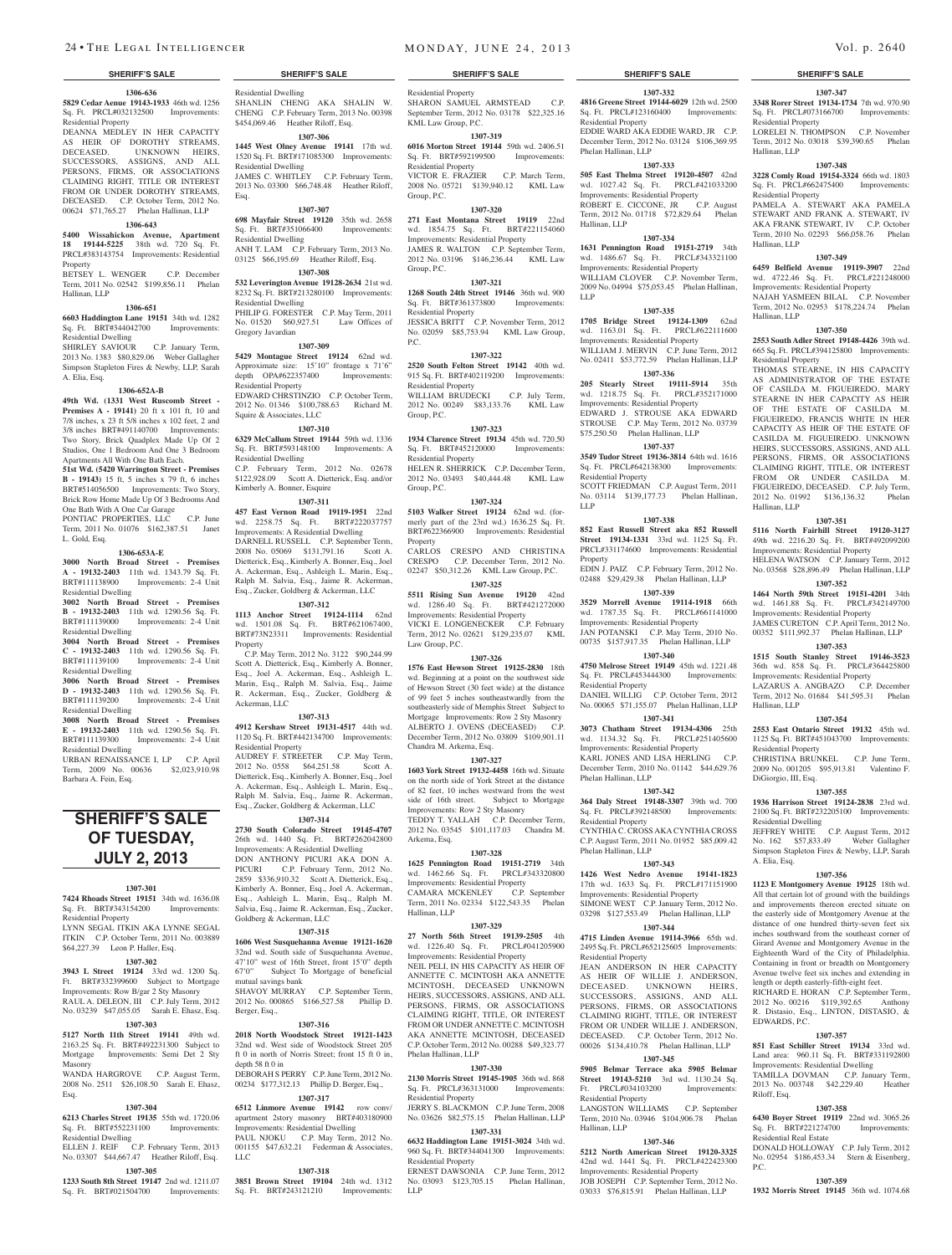Residential Dwelling

Residential Dwelling

Residential Dwelling

Residential Dwelling

Gregory Javardian

depth OPA#622357400 Residential Property

Squire & Associates, LLC

Residential Dwelling

Property

Ackerman, LLC

Residential Property

Goldberg & Ackerman, LLC

mutual savings bank

Berger, Esq.,

depth 58 ft 0 in

LLC

**1307-315 1606 West Susquehanna Avenue 19121-1620**  32nd wd. South side of Susquehanna Avenue, 47'10" west of 16th Street, front 15'0" depth 67'0" Subject To Mortgage of beneficial

SHAVOY MURRAY C.P. September Term, 2012 No. 000865 \$166,527.58 Phillip D.

**1307-316 2018 North Woodstock Street 19121-1423** 

ft 0 in north of Norris Street; front 15 ft 0 in,

DEBORAH S PERRY C.P. June Term, 2012 No. 00234 \$177,312.13 Phillip D. Berger, Esq., **1307-317 6512 Linmore Avenue 19142** row conv/ apartment 2story masonry BRT#403180900 Improvements: Residential Dwelling PAUL NJOKU C.P. May Term, 2012 No. 001155 \$47,632.21 Federman & Associates,

**1307-318 3851 Brown Street 19104** 24th wd. 1312 Sq. Ft. BRT#243121210 Improvements:

32nd wd. West side of Woodstot

Kimberly A. Bonner, Esquire

Esq.

SHANLIN CHENG AKA SHALIN W. CHENG C.P. February Term, 2013 No. 00398 \$454,069.46 Heather Riloff, Esq. **1307-306 1445 West Olney Avenue 19141** 17th wd. 1520 Sq. Ft. BRT#171085300 Improvements:

JAMES C. WHITLEY C.P. February Term, 2013 No. 03300 \$66,748.48 Heather Riloff,

**1307-307 698 Mayfair Street 19120** 35th wd. 2658 Sq. Ft. BRT#351066400 Improvements:

ANH T. LAM C.P. February Term, 2013 No. 03125 \$66,195.69 Heather Riloff, Esq. **1307-308 532 Leverington Avenue 19128-2634** 21st wd. 8232 Sq. Ft. BRT#213280100 Improvements:

PHILIP G. FORESTER C.P. May Term, 2011 No. 01520 \$60,927.51 Law Offices of

EDWARD CHRSTINZIO C.P. October Term, 2012 No. 01346 \$100,788.63 Richard M.

**1307-310 6329 McCallum Street 19144** 59th wd. 1336 Sq. Ft. BRT#593148100 Improvements: A

C.P. February Term, 2012 No. 02678 \$122,928.09 Scott A. Dietterick, Esq. and/or

 C.P. May Term, 2012 No. 3122 \$90,244.99 Scott A. Dietterick, Esq., Kimberly A. Bonner, Esq., Joel A. Ackerman, Esq., Ashleigh L. Marin, Esq., Ralph M. Salvia, Esq., Jaime R. Ackerman, Esq., Zucker, Goldberg &

**1307-313 4912 Kershaw Street 19131-4517** 44th wd. 1120 Sq. Ft. BRT#442134700 Improvements:

AUDREY F. STREETER C.P. May Term, 2012 No. 0558 \$64,251.58 Scott A. Dietterick, Esq., Kimberly A. Bonner, Esq., Joel A. Ackerman, Esq., Ashleigh L. Marin, Esq., Ralph M. Salvia, Esq., Jaime R. Ackerman, Esq., Zucker, Goldberg & Ackerman, LLC **1307-314 2730 South Colorado Street 19145-4707**  26th wd. 1440 Sq. Ft. BRT#262042800 Improvements: A Residential Dwelling DON ANTHONY PICURI AKA DON A. PICURI C.P. February Term, 2012 No. 2859 \$336,910.32 Scott A. Dietterick, Esq., Kimberly A. Bonner, Esq., Joel A. Ackerman, Esq., Ashleigh L. Marin, Esq., Ralph M. Salvia, Esq., Jaime R. Ackerman, Esq., Zucker,

**1307-311 457 East Vernon Road 19119-1951** 22nd wd. 2258.75 Sq. Ft. BRT#222037757 Improvements: A Residential Dwelling DARNELL RUSSELL C.P. September Term, 2008 No. 05069 \$131,791.16 Scott A. Dietterick, Esq., Kimberly A. Bonner, Esq., Joel A. Ackerman, Esq., Ashleigh L. Marin, Esq., Ralph M. Salvia, Esq., Jaime R. Ackerman, Esq., Zucker, Goldberg & Ackerman, LLC **1307-312 1113 Anchor Street 19124-1114** 62nd wd. 1501.08 Sq. Ft. BRT#621067400, BRT#73N23311 Improvements: Residential

**1307-309 5429 Montague Street 19124** 62nd wd. Approximate size: 15'10" frontage x 71'6"<br>depth OPA#622357400 Improvements:

#### **1306-636 5829 Cedar Aenue 19143-1933** 46th wd. 1256 Sq. Ft. PRCL#032132500 Improvements: Residential Property

DEANNA MEDLEY IN HER CAPACITY AS HEIR OF DOROTHY STREAMS, DECEASED. UNKNOWN HEIRS, SUCCESSORS, ASSIGNS, AND ALL PERSONS, FIRMS, OR ASSOCIATIONS CLAIMING RIGHT, TITLE OR INTEREST FROM OR UNDER DOROTHY STREAMS, DECEASED. C.P. October Term, 2012 No. 00624 \$71,765.27 Phelan Hallinan, LLP

#### **1306-643**

**5400 Wissahickon Avenue, Apartment 18 19144-5225** 38th wd. 720 Sq. Ft. PRCL#383143754 Improvements: Residential Property

BETSEY L. WENGER C.P. December Term, 2011 No. 02542 \$199,856.11 Phelan Hallinan, LLP

#### **1306-651**

**6603 Haddington Lane 19151** 34th wd. 1282 Sq. Ft. BRT#344042700 Improvements: Residential Dwelling SHIRLEY SAVIOUR C.P. January Term,

2013 No. 1383 \$80,829.06 Weber Gallagher Simpson Stapleton Fires & Newby, LLP, Sarah A. Elia, Esq.

#### **1306-652A-B**

**49th Wd. (1331 West Ruscomb Street - Premises A - 19141)** 20 ft x 101 ft, 10 and 7/8 inches, x 23 ft 5/8 inches x 102 feet, 2 and 3/8 inches BRT#491140700 Improvements: Two Story, Brick Quadplex Made Up Of 2 Studios, One 1 Bedroom And One 3 Bedroom Apartments All With One Bath Each.

**51st Wd. (5420 Warrington Street - Premises B - 19143)** 15 ft, 5 inches x 79 ft, 6 inches BRT#514056500 Improvements: Two Story, Brick Row Home Made Up Of 3 Bedrooms And One Bath With A One Car Garage

PONTIAC PROPERTIES, LLC C.P. June Term, 2011 No. 01076 \$162,387.51 Janet L. Gold, Esq.

#### **1306-653A-E**

**3000 North Broad Street - Premises A - 19132-2403** 11th wd. 1343.79 Sq. Ft. BRT#111138900 Improvements: 2-4 Unit Residential Dwelling

**3002 North Broad Street - Premises B - 19132-2403** 11th wd. 1290.56 Sq. Ft. BRT#111139000 Improvements: 2-4 Unit Residential Dwelling

**3004 North Broad Street - Premises C - 19132-2403** 11th wd. 1290.56 Sq. Ft. BRT#111139100 Improvements: 2-4 Unit Residential Dwelling

**3006 North Broad Street - Premises D - 19132-2403** 11th wd. 1290.56 Sq. Ft. BRT#111139200 Improvements: 2-4 Unit Residential Dwelling

**3008 North Broad Street - Premises E - 19132-2403** 11th wd. 1290.56 Sq. Ft. BRT#111139300 Improvements: 2-4 Unit Residential Dwelling

URBAN RENAISSANCE I, LP C.P. April Term, 2009 No. 00636 \$2,023,910.98 Barbara A. Fein, Esq.

# **SHERIFF'S SALE OF TUESDAY, July 2, 2013**

#### **1307-301**

**7424 Rhoads Street 19151** 34th wd. 1636.08 Sq. Ft. BRT#343154200 Improvements: Residential Property

#### LYNN SEGAL ITKIN AKA LYNNE SEGAL ITKIN C.P. October Term, 2011 No. 003889

\$64,227.39 Leon P. Haller, Esq.

#### **1307-302**

**3943 L Street 19124** 33rd wd. 1200 Sq. Ft. BRT#332399600 Subject to Mortgage Improvements: Row B/gar 2 Sty Masonry RAUL A. DELEON, III C.P. July Term, 2012 No. 03239 \$47,055.05 Sarah E. Ehasz, Esq.

#### **1307-303**

**5127 North 11th Street 19141** 49th wd. 2163.25 Sq. Ft. BRT#492231300 Subject to Mortgage Improvements: Semi Det 2 Sty Masonry WANDA HARGROVE C.P. August Term,

2008 No. 2511 \$26,108.50 Sarah E. Ehasz, Esq.

#### **1307-304**

**6213 Charles Street 19135** 55th wd. 1720.06 Sq. Ft. BRT#552231100 Improvements: Residential Dwelling ELLEN J. REIF C.P. February Term, 2013

## No. 03307 \$44,667.47 Heather Riloff, Esq.

**1307-305**

**1233 South 8th Street 19147** 2nd wd. 1211.07 Sq. Ft. BRT#021504700 Improvements:

Residential Property SHARON SAMUEL ARMSTEAD C.P. September Term, 2012 No. 03178 \$22,325.16 KML Law Group, P.C.

#### **1307-319**

**6016 Morton Street 19144** 59th wd. 2406.51 Sq. Ft. BRT#592199500 Improvements: Residential Property VICTOR E. FRAZIER C.P. March Term,

#### 2008 No. 05721 \$139,940.12 KML Law Group, P.C. **1307-320**

**271 East Montana Street 19119** 22nd wd. 1854.75 Sq. Ft. BRT#221154060 Mu. 1094.19 Sq. 10. 2002-10 JAMES R. WALTON C.P. September Term, 2012 No. 03196 \$146,236.44 KML Law Group, P.C.

#### **1307-321**

**1268 South 24th Street 19146** 36th wd. 900 Sq. Ft. BRT#361373800 Improvements: Residential Property JESSICA BRITT C.P. November Term, 2012 No. 02059 \$85,753.94 KML Law Group,

# P.C.

**1307-322 2520 South Felton Street 19142** 40th wd. 915 Sq. Ft. BRT#402119200 Improvements: Residential Property WILLIAM BRUDECKI C.P. July Term, 2012 No. 00249 \$83,133.76 KML Law Group, P.C.

# **1307-323**

**1934 Clarence Street 19134** 45th wd. 720.50 Sq. Ft. BRT#452120000 Improvements: Residential Property HELEN R. SHERRICK C.P. December Term, 2012 No. 03493 \$40,444.48 KML Law Group, P.C.

#### **1307-324**

**5103 Walker Street 19124** 62nd wd. (formerly part of the 23rd wd.) 1636.25 Sq. Ft. BRT#622366900 Improvements: Residential Property CARLOS CRESPO AND CHRISTINA

CRESPO C.P. December Term, 2012 No. 02247 \$50,312.26 KML Law Group, P.C. **1307-325**

**5511 Rising Sun Avenue 19120** 42nd wd. 1286.40 Sq. Ft. BRT#421272000 Improvements: Residential Property VICKI E. LONGENECKER C.P. February Term, 2012 No. 02621 \$129,235.07 KML

Law Group, P.C. **1307-326**

**1576 East Hewson Street 19125-2830** 18th wd. Beginning at a point on the southwest side of Hewson Street (30 feet wide) at the distance of 99 feet 5 inches southeastwardly from the southeasterly side of Memphis Street Subject to Mortgage Improvements: Row 2 Sty Masonry ALBERTO J. OVENS (DECEASED) C.P. December Term, 2012 No. 03809 \$109,901.11 Chandra M. Arkema, Esq.

#### **1307-327**

**1603 York Street 19132-4458** 16th wd. Situate on the north side of York Street at the distance of 82 feet, 10 inches westward from the west side of 16th street. Subject to Mortgage Improvements: Row 2 Sty Masonry TEDDY T. YALLAH C.P. December Term, 2012 No. 03545 \$101,117.03 Chandra M. Arkema, Esq.

#### **1307-328**

**1625 Pennington Road 19151-2719** 34th wd. 1462.66 Sq. Ft. PRCL#343320800 Improvements: Residential Property<br>CAMARA MCKENLEY C.P. September CAMARA MCKENLEY Term, 2011 No. 02334 \$122,543.35 Phelan Hallinan, LLP

#### **1307-329**

**27 North 56th Street 19139-2505** 4th wd. 1226.40 Sq. Ft. PRCL#041205900 Improvements: Residential Property NEIL PELI, IN HIS CAPACITY AS HEIR OF ANNETTE C. MCINTOSH AKA ANNETTE MCINTOSH, DECEASED UNKNOWN HEIRS, SUCCESSORS, ASSIGNS, AND ALL PERSONS, FIRMS, OR ASSOCIATIONS CLAIMING RIGHT, TITLE, OR INTEREST FROM OR UNDER ANNETTE C. MCINTOSH AKA ANNETTE MCINTOSH, DECEASED 2012 No. 0028 Phelan Hallinan, LLP

## **1307-330**

**2130 Morris Street 19145-1905** 36th wd. 868 Sq. Ft. PRCL#363131000 Improvements: Residential Property JERRY S. BLACKMON C.P. June Term, 2008

No. 03626 \$82,575.15 Phelan Hallinan, LLP **1307-331**

**6632 Haddington Lane 19151-3024** 34th wd. 960 Sq. Ft. BRT#344041300 Improvements: Residential Property

ERNEST DAWSONIA C.P. June Term, 2012 No. 03093 \$123,705.15 Phelan Hallinan, LLP

#### **SHERIFF'S SALE SHERIFF'S SALE SHERIFF'S SALE SHERIFF'S SALE SHERIFF'S SALE**

**1307-347** Sq. Ft. PRCL#073166700 Improvements:

LORELEI N. THOMPSON C.P. November Term, 2012 No. 03018 \$39,390.65 Phelan

**1307-348 3228 Comly Road 19154-3324** 66th wd. 1803 Sq. Ft. PRCL#662475400 Improvements:

PAMELA A. STEWART AKA PAMELA STEWART AND FRANK A. STEWART, IV AKA FRANK STEWART, IV C.P. October Term, 2010 No. 02293 \$66,058.76 Phelan

**1307-349 6459 Belfield Avenue 19119-3907** 22nd wd. 4722.46 Sq. Ft. PRCL#221248000 Improvements: Residential Property NAJAH YASMEEN BILAL C.P. November Term, 2012 No. 02953 \$178,224.74 Phelan

**1307-350 2553 South Adler Street 19148-4426** 39th wd. 665 Sq. Ft. PRCL#394125800 Improvements:

THOMAS STEARNE, IN HIS CAPACITY AS ADMINISTRATOR OF THE ESTATE OF CASILDA M. FIGUEIREDO, MARY STEARNE IN HER CAPACITY AS HEIR OF THE ESTATE OF CASILDA M. FIGUEIREDO, FRANCIS WHITE IN HER CAPACITY AS HEIR OF THE ESTATE OF CASILDA M. FIGUEIREDO. UNKNOWN HEIRS, SUCCESSORS, ASSIGNS, AND ALL PERSONS, FIRMS, OR ASSOCIATIONS CLAIMING RIGHT, TITLE, OR INTEREST FROM OR UNDER CASILDA M. FIGUEIREDO, DECEASED. C.P. July Term, 2012 No. 01992 \$136,136.32 Phelan

**1307-351 5116 North Fairhill Street 19120-3127**  49th wd. 2216.20 Sq. Ft. BRT#492099200 Improvements: Residential Property HELENA WATSON C.P. January Term, 2012 No. 03568 \$28,896.49 Phelan Hallinan, LLP **1307-352 1464 North 59th Street 19151-4201** 34th wd. 1461.88 Sq. Ft. PRCL#342149700 Improvements: Residential Property JAMES CURETON C.P. April Term, 2012 No. 00352 \$111,992.37 Phelan Hallinan, LLP **1307-353 1515 South Stanley Street 19146-3523**  36th wd. 858 Sq. Ft. PRCL#364425800 Improvements: Residential Property LAZARUS A. ANGBAZO C.P. December Term, 2012 No. 01684 \$41,595.31 Phelan

**1307-354 2553 East Ontario Street 19132** 45th wd. 1125 Sq. Ft. BRT#451043700 Improvements:

CHRISTINA BRUNKEL C.P. June Term, 2009 No. 001205 \$95,913.81 Valentino F.

**1307-355 1936 Harrison Street 19124-2838** 23rd wd. 2100 Sq. Ft. BRT#232205100 Improvements:

JEFFREY WHITE C.P. August Term, 2012 No. 162 \$57,833.49 Weber Gallagher Simpson Stapleton Fires & Newby, LLP, Sarah

**1307-356 1123 E Montgomery Avenue 19125** 18th wd. All that certain lot of ground with the buildings and improvements thereon erected situate on the easterly side of Montgomery Avenue at the distance of one hundred thirty-seven feet six inches southward from the southeast corner of Girard Avenue and Montgomery Avenue in the Eighteenth Ward of the City of Philadelphia. Containing in front or breadth on Montgomery Avenue twelve feet six inches and extending in length or depth easterly-fifth-eight feet. RICHARD E. HORAN C.P. September Term, 2012 No. 00216 \$119,392.65 Anthony R. Distasio, Esq., LINTON, DISTASIO, &

**1307-357 851 East Schiller Street 19134** 33rd wd. Land area: 960.11 Sq. Ft. BRT#331192800 Improvements: Residential Dwelling TAMILLA DOVMAN C.P. January Term, 2013 No. 003748 \$42,229.40 Heather

**1307-358 6430 Boyer Street 19119** 22nd wd. 3065.26 Sq. Ft. BRT#221274700 Improvements:

DONALD HOLLOWAY C.P. July Term, 2012 No. 02954 \$186,453.34 Stern & Eisenberg,

**1307-359 1932 Morris Street 19145** 36th wd. 1074.68

Residential Property

Residential Property

Hallinan, LLP

Hallinan, LLP

Hallinan, LLP

Hallinan, LLP

Hallinan, LLP

Residential Property

DiGiorgio, III, Esq.

Residential Dwelling

A. Elia, Esq.

EDWARDS, P.C.

Riloff, Esq.

P.C.

Residential Real Estate

Residential Property

## **1307-332**

**4816 Greene Street 19144-6029** 12th wd. 2500 **3348 Rorer Street 19134-1734** 7th wd. 970.90 Sq. Ft. PRCL#123160400 Improvements: Residential Property EDDIE WARD AKA EDDIE WARD, JR C.P. December Term, 2012 No. 03124 \$106,369.95 Phelan Hallinan, LLP

#### **1307-333**

**505 East Thelma Street 19120-4507** 42nd wd. 1027.42 Sq. Ft. PRCL#421033200 Improvements: Residential Property<br>ROBERT E. CICCONE, JR C.P. August ROBERT E. CICCONE, JR. Term, 2012 No. 01718 \$72,829.64 Phelan Hallinan, LLP

## **1307-334**

**1631 Pennington Road 19151-2719** 34th wd. 1486.67 Sq. Ft. PRCL#343321100 Improvements: Residential Property WILLIAM CLOVER C.P. November Term, 2009 No. 04994 \$75,053.45 Phelan Hallinan, LLP

#### **1307-335**

**1705 Bridge Street 19124-1309** 62nd wd. 1163.01 Sq. Ft. PRCL#622111600 Improvements: Residential Property WILLIAM J. MERVIN C.P. June Term, 2012 No. 02411 \$53,772.59 Phelan Hallinan, LLP

**1307-336**

**205 Stearly Street 19111-5914** 35th wd. 1218.75 Sq. Ft. PRCL#352171000 Improvements: Residential Property

EDWARD J. STROUSE AKA EDWARD STROUSE C.P. May Term, 2012 No. 03739 \$75,250.50 Phelan Hallinan, LLP

#### **1307-337**

**3549 Tudor Street 19136-3814** 64th wd. 1616 Sq. Ft. PRCL#642138300 Improvements: Residential Property

SCOTT FRIEDMAN C.P. August Term, 2011 No. 03114 \$139,177.73 Phelan Hallinan, LLP

# **1307-338**

**852 East Russell Street aka 852 Russell Street 19134-1331** 33rd wd. 1125 Sq. Ft. PRCL#331174600 Improvements: Residential Property

EDIN J. PAIZ C.P. February Term, 2012 No. 02488 \$29,429.38 Phelan Hallinan, LLP

**1307-339 3529 Morrell Avenue 19114-1918** 66th

wd. 1787.35 Sq. Ft. PRCL#661141000 Improvements: Residential Property JAN POTANSKI C.P. May Term, 2010 No. 00735 \$157,917.35 Phelan Hallinan, LLP

## **1307-340**

**4750 Melrose Street 19149** 45th wd. 1221.48 Sq. Ft. PRCL#453444300 Improvements: Residential Property

DANIEL WILLIG C.P. October Term, 2012 No. 00065 \$71,155.07 Phelan Hallinan, LLP **1307-341**

**3073 Chatham Street 19134-4306** 25th wd. 1134.32 Sq. Ft. PRCL#251405600

Improvements: Residential Property KARL JONES AND LISA HERLING C.P. December Term, 2010 No. 01142 \$44,629.76 Phelan Hallinan, LLP

## **1307-342**

**364 Daly Street 19148-3307** 39th wd. 700 Sq. Ft. PRCL#392148500 Improvements: Residential Property

CYNTHIA C. CROSS AKA CYNTHIA CROSS C.P. August Term, 2011 No. 01952 \$85,009.42 Phelan Hallinan, LLP

## **1307-343**

**1426 West Nedro Avenue 19141-1823**  17th wd. 1633 Sq. Ft. PRCL#171151900 Improvements: Residential Property SIMONE WEST C.P. January Term, 2012 No. 03298 \$127,553.49 Phelan Hallinan, LLP

# **1307-344**

**4715 Linden Avenue 19114-3966** 65th wd. 2495 Sq. Ft. PRCL#652125605 Improvements: Residential Property

JEAN ANDERSON IN HER CAPACITY AS HEIR OF WILLIE J. ANDERSON, DECEASED. UNKNOWN HEIRS, SUCCESSORS, ASSIGNS, AND ALL PERSONS, FIRMS, OR ASSOCIATIONS CLAIMING RIGHT, TITLE, OR INTEREST FROM OR UNDER WILLIE J. ANDERSON, DECEASED. C.P. October Term, 2012 No. 00026 \$134,410.78 Phelan Hallinan, LLP **1307-345**

**5905 Belmar Terrace aka 5905 Belmar Street 19143-5210** 3rd wd. 1130.24 Sq. Ft. PRCL#034103200 Improvements:

LANGSTON WILLIAMS C.P. September Term, 2010 No. 03946 \$104,906.78 Phelan

**1307-346 5212 North American Street 19120-3325**  42nd wd. 1441 Sq. Ft. PRCL#422423300 Improvements: Residential Property JOB JOSEPH C.P. September Term, 2012 No. 03033 \$76,815.91 Phelan Hallinan, LLP

Residential Property

Hallinan, LLP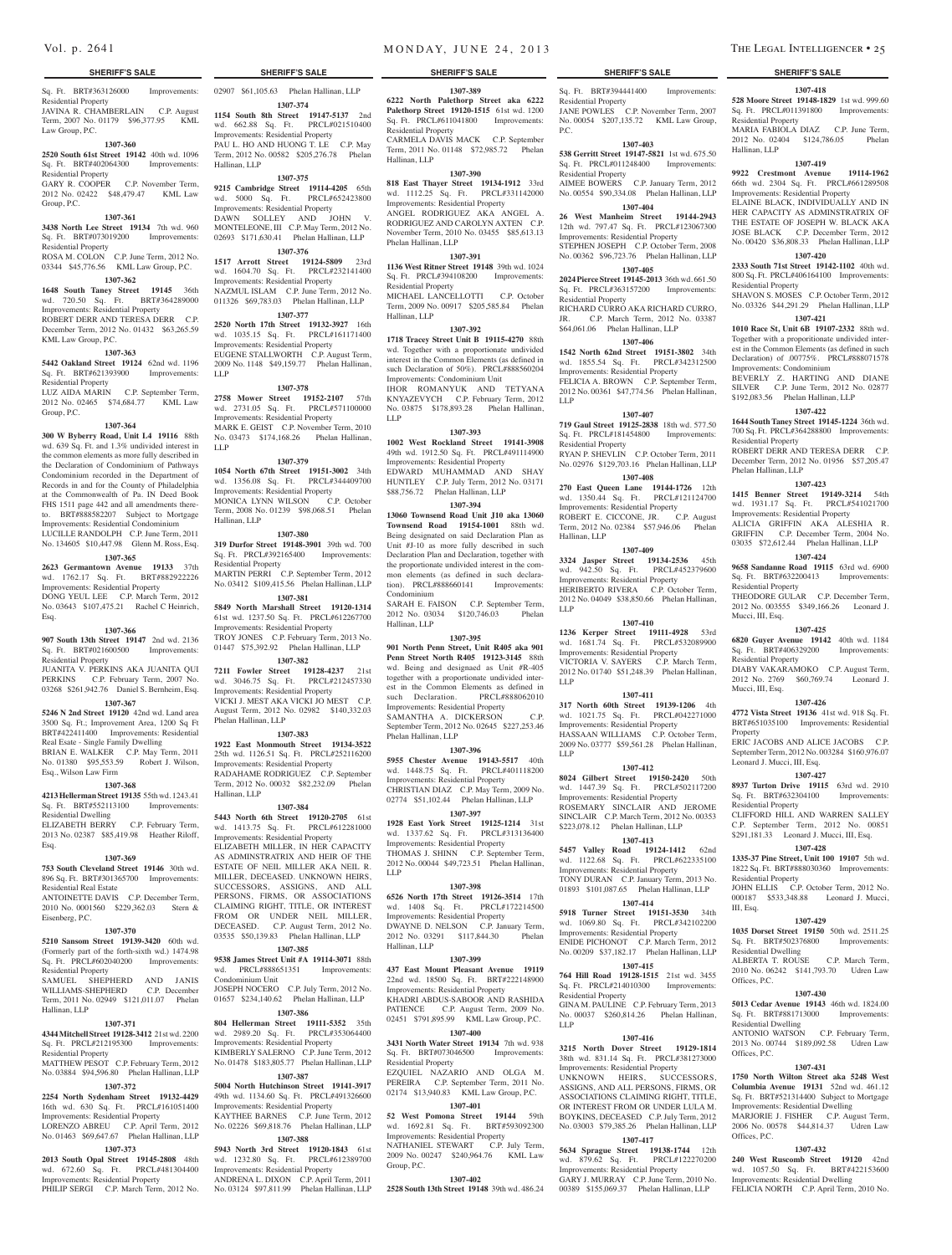#### **SHERIFF'S SALE SHERIFF'S SALE SHERIFF'S SALE SHERIFF'S SALE SHERIFF'S SALE**

Sq. Ft. BRT#363126000 Improvements: Residential Property

JAVINA R. CHAMBERLAIN C.P. August Term, 2007 No. 01179 \$96,377.95 KML Law Group, P.C.

#### **1307-360**

**2520 South 61st Street 19142** 40th wd. 1096 Sq. Ft. BRT#402064300 Improvements: Residential Property

GARY R. COOPER C.P. November Term, 2012 No. 02422 \$48,479.47 KML Law Group, P.C.

#### **1307-361**

KML Law Group, P.C.

Residential Property

Group, P.C.

Esq.

Residential Property

Esq., Wilson Law Firm

Residential Dwelling

Residential Real Estate

Eisenberg, P.C.

Residential Property

Residential Property

Hallinan, LLP

Esq.

**3438 North Lee Street 19134** 7th wd. 960 Sq. Ft. BRT#073019200 Improvements: Residential Property

03344 \$45,776.56 KML Law Group, P.C. **1307-362 1648 South Taney Street 19145** 36th wd. 720.50 Sq. Ft. BRT#364289000 Improvements: Residential Property ROBERT DERR AND TERESA DERR C.P. December Term, 2012 No. 01432 \$63,265.59

**1307-363 5442 Oakland Street 19124** 62nd wd. 1196 Sq. Ft. BRT#621393900 Improvements:

LUZ AIDA MARIN C.P. September Term, 2012 No. 02465 \$74,684.77 KML Law

**1307-364 300 W Byberry Road, Unit L4 19116** 88th wd. 639 Sq. Ft. and 1.3% undivided interest in the common elements as more fully described in the Declaration of Condominium of Pathways Condominium recorded in the Department of Records in and for the County of Philadelphia at the Commonwealth of Pa. IN Deed Book FHS 1511 page 442 and all amendments thereto. BRT#888582207 Subject to Mortgage Improvements: Residential Condominium LUCILLE RANDOLPH C.P. June Term, 2011 No. 134605 \$10,447.98 Glenn M. Ross, Esq. **1307-365 2623 Germantown Avenue 19133** 37th

**1307-366 907 South 13th Street 19147** 2nd wd. 2136 Sq. Ft. BRT#021600500 Improvements:

JUANITA V. PERKINS AKA JUANITA QUI PERKINS C.P. February Term, 2007 No. 03268 \$261,942.76 Daniel S. Bernheim, Esq. **1307-367 5246 N 2nd Street 19120** 42nd wd. Land area 3500 Sq. Ft.; Improvement Area, 1200 Sq Ft BRT#422411400 Improvements: Residential Real Esate - Single Family Dwelling BRIAN E. WALKER C.P. May Term, 2011 No. 01380 \$95,553.59 Robert J. Wilson,

**1307-368 4213 Hellerman Street 19135** 55th wd. 1243.41 Sq. Ft. BRT#552113100 Improvements:

ELIZABETH BERRY C.P. February Term, 2013 No. 02387 \$85,419.98 Heather Riloff,

**1307-369 753 South Cleveland Street 19146** 30th wd. 896 Sq. Ft. BRT#301365700 Improvements:

ANTOINETTE DAVIS C.P. December Term, 2010 No. 0001560 \$229,362.03 Stern &

**1307-370 5210 Sansom Street 19139-3420** 60th wd. (Formerly part of the forth-sixth wd.) 1474.98 Sq. Ft. PRCL#602040200 Improvements:

SAMUEL SHEPHERD AND JANIS

**1307-371 4344 Mitchell Street 19128-3412** 21st wd. 2200 Sq. Ft. PRCL#212195300 Improvements:

MATTHEW PESOT C.P. February Term, 2012 No. 03884 \$94,596.80 Phelan Hallinan, LLP **1307-372 2254 North Sydenham Street 19132-4429**  16th wd. 630 Sq. Ft. PRCL#161051400 Improvements: Residential Property LORENZO ABREU C.P. April Term, 2012 No. 01463 \$69,647.67 Phelan Hallinan, LLP **1307-373 2013 South Opal Street 19145-2808** 48th wd. 672.60 Sq. Ft. PRCL#481304400 Improvements: Residential Property PHILIP SERGI C.P. March Term, 2012 No.

#### ROSA M. COLON C.P. June Term, 2012 No.

Hallinan, LLP

wd.  $5000$  Sq. Ft. Improvements: Residential Property DAWN SOLLEY AND JOHN V. MONTELEONE, III C.P. May Term, 2012 No. 02693 \$171,630.41 Phelan Hallinan, LLP **1307-376**

**1517 Arrott Street 19124-5809** 23rd wd. 1604.70 Sq. Ft. PRCL#232141400 Improvements: Residential Property NAZMUL ISLAM C.P. June Term, 2012 No. 011326 \$69,783.03 Phelan Hallinan, LLP

02907 \$61,105.63 Phelan Hallinan, LLP **1307-374 1154 South 8th Street 19147-5137** 2nd wd. 662.88 Sq. Ft. PRCL#021510400 Improvements: Residential Property PAU L. HO AND HUONG T. LE C.P. May Term, 2012 No. 00582 \$205,276.78 Phelan

**1307-375 9215 Cambridge Street 19114-4205** 65th

## **1307-377**

**2520 North 17th Street 19132-3927** 16th wd. 1035.15 Sq. Ft. PRCL#161171400 Improvements: Residential Property EUGENE STALLWORTH C.P. August Term, 2009 No. 1148 \$49,159.77 Phelan Hallinan, LLP

#### **1307-378**

**2758 Mower Street 19152-2107** 57th wd. 2731.05 Sq. Ft. PRCL#571100000 Improvements: Residential Property MARK E. GEIST C.P. November Term, 2010 No. 03473 \$174,168.26 Phelan Hallinan, LLP

#### **1307-379**

**1054 North 67th Street 19151-3002** 34th wd. 1356.08 Sq. Ft. PRCL#344409700 Improvements: Residential Property<br>
MONICA LYNN WILSON C.P. October MONICA LYNN WILSON Term, 2008 No. 01239 \$98,068.51 Phelan Hallinan, LLP

#### **1307-380**

**319 Durfor Street 19148-3901** 39th wd. 700 Sq. Ft. PRCL#392165400 Improvements: Residential Property

wd. 1762.17 Sq. Ft. BRT#882922226 Improvements: Residential Property DONG YEUL LEE C.P. March Term, 2012 No. 03643 \$107,475.21 Rachel C Heinrich, MARTIN PERRI C.P. September Term, 2012 No. 03412 \$109,415.56 Phelan Hallinan, LLP **1307-381 5849 North Marshall Street 19120-1314** 

61st wd. 1237.50 Sq. Ft. PRCL#612267700 Improvements: Residential Property TROY JONES C.P. February Term, 2013 No. 01447 \$75,392.92 Phelan Hallinan, LLP

#### **1307-382**

**7211 Fowler Street 19128-4237** 21st wd. 3046.75 Sq. Ft. PRCL#212457330 Improvements: Residential Property VICKI J. MEST AKA VICKI JO MEST C.P. August Term, 2012 No. 02982 \$140,332.03 Phelan Hallinan, LLP

#### **1307-383**

**1922 East Monmouth Street 19134-3522**  25th wd. 1126.51 Sq. Ft. PRCL#252116200 Improvements: Residential Property RADAHAME RODRIGUEZ C.P. September Term, 2012 No. 00032 \$82,232.09 Phelan Hallinan, LLP

#### **1307-384**

**5443 North 6th Street 19120-2705** 61st wd. 1413.75 Sq. Ft. PRCL#612281000 Improvements: Residential Property ELIZABETH MILLER, IN HER CAPACITY AS ADMINSTRATRIX AND HEIR OF THE ESTATE OF NEIL MILLER AKA NEIL R. MILLER, DECEASED. UNKNOWN HEIRS, SUCCESSORS, ASSIGNS, AND ALL PERSONS, FIRMS, OR ASSOCIATIONS CLAIMING RIGHT, TITLE, OR INTEREST FROM OR UNDER NEIL MILLER, DECEASED. C.P. August Term, 2012 No. 03535 \$50,139.83 Phelan Hallinan, LLP **1307-385**

**9538 James Street Unit #A 19114-3071** 88th wd. PRCL#888651351 Improvements: Condominium Unit

WILLIAMS-SHEPHERD C.P. December Term, 2011 No. 02949 \$121,011.07 Phelan JOSEPH NOCERO C.P. July Term, 2012 No. 01657 \$234,140.62 Phelan Hallinan, LLP **1307-386**

**804 Hellerman Street 19111-5352** 35th wd. 2989.20 Sq. Ft. PRCL#353064400 Improvements: Residential Property KIMBERLY SALERNO C.P. June Term, 2012 No. 01478 \$183,805.77 Phelan Hallinan, LLP

## **1307-387**

**5004 North Hutchinson Street 19141-3917**  49th wd. 1134.60 Sq. Ft. PRCL#491326600 Improvements: Residential Property KAYTHEE BARNES C.P. June Term, 2012 No. 02226 \$69,818.76 Phelan Hallinan, LLP **1307-388**

**5943 North 3rd Street 19120-1843** 61st wd. 1232.80 Sq. Ft. PRCL#612389700 Improvements: Residential Property ANDRENA L. DIXON C.P. April Term, 2011 No. 03124 \$97,811.99 Phelan Hallinan, LLP

**1307-389**

Term, 2011 No. 01148 \$72,985.72 Phelan

**1307-390 818 East Thayer Street 19134-1912** 33rd wd. 1112.25 Sq. Ft. PRCL#331142000 Improvements: Residential Property ANGEL RODRIGUEZ AKA ANGEL A. RODRIGUEZ AND CAROLYN AXTEN C.P. November Term, 2010 No. 03455 \$85,613.13

**1307-391 1136 West Ritner Street 19148** 39th wd. 1024 Sq. Ft. PRCL#394108200 Improvements:

MICHAEL LANCELLOTTI C.P. October Term, 2009 No. 00917 \$205,585.84 Phelan

**1307-392 1718 Tracey Street Unit B 19115-4270** 88th wd. Together with a proportionate undivided interest in the Common Elements (as defined in such Declaration of 50%). PRCL#888560204 Improvements: Condominium Unit IHOR ROMANYUK AND TETYANA KNYAZEVYCH C.P. February Term, 2012 No. 03875 \$178,893.28 Phelan Hallinan,

**1307-393 1002 West Rockland Street 19141-3908**  49th wd. 1912.50 Sq. Ft. PRCL#491114900 Improvements: Residential Property EDWARD MUHAMMAD AND SHAY HUNTLEY C.P. July Term, 2012 No. 03171 \$88,756.72 Phelan Hallinan, LLP **1307-394 13060 Townsend Road Unit J10 aka 13060 Townsend Road 19154-1001** 88th wd. Being designated on said Declaration Plan as Unit #J-10 as more fully described in such Declaration Plan and Declaration, together with the proportionate undivided interest in the common elements (as defined in such declaration). PRCL#888660141 Improvements:

SARAH E. FAISON C.P. September Term,<br>2012 No. 03034 \$120.746.03 Phelan 2012 No. 03034 \$120,746.03

**1307-395 901 North Penn Street, Unit R405 aka 901 Penn Street North R405 19123-3145** 88th wd. Being and designaed as Unit #R-405 together with a proportionate undivided interest in the Common Elements as defined in such Declaration. PRCL#888062010 Improvements: Residential Property SAMANTHA A. DICKERSON C.P. September Term, 2012 No. 02645 \$227,253.46

**1307-396 5955 Chester Avenue 19143-5517** 40th wd. 1448.75 Sq. Ft. PRCL#401118200 Improvements: Residential Property CHRISTIAN DIAZ C.P. May Term, 2009 No. 02774 \$51,102.44 Phelan Hallinan, LLP **1307-397 1928 East York Street 19125-1214** 31st wd. 1337.62 Sq. Ft. PRCL#313136400 Improvements: Residential Property THOMAS J. SHINN C.P. September Term, 2012 No. 00044 \$49,723.51 Phelan Hallinan,

**1307-398 6526 North 17th Street 19126-3514** 17th wd. 1408 Sq. Ft. PRCL#172214500 Improvements: Residential Property DWAYNE D. NELSON C.P. January Term, 2012 No. 03291 \$117,844.30 Phelan

**1307-399 437 East Mount Pleasant Avenue 19119**  22nd wd. 18500 Sq. Ft. BRT#222148900 Improvements: Residential Property KHADRI ABDUS-SABOOR AND RASHIDA PATIENCE C.P. August Term, 2009 No. 02451 \$791,895.99 KML Law Group, P.C. **1307-400 3431 North Water Street 19134** 7th wd. 938<br>Sq. Ft. BRT#073046500 Improvements:

EZQUIEL NAZARIO AND OLGA M. PEREIRA C.P. September Term, 2011 No. 02174 \$13,940.83 KML Law Group, P.C. **1307-401 52 West Pomona Street 19144** 59th wd. 1692.81 Sq. Ft. BRT#593092300 Improvements: Residential Property NATHANIEL STEWART C.P. July Term, 2009 No. 00247 \$240,964.76 KML Law

**1307-402 2528 South 13th Street 19148** 39th wd. 486.24

Residential Property

Phelan Hallinan, LLP

Residential Property

Hallinan, LLP

LLP

Condominium

Hallinan, LLP

Phelan Hallinan, LLP

LLP

Hallinan, LLP

Sq. Ft. BRT#073046500 Residential Property

Group, P.C.

Hallinan, LLP

**6222 North Palethorp Street aka 6222 Palethorp Street 19120-1515** 61st wd. 1200 Sq. Ft. PRCL#611041800 Improvements: CARMELA DAVIS MACK C.P. September Sq. Ft. BRT#394441400 Improvements: Residential Property JANE POWLES C.P. November Term, 2007 No. 00054 \$207,135.72 KML Law Group, P.C.

#### **1307-403 538 Gerritt Street 19147-5821** 1st wd. 675.50

Sq. Ft. PRCL#011248400 Improvements: Residential Property AIMEE BOWERS C.P. January Term, 2012 No. 00554 \$90,334.08 Phelan Hallinan, LLP

#### **1307-404**

**26 West Manheim Street 19144-2943**  12th wd. 797.47 Sq. Ft. PRCL#123067300 Improvements: Residential Property STEPHEN JOSEPH C.P. October Term, 2008 No. 00362 \$96,723.76 Phelan Hallinan, LLP

# **1307-405**

**2024 Pierce Street 19145-2013** 36th wd. 661.50 Sq. Ft. PRCL#363157200 Improvements: Residential Property RICHARD CURRO AKA RICHARD CURRO,

JR. C.P. March Term, 2012 No. 03387 \$64,061.06 Phelan Hallinan, LLP **1307-406**

**1542 North 62nd Street 19151-3802** 34th wd. 1855.54 Sq. Ft. PRCL#342312500 Improvements: Residential Property FELICIA A. BROWN C.P. September Term, 2012 No. 00361 \$47,774.56 Phelan Hallinan, LLP

## **1307-407**

**719 Gaul Street 19125-2838** 18th wd. 577.50 Sq. Ft. PRCL#181454800 Improvements: Residential Property RYAN P. SHEVLIN C.P. October Term, 2011 No. 02976 \$129,703.16 Phelan Hallinan, LLP **1307-408**

**270 East Queen Lane 19144-1726** 12th wd. 1350.44 Sq. Ft. PRCL#121124700 Improvements: Residential Property ROBERT E. CICCONE, JR. C.P. August Term, 2012 No. 02384 \$57,946.06 Phelan Hallinan, LLP

#### **1307-409**

**3324 Jasper Street 19134-2536** 45th wd. 942.50 Sq. Ft. PRCL#452379600 Improvements: Residential Property HERIBERTO RIVERA C.P. October Term, 2012 No. 04049 \$38,850.66 Phelan Hallinan, LLP

#### **1307-410**

**1236 Kerper Street 19111-4928** 53rd wd. 1681.74 Sq. Ft. PRCL#532089900 Improvements: Residential Property VICTORIA V. SAYERS C.P. March Term, 2012 No. 01740 \$51,248.39 Phelan Hallinan, LLP

#### **1307-411**

**317 North 60th Street 19139-1206** 4th wd. 1021.75 Sq. Ft. PRCL#042271000 Improvements: Residential Property HASSAAN WILLIAMS C.P. October Term, 2009 No. 03777 \$59,561.28 Phelan Hallinan, LLP

#### **1307-412**

**8024 Gilbert Street 19150-2420** 50th wd. 1447.39 Sq. Ft. Improvements: Residential Property ROSEMARY SINCLAIR AND JEROME SINCLAIR C.P. March Term, 2012 No. 00353 \$223,078.12 Phelan Hallinan, LLP

# **1307-413**

**5457 Valley Road 19124-1412** 62nd wd. 1122.68 Sq. Ft. PRCL#622335100 Improvements: Residential Property TONY DURAN C.P. January Term, 2013 No. 01893 \$101,087.65 Phelan Hallinan, LLP

## **1307-414**

**5918 Turner Street 19151-3530** 34th wd. 1069.80 Sq. Ft. PRCL#342102200 Improvements: Residential Property ENIDE PICHONOT C.P. March Term, 2012 No. 00209 \$37,182.17 Phelan Hallinan, LLP

**1307-415 764 Hill Road 19128-1515** 21st wd. 3455 Sq. Ft. PRCL#214010300 Improvements: Residential Property GINA M. PAULINE C.P. February Term, 2013

No. 00037 \$260,814.26 Phelan Hallinan, LLP **1307-416**

## **3215 North Dover Street 19129-1814**

38th wd. 831.14 Sq. Ft. PRCL#381273000 Improvements: Residential Property UNKNOWN HEIRS, SUCCESSORS, ASSIGNS, AND ALL PERSONS, FIRMS, OR ASSOCIATIONS CLAIMING RIGHT, TITLE, OR INTEREST FROM OR UNDER LULA M. BOYKINS, DECEASED C.P. July Term, 2012 No. 03003 \$79,385.26 Phelan Hallinan, LLP

## **1307-417**

**5634 Sprague Street 19138-1744** 12th wd. 879.62 Sq. Ft. PRCL#122270200 Improvements: Residential Property GARY J. MURRAY C.P. June Term, 2010 No. 00389 \$155,069.37 Phelan Hallinan, LLP

**1307-418 528 Moore Street 19148-1829** 1st wd. 999.60 Sq. Ft. PRCL#011391800 Improvements: Residential Property MARIA FABIOLA DIAZ C.P. June Term, 2012 No. 02404 \$124,786.05 Phelan

# **1307-419**

Hallinan, LLP

**9922 Crestmont Avenue 19114-1962**  66th wd. 2304 Sq. Ft. PRCL#661289508 Improvements: Residential Property ELAINE BLACK, INDIVIDUALLY AND IN HER CAPACITY AS ADMINSTRATRIX OF THE ESTATE OF JOSEPH W. BLACK AKA JOSE BLACK C.P. December Term, 2012 No. 00420 \$36,808.33 Phelan Hallinan, LLP

## **1307-420**

**2333 South 71st Street 19142-1102** 40th wd. 800 Sq. Ft. PRCL#406164100 Improvements: Residential Property

SHAVON S. MOSES C.P. October Term, 2012 No. 03326 \$44,291.29 Phelan Hallinan, LLP **1307-421**

**1010 Race St, Unit 6B 19107-2332** 88th wd. Together with a proporitionate undivided interest in the Common Elements (as defined in such Declaration) of .00775%. PRCL#888071578 Improvements: Condominium BEVERLY Z. HARTING AND DIANE

SILVER C.P. June Term, 2012 No. 02877 \$192,083.56 Phelan Hallinan, LLP **1307-422**

## **1644 South Taney Street 19145-1224** 36th wd.

700 Sq. Ft. PRCL#364288800 Improvements: Residential Property ROBERT DERR AND TERESA DERR C.P. December Term, 2012 No. 01956 \$57,205.47 Phelan Hallinan, LLP

## **1307-423**

**1415 Benner Street 19149-3214** 54th wd. 1931.17 Sq. Ft. PRCL#541021700 Improvements: Residential Property ALICIA GRIFFIN AKA ALESHIA R. GRIFFIN C.P. December Term, 2004 No. 03035 \$72,612.44 Phelan Hallinan, LLP

#### **1307-424**

**9658 Sandanne Road 19115** 63rd wd. 6900 Sq. Ft. BRT#632200413 Improvements: Residential Property THEODORE GULAR C.P. December Term, 2012 No. 003555 \$349,166.26 Leonard J. Mucci, III, Esq.

#### **1307-425**

**6820 Guyer Avenue 19142** 40th wd. 1184 Sq. Ft. BRT#406329200 Improvements: Residential Property DIABY VAKARAMOKO C.P. August Term,

## 2012 No. 2769 \$60,769.74 Leonard J. Mucci, III, Esq.

## **1307-426**

**4772 Vista Street 19136** 41st wd. 918 Sq. Ft. BRT#651035100 Improvements: Residential Property ERIC JACOBS AND ALICE JACOBS C.P.

September Term, 2012 No. 003284 \$160,976.07 Leonard J. Mucci, III, Esq. **1307-427**

# **8937 Turton Drive 19115** 63rd wd. 2910

Sq. Ft. BRT#632304100 Improvements: Residential Property CLIFFORD HILL AND WARREN SALLEY C.P. September Term, 2012 No. 00851

\$291,181.33 Leonard J. Mucci, III, Esq. **1307-428**

## **1335-37 Pine Street, Unit 100 19107** 5th wd. 1822 Sq. Ft. BRT#888030360 Improvements: Residential Property

JOHN ELLIS C.P. October Term, 2012 No. 000187 \$533,348.88 Leonard J. Mucci, III, Esq.

#### **1307-429**

**1035 Dorset Street 19150** 50th wd. 2511.25 Sq. Ft. BRT#502376800 Improvements: Residential Dwelling ALBERTA T. ROUSE C.P. March Term, 2010 No. 06242 \$141,793.70 Udren Law Offices, P.C.

#### **1307-430**

Offices, P.C.

Offices, P.C.

**5013 Cedar Avenue 19143** 46th wd. 1824.00 Sq. Ft. BRT#881713000 Improvements: Residential Dwelling ANTONIO WATSON C.P. February Term,

2013 No. 00744 \$189,092.58 Udren Law

**1307-431 1750 North Wilton Street aka 5248 West Columbia Avenue 19131** 52nd wd. 461.12 Sq. Ft. BRT#521314400 Subject to Mortgage Improvements: Residential Dwelling MARJORIE J. FISHER C.P. August Term, 2006 No. 00578 \$44,814.37 Udren Law

**1307-432 240 West Ruscomb Street 19120** 42nd wd. 1057.50 Sq. Ft. BRT#422153600 Improvements: Residential Dwelling FELICIA NORTH C.P. April Term, 2010 No.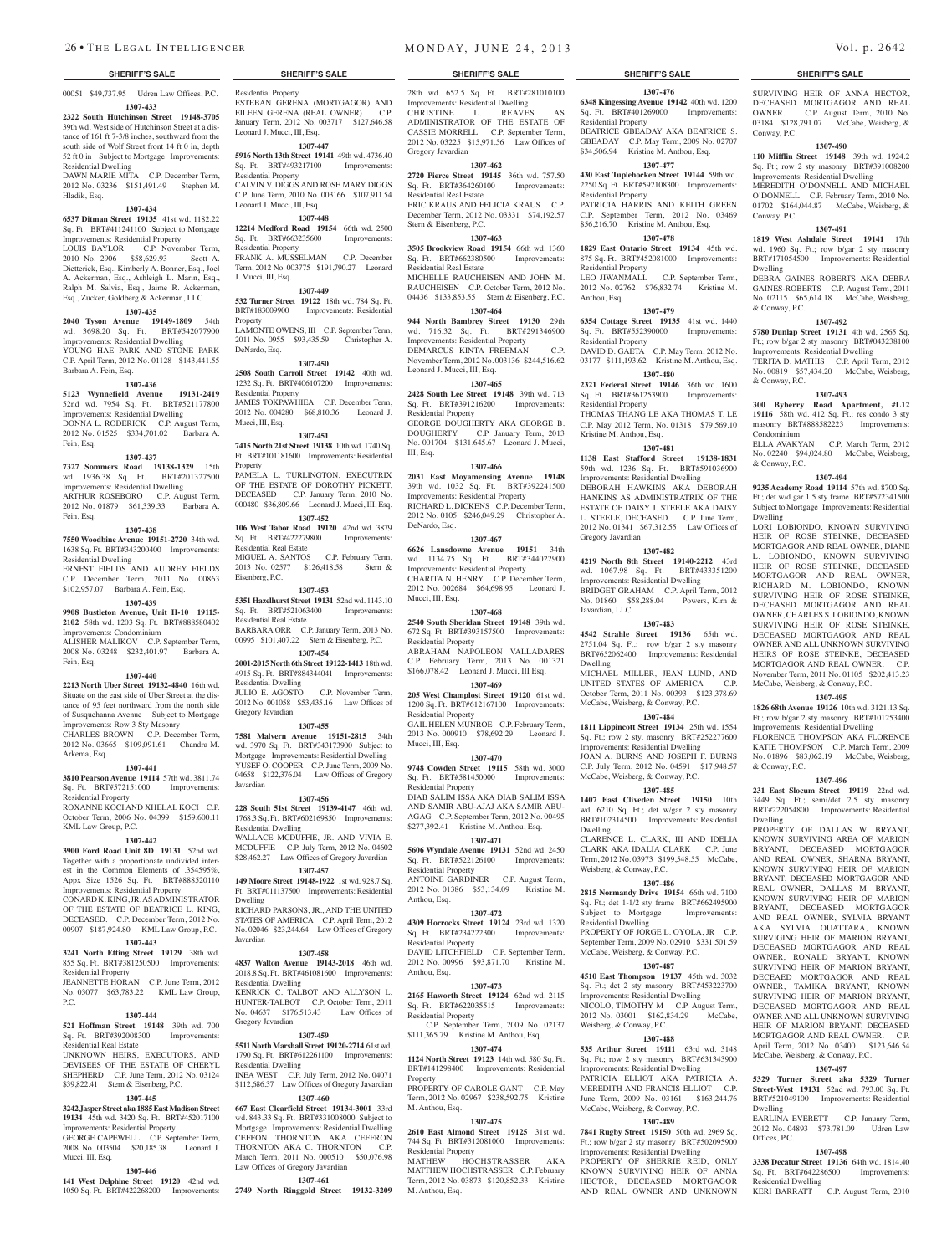Residential Property

Residential Property

Residential Property

J. Mucci, III, Esq.

Property

DeNardo, Esq.

Residential Property

Residential Real Estate

Sq. Ft. BRT#521063400 .<br>esidential Real Estate

Residential Dwelling

Gregory Javardian

Residential Dwelling

Javardian

Dwelling

Javardian

Residential Dwelling

Gregory Javardian

Residential Dwelling

Eisenberg, P.C.

Mucci, III, Esq.

Property

Leonard J. Mucci, III, Esq.

Leonard J. Mucci, III, Esq.

ESTEBAN GERENA (MORTGAGOR) AND EILEEN GERENA (REAL OWNER) C.P. January Term, 2012 No. 003717 \$127,646.58

**1307-447 5916 North 13th Street 19141** 49th wd. 4736.40 Sq. Ft. BRT#493217100 Improvements:

CALVIN V. DIGGS AND ROSE MARY DIGGS C.P. June Term, 2010 No. 003166 \$107,911.54

**1307-448 12214 Medford Road 19154** 66th wd. 2500 Sq. Ft. BRT#663235600 Improvements:

FRANK A. MUSSELMAN C.P. December Term, 2012 No. 003775 \$191,790.27 Leonard

**1307-449 532 Turner Street 19122** 18th wd. 784 Sq. Ft. BRT#183009900 Improvements: Residential

LAMONTE OWENS, III C.P. September Term, 2011 No. 0955 \$93,435.59 Christopher A.

**1307-450 2508 South Carroll Street 19142** 40th wd. 1232 Sq. Ft. BRT#406107200 Improvements:

JAMES TOKPAWHIEA C.P. December Term, 2012 No. 004280 \$68,810.36 Leonard J.

**1307-451 7415 North 21st Street 19138** 10th wd. 1740 Sq. Ft. BRT#101181600 Improvements: Residential

PAMELA L. TURLINGTON, EXECUTRIX OF THE ESTATE OF DOROTHY PICKETT, DECEASED C.P. January Term, 2010 No. 000480 \$36,809.66 Leonard J. Mucci, III, Esq. **1307-452 106 West Tabor Road 19120** 42nd wd. 3879 Sq. Ft. BRT#422279800 Improvements:

MIGUEL A. SANTOS C.P. February Term, 2013 No. 02577 \$126,418.58 Stern &

**1307-453 5351 Hazelhurst Street 19131** 52nd wd. 1143.10<br>
Sq. Ft. BRT#521063400 Improvements:

BARBARA ORR C.P. January Term, 2013 No. 00995 \$101,407.22 Stern & Eisenberg, P.C. **1307-454 2001-2015 North 6th Street 19122-1413** 18th wd. 4915 Sq. Ft. BRT#884344041 Improvements:

JULIO E. AGOSTO C.P. November Term, 2012 No. 001058 \$53,435.16 Law Offices of

**1307-455 7581 Malvern Avenue 19151-2815** 34th wd. 3970 Sq. Ft. BRT#343173900 Subject to Mortgage Improvements: Residential Dwelling YUSEF O. COOPER C.P. June Term, 2009 No. 04658 \$122,376.04 Law Offices of Gregory

**1307-456 228 South 51st Street 19139-4147** 46th wd. 1768.3 Sq. Ft. BRT#602169850 Improvements:

WALLACE MCDUFFIE, JR. AND VIVIA E. MCDUFFIE C.P. July Term, 2012 No. 04602 \$28,462.27 Law Offices of Gregory Javardian **1307-457 149 Moore Street 19148-1922** 1st wd. 928.7 Sq. Ft. BRT#011137500 Improvements: Residential

RICHARD PARSONS, JR., AND THE UNITED STATES OF AMERICA C.P. April Term, 2012 No. 02046 \$23,244.64 Law Offices of Gregory

**1307-458 4837 Walton Avenue 19143-2018** 46th wd. 2018.8 Sq. Ft. BRT#461081600 Improvements:

KENRICK C. TALBOT AND ALLYSON L HUNTER-TALBOT C.P. October Term, 2011 No. 04637 \$176,513.43 Law Offices of

**1307-459**

1790 Sq. Ft. BRT#612261100 Improvements:

INEA WEST C.P. July Term, 2012 No. 04071 \$112,686.37 Law Offices of Gregory Javardian **1307-460 667 East Clearfield Street 19134-3001** 33rd wd. 843.33 Sq. Ft. BRT#331008000 Subject to Mortgage Improvements: Residential Dwelling CEFFON THORNTON AKA CEFFRON THORNTON AKA C. THORNTON C.P. March Term, 2011 No. 000510 \$50,076.98

Law Offices of Gregory Javardian **1307-461 2749 North Ringgold Street 19132-3209** 

**5511 North Marshall Street 19120-2714** 61st wd.

00051 \$49,737.95 Udren Law Offices, P.C.

#### **1307-433 2322 South Hutchinson Street 19148-3705**

39th wd. West side of Hutchinson Street at a distance of 161 ft 7-3/8 inches, southward from the south side of Wolf Street front 14 ft 0 in, depth 52 ft 0 in Subject to Mortgage Improvements: Residential Dwelling DAWN MARIE MITA C.P. December Term,

2012 No. 03236 \$151,491.49 Stephen M. Hladik, Esq.

## **1307-434**

**6537 Ditman Street 19135** 41st wd. 1182.22 Sq. Ft. BRT#411241100 Subject to Mortgage Improvements: Residential Property LOUIS BAYLOR C.P. November Term,<br>2010 No. 2906 \$58,629.93 Scott A. 2010 No. 2906 \$58,629.93 Dietterick, Esq., Kimberly A. Bonner, Esq., Joel A. Ackerman, Esq., Ashleigh L. Marin, Esq., Ralph M. Salvia, Esq., Jaime R. Ackerman,

# Esq., Zucker, Goldberg & Ackerman, LLC

**1307-435 2040 Tyson Avenue 19149-1809** 54th wd. 3698.20 Sq. Ft. BRT#542077900 Improvements: Residential Dwelling YOUNG HAE PARK AND STONE PARK C.P. April Term, 2012 No. 01128 \$143,441.55 Barbara A. Fein, Esq.

#### **1307-436**

**5123 Wynnefield Avenue 19131-2419**  52nd wd. 7954 Sq. Ft. BRT#521177800 Improvements: Residential Dwelling DONNA L. RODERICK C.P. August Term, 2012 No. 01525 \$334,701.02 Barbara A. Fein, Esq.

#### **1307-437**

**7327 Sommers Road 19138-1329** 15th wd. 1936.38 Sq. Ft. BRT#201327500 Improvements: Residential Dwelling ARTHUR ROSEBORO C.P. August Term, 2012 No. 01879 \$61,339.33 Barbara A. Fein, Esq.

#### **1307-438**

**7550 Woodbine Avenue 19151-2720** 34th wd. 1638 Sq. Ft. BRT#343200400 Improvements: Residential Dwelling ERNEST FIELDS AND AUDREY FIELDS C.P. December Term, 2011 No. 00863

\$102,957.07 Barbara A. Fein, Esq. **1307-439**

#### **9908 Bustleton Avenue, Unit H-10 19115- 2102** 58th wd. 1203 Sq. Ft. BRT#888580402 Improvements: Condominium

ALISHER MALIKOV C.P. September Term, 2008 No. 03248 \$232,401.97 Barbara A. Fein, Esq.

#### **1307-440**

**2213 North Uber Street 19132-4840** 16th wd. Situate on the east side of Uber Street at the distance of 95 feet northward from the north side of Susquehanna Avenue Subject to Mortgage Improvements: Row 3 Sty Masonry CHARLES BROWN C.P. December Term, 2012 No. 03665 \$109,091.61 Chandra M. Arkema, Esq.

#### **1307-441**

**3810 Pearson Avenue 19114** 57th wd. 3811.74<br>Sq. Ft. BRT#572151000 Improvements: Sq. Ft. BRT#572151000 Residential Property ROXANNE KOCI AND XHELAL KOCI C.P.

October Term, 2006 No. 04399 \$159,600.11 KML Law Group, P.C.

## **1307-442**

**3900 Ford Road Unit 8D 19131** 52nd wd. Together with a proportionate undivided interest in the Common Elements of .354595%, Appx Size 1526 Sq. Ft. BRT#888520110 Improvements: Residential Property CONARD K. KING, JR. AS ADMINISTRATOR

OF THE ESTATE OF BEATRICE L. KING, DECEASED. C.P. December Term, 2012 No. 00907 \$187,924.80 KML Law Group, P.C. **1307-443**

**3241 North Etting Street 19129** 38th wd. 855 Sq. Ft. BRT#381250500 Improvements: Residential Property JEANNETTE HORAN C.P. June Term, 2012

No. 03077 \$63,783.22 KML Law Group, P.C.

#### **1307-444**

**521 Hoffman Street 19148** 39th wd. 700 Sq. Ft. BRT#392008300 Improvements: Residential Real Estate UNKNOWN HEIRS, EXECUTORS, AND DEVISEES OF THE ESTATE OF CHERYL SHEPHERD C.P. June Term, 2012 No. 03124 \$39,822.41 Stern & Eisenberg, P.C.

#### **1307-445 3242 Jasper Street aka 1885 East Madison Street**

**19134** 45th wd. 3420 Sq. Ft. BRT#452017100 Improvements: Residential Property GEORGE CAPEWELL C.P. September Term, 2008 No. 003504 \$20,185.38 Leonard J. Mucci, III, Esq.

#### **1307-446**

**141 West Delphine Street 19120** 42nd wd. 1050 Sq. Ft. BRT#422268200 Improvements:

#### **SHERIFF'S SALE SHERIFF'S SALE SHERIFF'S SALE SHERIFF'S SALE SHERIFF'S SALE**

28th wd. 652.5 Sq. Ft. BRT#281010100 Improvements: Residential Dwelling<br>CHRISTINE L. REAVES CHRISTINE L. REAVES AS ADMINISTRATOR OF THE ESTATE OF CASSIE MORRELL C.P. September Term, 2012 No. 03225 \$15,971.56 Law Offices of Gregory Javardian

#### **1307-462**

**2720 Pierce Street 19145** 36th wd. 757.50 Sq. Ft. BRT#364260100 Improvements: Residential Real Estate ERIC KRAUS AND FELICIA KRAUS C.P.

December Term, 2012 No. 03331 \$74,192.57 Stern & Eisenberg, P.C. **1307-463**

**3505 Brookview Road 19154** 66th wd. 1360<br>Sq. Ft. BRT#662380500 Improvements: Sq. Ft. BRT#662380500 Residential Real Estate MICHELLE RAUCHEISEN AND JOHN M. RAUCHEISEN C.P. October Term, 2012 No.

04436 \$133,853.55 Stern & Eisenberg, P.C. **1307-464**

**944 North Bambrey Street 19130** 29th wd. 716.32 Sq. Ft. BRT#291346900 Improvements: Residential Property DEMARCUS KINTA FREEMAN C.P. November Term, 2012 No. 003136 \$244,516.62

Leonard J. Mucci, III, Esq. **1307-465**

**2428 South Lee Street 19148** 39th wd. 713 Sq. Ft. BRT#391216200 Improvements: Residential Property GEORGE DOUGHERTY AKA GEORGE B. DOUGHERTY C.P. January Term, 2013 No. 001704 \$131,645.67 Leonard J. Mucci,

# **1307-466**

III, Esq.

**2031 East Moyamensing Avenue 19148**  39th wd. 1032 Sq. Ft. BRT#392241500 Improvements: Residential Property RICHARD L. DICKENS C.P. December Term, 2012 No. 0105 \$246,049.29 Christopher A. DeNardo, Esq.

## **1307-467**

**6626 Lansdowne Avenue 19151** 34th wd. 1134.75 Sq. Ft. BRT#344022900 Improvements: Residential Property CHARITA N. HENRY C.P. December Term, 2012 No. 002684 \$64,698.95 Leonard J. Mucci, III, Esq.

**1307-468 2540 South Sheridan Street 19148** 39th wd.

672 Sq. Ft. BRT#393157500 Improvements: Residential Property ABRAHAM NAPOLEON VALLADARES C.P. February Term, 2013 No. 001321 \$166,078.42 Leonard J. Mucci, III Esq.

## **1307-469**

**205 West Champlost Street 19120** 61st wd. 1200 Sq. Ft. BRT#612167100 Improvements: Residential Property GAIL HELEN MUNROE C.P. February Term, 2013 No. 000910 \$78,692.29 Leonard J.

Mucci, III, Esq. **1307-470**

**9748 Cowden Street 19115** 58th wd. 3000 Sq. Ft. BRT#581450000 Improvements: Residential Property DIAB SALIM ISSA AKA DIAB SALIM ISSA

AND SAMIR ABU-AJAJ AKA SAMIR ABU-AGAG C.P. September Term, 2012 No. 00495 \$277,392.41 Kristine M. Anthou, Esq.

# **1307-471**

**5606 Wyndale Avenue 19131** 52nd wd. 2450 Sq. Ft. BRT#522126100 Improvements: Residential Property ANTOINE GARDINER C.P. August Term,

2012 No. 01386 \$53,134.09 Kristine M. Anthou, Esq.

# **1307-472**

**4309 Horrocks Street 19124** 23rd wd. 1320 Sq. Ft. BRT#234222300 Improvements: Residential Property DAVID LITCHFIELD C.P. September Term, 2012 No. 00996 \$93,871.70 Kristine M. Anthou, Esq.

#### **1307-473**

**2165 Haworth Street 19124** 62nd wd. 2115 Sq. Ft. BRT#622035515 Improvements: Residential Property C.P. September Term, 2009 No. 02137

# \$111,365.79 Kristine M. Anthou, Esq.

**1307-474 1124 North Street 19123** 14th wd. 580 Sq. Ft.

BRT#141298400 Improvements: Residential Property PROPERTY OF CAROLE GANT C.P. May Term, 2012 No. 02967 \$238,592.75 Kristine

# M. Anthou, Esq.

**1307-475 2610 East Almond Street 19125** 31st wd. 744 Sq. Ft. BRT#312081000 Improvements: Residential Property

MATHEW HOCHSTRASSER AKA MATTHEW HOCHSTRASSER C.P. February Term, 2012 No. 03873 \$120,852.33 Kristine M. Anthou, Esq.

**1307-476 6348 Kingessing Avenue 19142** 40th wd. 1200 Sq. Ft. BRT#401269000 Improvements: Residential Property BEATRICE GBEADAY AKA BEATRICE S.

SURVIVING HEIR OF ANNA HECTOR, DECEASED MORTGAGOR AND REAL OWNER. C.P. August Term, 2010 No. 03184 \$128,791.07 McCabe, Weisberg, &

**1307-490 110 Mifflin Street 19148** 39th wd. 1924.2 Sq. Ft.; row 2 sty masonry BRT#391008200 Improvements: Residential Dwelling MEREDITH O'DONNELL AND MICHAEL O'DONNELL C.P. February Term, 2010 No. 01702 \$164,044.87 McCabe, Weisberg, &

**1307-491 1819 West Ashdale Street 19141** 17th wd. 1960 Sq. Ft.; row b/gar 2 sty masonry BRT#171054500 Improvements: Residential

DEBRA GAINES ROBERTS AKA DEBRA GAINES-ROBERTS C.P. August Term, 2011 No. 02115 \$65,614.18 McCabe, Weisberg,

**1307-492 5780 Dunlap Street 19131** 4th wd. 2565 Sq. Ft.; row b/gar 2 sty masonry BRT#043238100 Improvements: Residential Dwelling TERITA D. MATHIS C.P. April Term, 2012 No. 00819 \$57,434.20 McCabe, Weisberg,

**1307-493 300 Byberry Road Apartment, #L12 19116** 58th wd. 412 Sq. Ft.; res condo 3 sty masonry BRT#888582223 Improvements:

ELLA AVAKYAN C.P. March Term, 2012 No. 02240 \$94,024.80 McCabe, Weisberg,

**1307-494 9235 Academy Road 19114** 57th wd. 8700 Sq. Ft.; det w/d gar 1.5 sty frame BRT#572341500 Subject to Mortgage Improvements: Residential

LORI LOBIONDO, KNOWN SURVIVING HEIR OF ROSE STEINKE, DECEASED MORTGAGOR AND REAL OWNER, DIANE L. LOBIONDO, KNOWN SURVIVING HEIR OF ROSE STEINKE, DECEASED MORTGAGOR AND REAL OWNER, RICHARD M. LOBIONDO, KNOWN SURVIVING HEIR OF ROSE STEINKE, DECEASED MORTGAGOR AND REAL OWNER, CHARLES S. LOBIONDO, KNOWN SURVIVING HEIR OF ROSE STEINKE, DECEASED MORTGAGOR AND REAL OWNER AND ALL UNKNOWN SURVIVING HEIRS OF ROSE STEINKE, DECEASED MORTGAGOR AND REAL OWNER. C.P. November Term, 2011 No. 01105 \$202,413.23 McCabe, Weisberg, & Conway, P.C. **1307-495 1826 68th Avenue 19126** 10th wd. 3121.13 Sq. Ft.; row b/gar 2 sty masonry BRT#101253400 Improvements: Residential Dwelling FLORENCE THOMPSON AKA FLORENCE KATIE THOMPSON C.P. March Term, 2009 No. 01896 \$83,062.19 McCabe, Weisberg,

Conway, P.C.

Conway, P.C.

Dwelling

& Conway, P.C.

& Conway, P.C.

Condominium

& Conway, P.C.

& Conway, P.C.

Dwelling

**1307-496 231 East Slocum Street 19119** 22nd wd. 3449 Sq. Ft.; semi/det 2.5 sty masonry BRT#222054800 Improvements: Residential

PROPERTY OF DALLAS W. BRYANT, KNOWN SURVIVING AREA OF MARION BRYANT, DECEASED MORTGAGOR AND REAL OWNER, SHARNA BRYANT, KNOWN SURVIVING HEIR OF MARION BRYANT, DECEASED MORTGAGOR AND REAL OWNER, DALLAS M. BRYANT, KNOWN SURVIVING HEIR OF MARION BRYANT, DECEASED MORTGAGOR AND REAL OWNER, SYLVIA BRYANT AKA SYLVIA OUATTARA, KNOWN SURVIGING HEIR OF MARION BRYANT, DECEASED MORTGAGOR AND REAL OWNER, RONALD BRYANT, KNOWN SURVIVING HEIR OF MARION BRYANT, DECEAED MORTGAGOR AND REAL OWNER, TAMIKA BRYANT, KNOWN SURVIVING HEIR OF MARION BRYANT, DECEASED MORTGAGOR AND REAL OWNER AND ALL UNKNOWN SURVIVING HEIR OF MARION BRYANT, DECEASED MORTGAGOR AND REAL OWNER. C.P.<br>April Term, 2012 No. 03400 \$123,646.54

Term, 2012 No. McCabe, Weisberg, & Conway, P.C. **1307-497 5329 Turner Street aka 5329 Turner Street-West 19131** 52nd wd. 793.00 Sq. Ft. BRT#521049100 Improvements: Residential

EARLINA EVERETT C.P. January Term, 2012 No. 04893 \$73,781.09 Udren Law

**1307-498 3338 Decatur Street 19136** 64th wd. 1814.40 Sq. Ft. BRT#642286500 Improvements:

KERI BARRATT C.P. August Term, 2010

Dwelling

Offices, P.C.

Residential Dwelling

Dwelling

GBEADAY C.P. May Term, 2009 No. 02707 \$34,506.94 Kristine M. Anthou, Esq. **1307-477**

## **430 East Tuplehocken Street 19144** 59th wd.

2250 Sq. Ft. BRT#592108300 Improvements: Residential Property PATRICIA HARRIS AND KEITH GREEN

C.P. September Term, 2012 No. 03469 \$56,216.70 Kristine M. Anthou, Esq. **1307-478**

**1829 East Ontario Street 19134** 45th wd. 875 Sq. Ft. BRT#452081000 Improvements: Residential Property LEO JIWANMALL C.P. September Term,

2012 No. 02762 \$76,832.74 Kristine M. Anthou, Esq.

#### **1307-479 6354 Cottage Street 19135** 41st wd. 1440

Sq. Ft. BRT#552390000 Improvements: Residential Property DAVID D. GAETA C.P. May Term, 2012 No. 03177 \$111,193.62 Kristine M. Anthou, Esq.

## **1307-480**

**2321 Federal Street 19146** 36th wd. 1600<br>Sq. Ft. BRT#361253900 Improvements: Sq. Ft. BRT#361253900 Residential Property

THOMAS THANG LE AKA THOMAS T. LE C.P. May 2012 Term, No. 01318 \$79,569.10 Kristine M. Anthou, Esq.

## **1307-481**

**1138 East Stafford Street 19138-1831**  59th wd. 1236 Sq. Ft. BRT#591036900 Improvements: Residential Dwelling DEBORAH HAWKINS AKA DEBORAH HANKINS AS ADMINISTRATRIX OF THE ESTATE OF DAISY J. STEELE AKA DAISY L. STEELE, DECEASED. C.P. June Term, 2012 No. 01341 \$67,312.55 Law Offices of Gregory Javardian

## **1307-482**

**4219 North 8th Street 19140-2212** 43rd wd. 1067.98 Sq. Ft. BRT#433351200 Improvements: Residential Dwelling

BRIDGET GRAHAM C.P. April Term, 2012 No. 01860 \$58,288.04 Powers, Kirn & Javardian, LLC

## **1307-483**

**4542 Strahle Street 19136** 65th wd. 2751.04 Sq. Ft.; row b/gar 2 sty masonry BRT#652062400 Improvements: Residential Dwelling

MICHAEL MILLER, JEAN LUND, AND UNITED STATES OF AMERICA October Term, 2011 No. 00393 \$123,378.69 McCabe, Weisberg, & Conway, P.C.

#### **1307-484**

**1811 Lippincott Street 19134** 25th wd. 1554 Sq. Ft.; row 2 sty, masonry BRT#252277600 Improvements: Residential Dwelling JOAN A. BURNS AND JOSEPH F. BURNS C.P. July Term, 2012 No. 04591 \$17,948.57 McCabe, Weisberg, & Conway, P.C.

#### **1307-485**

**1407 East Cliveden Street 19150** 10th wd. 6210 Sq. Ft.; det w/gar 2 sty masonry BRT#102314500 Improvements: Residential Dwelling

CLARENCE L. CLARK, III AND IDELIA CLARK AKA IDALIA CLARK C.P. June Term, 2012 No. 03973 \$199,548.55 McCabe, Weisberg, & Conway, P.C.

# **1307-486**

2012 No. 03001 \$162,834.29 Weisberg, & Conway, P.C.

**2815 Normandy Drive 19154** 66th wd. 7100 Sq. Ft.; det 1-1/2 sty frame BRT#662495900 Subject to Mortgage Improvements: Residential Dwelling PROPERTY OF JORGE L. OYOLA, JR C.P.

September Term, 2009 No. 02910 \$331,501.59 McCabe, Weisberg, & Conway, P.C. **1307-487 4510 East Thompson 19137** 45th wd. 3032 Sq. Ft.; det 2 sty masonry BRT#453223700 Improvements: Residential Dwelling NICOLO, TIMOTHY M C.P. August Term,<br>2012 No. 03001 \$162.834.29 McCabe.

**1307-488 535 Arthur Street 19111** 63rd wd. 3148 Sq. Ft.; row 2 sty masonry BRT#631343900 Improvements: Residential Dwelling PATRICIA ELLIOT AKA PATRICIA A. MEREDITH AND FRANCIS ELLIOT C.P. June Term, 2009 No. 03161 \$163,244.76 McCabe, Weisberg, & Conway, P.C. **1307-489 7841 Rugby Street 19150** 50th wd. 2969 Sq. Ft.; row b/gar 2 sty masonry BRT#502095900 Improvements: Residential Dwelling PROPERTY OF SHERRIE REID, ONLY KNOWN SURVIVING HEIR OF ANNA HECTOR, DECEASED MORTGAGOR AND REAL OWNER AND UNKNOWN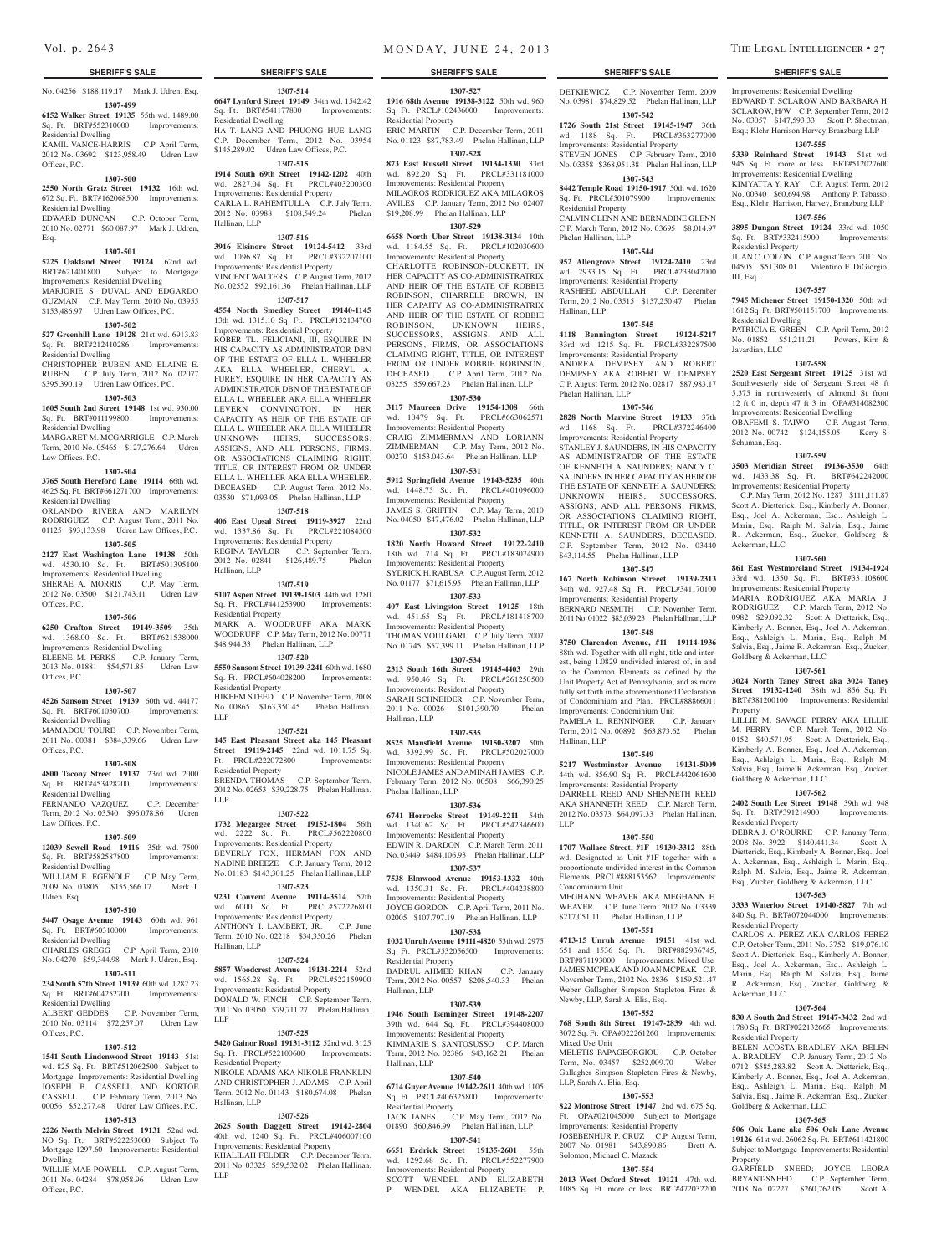No. 04256 \$188,119.17 Mark J. Udren, Esq. **1307-499**

#### **6152 Walker Street 19135** 55th wd. 1489.00 Sq. Ft. BRT#552310000 Improvements: Residential Dwelling

KAMIL VANCE-HARRIS C.P. April Term, 2012 No. 03692 \$123,958.49 Udren Law

# Offices, P.C.

**1307-500 2550 North Gratz Street 19132** 16th wd. 672 Sq. Ft. BRT#162068500 Improvements:

#### Residential Dwelling EDWARD DUNCAN C.P. October Term, 2010 No. 02771 \$60,087.97 Mark J. Udren, Esq.

**1307-501**

#### **5225 Oakland Street 19124** 62nd wd. BRT#621401800 Subject to Mortgage

Improvements: Residential Dwelling MARJORIE S. DUVAL AND EDGARDO GUZMAN C.P. May Term, 2010 No. 03955 \$153,486.97 Udren Law Offices, P.C.

## **1307-502**

**527 Greenhill Lane 19128** 21st wd. 6913.83 Sq. Ft. BRT#212410286 Improvements: Residential Dwelling CHRISTOPHER RUBEN AND ELAINE E.

RUBEN C.P. July Term, 2012 No. 02077 \$395,390.19 Udren Law Offices, P.C.

## **1307-503**

**1605 South 2nd Street 19148** 1st wd. 930.00 Sq. Ft. BRT#011199800 Improvements: Residential Dwelling

MARGARET M. MCGARRIGLE C.P. March Term, 2010 No. 05465 \$127,276.64 Udren Law Offices, P.C.

#### **1307-504**

**3765 South Hereford Lane 19114** 66th wd. 4625 Sq. Ft. BRT#661271700 Improvements: Residential Dwelling ORLANDO RIVERA AND MARILYN

RODRIGUEZ C.P. August Term, 2011 No. 01125 \$93,133.98 Udren Law Offices, P.C.

# **1307-505**

**2127 East Washington Lane 19138** 50th wd. 4530.10 Sq. Ft. BRT#501395100 Improvements: Residential Dwelling

SHERAE A. MORRIS C.P. May Term, 2012 No. 03500 \$121,743.11 Udren Law Offices, P.C.

#### **1307-506**

**6250 Crafton Street 19149-3509** 35th wd. 1368.00 Sq. Ft. BRT#621538000

#### Improvements: Residential Dwelling ELEENE M. PERKS C.P. January Term, 2013 No. 01881 \$54,571.85 Udren Law Offices, P.C.

# **1307-507**

**4526 Sansom Street 19139** 60th wd. 44177

#### Sq. Ft. BRT#601030700 Improvements: Residential Dwelling MAMADOU TOURE C.P. November Term,

2011 No. 00381 \$384,339.66 Udren Law Offices, P.C.

## **1307-508**

**4800 Tacony Street 19137** 23rd wd. 2000 Sq. Ft. BRT#453428200 Improvements: Residential Dwelling

FERNANDO VAZQUEZ C.P. December Term, 2012 No. 03540 \$96,078.86 Udren Law Offices, P.C.

## **1307-509**

**12039 Sewell Road 19116** 35th wd. 7500 Sq. Ft. BRT#582587800 Improvements: Residential Dwelling WILLIAM E. EGENOLF C.P. May Term,

2009 No. 03805 \$155,566.17 Mark J. Udren, Esq.

#### **1307-510**

**5447 Osage Avenue 19143** 60th wd. 961 Sq. Ft. BRT#60310000 Improvements: Residential Dwelling

CHARLES GREGG C.P. April Term, 2010 No. 04270 \$59,344.98 Mark J. Udren, Esq. **1307-511**

## **234 South 57th Street 19139** 60th wd. 1282.23

Sq. Ft. BRT#604252700 Improvements: Residential Dwelling

#### ALBERT GEDDES C.P. November Term, 2010 No. 03114 \$72,257.07 Udren Law Offices, P.C.

#### **1307-512**

**1541 South Lindenwood Street 19143** 51st wd. 825 Sq. Ft. BRT#512062500 Subject to Mortgage Improvements: Residential Dwelling JOSEPH B. CASSELL AND KORTOE CASSELL C.P. February Term, 2013 No. 00056 \$52,277.48 Udren Law Offices, P.C.

#### **1307-513**

**2226 North Melvin Street 19131** 52nd wd. NO Sq. Ft. BRT#522253000 Subject To Mortgage 1297.60 Improvements: Residential

Dwelling WILLIE MAE POWELL C.P. August Term, 2011 No. 04284 \$78,958.96 Udren Law Offices, P.C.

**1307-514**

Sq. Ft. BRT#541177800 Improvements:

HA T. LANG AND PHUONG HUE LANG C.P. December Term, 2012 No. 03954 \$145,289.02 Udren Law Offices, P.C. **1307-515 1914 South 69th Street 19142-1202** 40th wd. 2827.04 Sq. Ft. PRCL#403200300 Improvements: Residential Property CARLA L. RAHEMTULLA C.P. July Term, 2012 No. 03988 \$108,549.24 Phelan

**1307-516 3916 Elsinore Street 19124-5412** 33rd wd. 1096.87 Sq. Ft. PRCL#332207100 Improvements: Residential Property VINCENT WALTERS C.P. August Term, 2012 No. 02552 \$92,161.36 Phelan Hallinan, LLP **1307-517 4554 North Smedley Street 19140-1145**  13th wd. 1315.10 Sq. Ft. PRCL#132134700 Improvements: Residential Property ROBER TL. FELICIANI, III, ESQUIRE IN HIS CAPACITY AS ADMINISTRATOR DBN OF THE ESTATE OF ELLA L. WHEELER AKA ELLA WHEELER, CHERYL A. FUREY, ESQUIRE IN HER CAPACITY AS ADMINISTRATOR DBN OF THE ESTATE OF ELLA L. WHEELER AKA ELLA WHEELER LEVERN CONVINGTON, IN HER CAPACITY AS HEIR OF THE ESTATE OF ELLA L. WHEELER AKA ELLA WHEELER UNKNOWN HEIRS, SUCCESSORS, ASSIGNS, AND ALL PERSONS, FIRMS, OR ASSOCIATIONS CLAIMING RIGHT, TITLE, OR INTEREST FROM OR UNDER ELLA L. WHELLER AKA ELLA WHEELER, DECEASED. C.P. August Term, 2012 No. 03530 \$71,093.05 Phelan Hallinan, LLP **1307-518 406 East Upsal Street 19119-3927** 22nd wd. 1337.86 Sq. Ft. PRCL#221084500 Improvements: Residential Property REGINA TAYLOR C.P. September Term, 2012 No. 02841 \$126,489.75 Phelan

Residential Dwelling

Hallinan, LLP

Hallinan, LLP

Residential Property

Residential Property

Ft. PRCL#222072800 Residential Property

LLP

LLP

Hallinan, LLP

Residential Property

Hallinan, LLP

LLP

LLP

**1307-519 5107 Aspen Street 19139-1503** 44th wd. 1280 Sq. Ft. PRCL#441253900 Improvements:

MARK A. WOODRUFF AKA MARK WOODRUFF C.P. May Term, 2012 No. 00771 \$48,944.33 Phelan Hallinan, LLP **1307-520 5550 Sansom Street 19139-3241** 60th wd. 1680 Sq. Ft. PRCL#604028200 Improvements:

HIKEEM STEED C.P. November Term, 2008 No. 00865 \$163,350.45 Phelan Hallinan,

**1307-521 145 East Pleasant Street aka 145 Pleasant Street 19119-2145** 22nd wd. 1011.75 Sq.<br>Ft. PRCL#222072800 Improvements:

BRENDA THOMAS C.P. September Term, 2012 No. 02653 \$39,228.75 Phelan Hallinan,

**1307-522 1732 Megargee Street 19152-1804** 56th wd. 2222 Sq. Ft. PRCL#562220800 Improvements: Residential Property BEVERLY FOX, HERMAN FOX AND NADINE BREEZE C.P. January Term, 2012 No. 01183 \$143,301.25 Phelan Hallinan, LLP **1307-523 9231 Convent Avenue 19114-3514** 57th wd. 6000 Sq. Ft. PRCL#572226800 Improvements: Residential Property ANTHONY I. LAMBERT, JR. C.P. June Term, 2010 No. 02218 \$34,350.26 Phelan

**1307-524 5857 Woodcrest Avenue 19131-2214** 52nd wd. 1565.28 Sq. Ft. PRCL#522159900 Improvements: Residential Property DONALD W. FINCH C.P. September Term, 2011 No. 03050 \$79,711.27 Phelan Hallinan,

**1307-525 5420 Gainor Road 19131-3112** 52nd wd. 3125 Sq. Ft. PRCL#522100600 Improvements:

NIKOLE ADAMS AKA NIKOLE FRANKLIN AND CHRISTOPHER J. ADAMS C.P. April Term, 2012 No. 01143 \$180,674.08 Phelan

**1307-526 2625 South Daggett Street 19142-2804**  40th wd. 1240 Sq. Ft. PRCL#406007100 Improvements: Residential Property KHALILAH FELDER C.P. December Term, 2011 No. 03325 \$59,532.02 Phelan Hallinan,

**6647 Lynford Street 19149** 54th wd. 1542.42 **1916 68th Avenue 19138-3122** 50th wd. 960 **1307-527** Sq. Ft. PRCL#102436000 Improvements: Residential Property

ERIC MARTIN C.P. December Term, 2011 No. 01123 \$87,783.49 Phelan Hallinan, LLP **1307-528**

**873 East Russell Street 19134-1330** 33rd wd. 892.20 Sq. Ft. PRCL#331181000 Improvements: Residential Property MILAGROS RODRIGUEZ AKA MILAGROS AVILES C.P. January Term, 2012 No. 02407 \$19,208.99 Phelan Hallinan, LLP

#### **1307-529**

**6658 North Uber Street 19138-3134** 10th wd. 1184.55 Sq. Ft. PRCL#102030600

Improvements: Residential Property CHARLOTTE ROBINSON-DUCKETT, IN HER CAPACITY AS CO-ADMINISTRATRIX AND HEIR OF THE ESTATE OF ROBBIE ROBINSON, CHARRELE BROWN, IN HER CAPAITY AS CO-ADMINISTRATRIX AND HEIR OF THE ESTATE OF ROBBIE ROBINSON, UNKNOWN HEIRS, SUCCESSORS, ASSIGNS, AND ALL PERSONS, FIRMS, OR ASSOCIATIONS CLAIMING RIGHT, TITLE, OR INTEREST FROM OR UNDER ROBBIE ROBINSON, DECEASED. C.P. April Term, 2012 No. 03255 \$59,667.23 Phelan Hallinan, LLP

#### **1307-530**

**3117 Maureen Drive 19154-1308** 66th wd. 10479 Sq. Ft. PRCL#663062571 Improvements: Residential Property CRAIG ZIMMERMAN AND LORIANN ZIMMERMAN C.P. May Term, 2012 No. 00270 \$153,043.64 Phelan Hallinan, LLP

## **1307-531**

**5912 Springfield Avenue 19143-5235** 40th wd. 1448.75 Sq. Ft. PRCL#401096000 Improvements: Residential Property JAMES S. GRIFFIN C.P. May Term, 2010 No. 04050 \$47,476.02 Phelan Hallinan, LLP

# **1307-532**

**1820 North Howard Street 19122-2410**  18th wd. 714 Sq. Ft. PRCL#183074900 Improvements: Residential Property SYDRICK H. RABUSA C.P. August Term, 2012 No. 01177 \$71,615.95 Phelan Hallinan, LLP

## **1307-533**

**407 East Livingston Street 19125** 18th wd. 451.65 Sq. Ft. PRCL#181418700 Improvements: Residential Property THOMAS VOULGARI C.P. July Term, 2007 No. 01745 \$57,399.11 Phelan Hallinan, LLP

# **1307-534**

**2313 South 16th Street 19145-4403** 29th wd. 950.46 Sq. Ft. PRCL#261250500 Improvements: Residential Property SARAH SCHNEIDER C.P. November Term, 2011 No. 00026 \$101,390.70 Phelan Hallinan, LLP

#### **1307-535**

**8525 Mansfield Avenue 19150-3207** 50th wd. 3392.99 Sq. Ft. PRCL#502027000 Improvements: Residential Property NICOLE JAMES AND AMINAH JAMES C.P. February Term, 2012 No. 00508 \$66,390.25 Phelan Hallinan, LLP

#### **1307-536**

**6741 Horrocks Street 19149-2211** 54th wd. 1340.62 Sq. Ft. PRCL#542346600 Improvements: Residential Property EDWIN R. DARDON C.P. March Term, 2011 No. 03449 \$484,106.93 Phelan Hallinan, LLP **1307-537**

**7538 Elmwood Avenue 19153-1332** 40th wd. 1350.31 Sq. Ft. PRCL#404238800 Improvements: Residential Property JOYCE GORDON C.P. April Term, 2011 No. 02005 \$107,797.19 Phelan Hallinan, LLP

#### **1307-538**

**1032 Unruh Avenue 19111-4820** 53th wd. 2975 Sq. Ft. PRCL#532056500 Improvements: Residential Property

BADRUL AHMED KHAN C.P. January Term, 2012 No. 00557 \$208,540.33 Phelan Hallinan, LLP

#### **1307-539**

**1946 South Iseminger Street 19148-2207**  39th wd. 644 Sq. Ft. PRCL#394408000 Improvements: Residential Property KIMMARIE S. SANTOSUSSO C.P. Term, 2012 No. 02386 \$43,162.21 Phelan Hallinan, LLP

#### **1307-540**

**6714 Guyer Avenue 19142-2611** 40th wd. 1105 Sq. Ft. PRCL#406325800 Improvements: Residential Property JACK JANES C.P. May Term, 2012 No. 01890 \$60,846.99 Phelan Hallinan, LLP

## **1307-541**

**6651 Erdrick Street 19135-2601** 55th wd. 1292.68 Sq. Ft. PRCL#552277900 Improvements: Residential Property SCOTT WENDEL AND ELIZABETH P. WENDEL AKA ELIZABETH P.

# **SHERIFF'S SALE SHERIFF'S SALE SHERIFF'S SALE SHERIFF'S SALE SHERIFF'S SALE**

DETKIEWICZ C.P. November Term, 2009 No. 03981 \$74,829.52 Phelan Hallinan, LLP

Improvements: Residential Dwelling EDWARD T. SCLAROW AND BARBARA H. SCLAROW, H/W C.P. September Term, 2012 No. 03057 \$147,593.33 Scott P. Shectman, Esq.; Klehr Harrison Harvey Branzburg LLP **1307-555 5339 Reinhard Street 19143** 51st wd. 945 Sq. Ft. more or less BRT#512027600 Improvements: Residential Dwelling KIMYATTA Y. RAY C.P. August Term, 2012 No. 00340 \$60,694.98 Anthony P. Tabasso, Esq., Klehr, Harrison, Harvey, Branzburg LLP **1307-556 3895 Dungan Street 19124** 33rd wd. 1050 Sq. Ft. BRT#332415900 Improvements:

Residential Property

Residential Dwelling

Javardian, LLC

Schuman, Esq.

Ackerman, LLC

Property

Goldberg & Ackerman, LLC

Goldberg & Ackerman, LLC

Residential Property

Residential Property

Ackerman, LLC

Residential Property

Property

Goldberg & Ackerman, LLC

III, Esq.

JUAN C. COLON C.P. August Term, 2011 No. 04505 \$51,308.01 Valentino F. DiGiorgio,

**1307-557 7945 Michener Street 19150-1320** 50th wd. 1612 Sq. Ft. BRT#501151700 Improvements:

PATRICIA E. GREEN C.P. April Term, 2012 No. 01852 \$51,211.21 Powers, Kirn &

**1307-558 2520 East Sergeant Street 19125** 31st wd. Southwesterly side of Sergeant Street 48 ft 5.375 in northwesterly of Almond St front 12 ft 0 in, depth 47 ft 3 in OPA#314082300 Improvements: Residential Dwelling OBAFEMI S. TAIWO C.P. August Term, 2012 No. 00742 \$124,155.05 Kerry S.

**1307-559 3503 Meridian Street 19136-3530** 64th wd. 1433.38 Sq. Ft. BRT#642242000 Improvements: Residential Property C.P. May Term, 2012 No. 1287 \$111,111.87 Scott A. Dietterick, Esq., Kimberly A. Bonner, Esq., Joel A. Ackerman, Esq., Ashleigh L. Marin, Esq., Ralph M. Salvia, Esq., Jaime R. Ackerman, Esq., Zucker, Goldberg &

**1307-560 861 East Westmoreland Street 19134-1924**  33rd wd. 1350 Sq. Ft. BRT#331108600 Improvements: Residential Property MARIA RODRIGUEZ AKA MARIA J. RODRIGUEZ C.P. March Term, 2012 No. 0982 \$29,092.32 Scott A. Dietterick, Esq., Kimberly A. Bonner, Esq., Joel A. Ackerman, Esq., Ashleigh L. Marin, Esq., Ralph M. Salvia, Esq., Jaime R. Ackerman, Esq., Zucker,

**1307-561 3024 North Taney Street aka 3024 Taney Street 19132-1240** 38th wd. 856 Sq. Ft. BRT#381200100 Improvements: Residential

LILLIE M. SAVAGE PERRY AKA LILLIE M. PERRY C.P. March Term, 2012 No. 0152 \$40,571.95 Scott A. Dietterick, Esq., Kimberly A. Bonner, Esq., Joel A. Ackerman, Esq., Ashleigh L. Marin, Esq., Ralph M. Salvia, Esq., Jaime R. Ackerman, Esq., Zucker,

**1307-562 2402 South Lee Street 19148** 39th wd. 948 Sq. Ft. BRT#391214900 Improvements:

DEBRA J. O'ROURKE C.P. January Term, 2008 No. 3922 \$140,441.34 Scott A. Dietterick, Esq., Kimberly A. Bonner, Esq., Joel A. Ackerman, Esq., Ashleigh L. Marin, Esq., Ralph M. Salvia, Esq., Jaime R. Ackerman, Esq., Zucker, Goldberg & Ackerman, LLC **1307-563 3333 Waterloo Street 19140-5827** 7th wd. 840 Sq. Ft. BRT#072044000 Improvements:

CARLOS A. PEREZ AKA CARLOS PEREZ C.P. October Term, 2011 No. 3752 \$19,076.10 Scott A. Dietterick, Esq., Kimberly A. Bonner, Esq., Joel A. Ackerman, Esq., Ashleigh L. Marin, Esq., Ralph M. Salvia, Esq., Jaime R. Ackerman, Esq., Zucker, Goldberg &

**1307-564 830 A South 2nd Street 19147-3432** 2nd wd. 1780 Sq. Ft. BRT#022132665 Improvements:

BELEN ACOSTA-BRADLEY AKA BELEN A. BRADLEY C.P. January Term, 2012 No. 0712 \$585,283.82 Scott A. Dietterick, Esq., Kimberly A. Bonner, Esq., Joel A. Ackerman, Esq., Ashleigh L. Marin, Esq., Ralph M. Salvia, Esq., Jaime R. Ackerman, Esq., Zucker,

**1307-565 506 Oak Lane aka 506 Oak Lane Avenue 19126** 61st wd. 26062 Sq. Ft. BRT#611421800 Subject to Mortgage Improvements: Residential

GARFIELD SNEED; JOYCE LEORA BRYANT-SNEED C.P. September Term, 2008 No. 02227 \$260,762.05 Scott A.

**1307-542 1726 South 21st Street 19145-1947** 36th wd. 1188 Sq. Ft. PRCL#363277000 Improvements: Residential Property STEVEN JONES C.P. February Term, 2010 No. 03358 \$368,951.38 Phelan Hallinan, LLP

#### **1307-543**

**8442 Temple Road 19150-1917** 50th wd. 1620 Sq. Ft. PRCL#501079900 Improvements: Residential Property CALVIN GLENN AND BERNADINE GLENN

C.P. March Term, 2012 No. 03695 \$8,014.97 Phelan Hallinan, LLP

#### **1307-544**

**952 Allengrove Street 19124-2410** 23rd wd. 2933.15 Sq. Ft. PRCL#233042000 Improvements: Residential Property RASHEED ABDULLAH C.P. December Term, 2012 No. 03515 \$157,250.47 Phelan Hallinan, LLP

#### **1307-545**

**4118 Bennington Street 19124-5217**  33rd wd. 1215 Sq. Ft. PRCL#332287500 Improvements: Residential Property ANDREA DEMPSEY AND ROBERT DEMPSEY AKA ROBERT W. DEMPSEY C.P. August Term, 2012 No. 02817 \$87,983.17 Phelan Hallinan, LLP

#### **1307-546**

**2828 North Marvine Street 19133** 37th wd. 1168 Sq. Ft. PRCL#372246400 Improvements: Residential Property STANLEY J. SAUNDERS, IN HIS CAPACITY AS ADMINISTRATOR OF THE ESTATE OF KENNETH A. SAUNDERS; NANCY C. SAUNDERS IN HER CAPACITY AS HEIR OF THE ESTATE OF KENNETH A. SAUNDERS; UNKNOWN HEIRS, SUCCESSORS, ASSIGNS, AND ALL PERSONS, FIRMS, OR ASSOCIATIONS CLAIMING RIGHT, TITLE, OR INTEREST FROM OR UNDER KENNETH A. SAUNDERS, DECEASED. C.P. September Term, 2012 No. 03440 \$43,114.55 Phelan Hallinan, LLP

#### **1307-547 167 North Robinson Streeet 19139-2313**

34th wd. 927.48 Sq. Ft. PRCL#341170100 Improvements: Residential Property BERNARD NESMITH C.P. November Term, 2011 No. 01022 \$85,039.23 Phelan Hallinan, LLP

#### **1307-548**

**3750 Clarendon Avenue, #11 19114-1936**  88th wd. Together with all right, title and interest, being 1.0829 undivided interest of, in and to the Common Elements as defined by the Unit Property Act of Pennsylvania, and as more fully set forth in the aforementioned Declaration of Condominium and Plan. PRCL#88866011 Improvements: Condominium Unit

PAMELA L. RENNINGER C.P. January Term, 2012 No. 00892 \$63,873.62 Phelan Hallinan, LLP

# **1307-549**

**5217 Westminster Avenue 19131-5009**  44th wd. 856.90 Sq. Ft. PRCL#442061600 Improvements: Residential Property DARRELL REED AND SHENNETH REED AKA SHANNETH REED C.P. March Term, 2012 No. 03573 \$64,097.33 Phelan Hallinan, LLP

**1307-550 1707 Wallace Street, #1F 19130-3312** 88th wd. Designated as Unit #1F together with a proportionate undivided interest in the Common Elements. PRCL#888153562 Improvements:

MEGHANN WEAVER AKA MEGHANN E. WEAVER C.P. June Term, 2012 No. 03339 \$217,051.11 Phelan Hallinan, LLP **1307-551 4713-15 Unruh Avenue 19151** 41st wd. 651 and 1536 Sq. Ft. BRT#882936745, BRT#871193000 Improvements: Mixed Use JAMES MCPEAK AND JOAN MCPEAK C.P. November Term, 2102 No. 2836 \$159,521.47 Weber Gallagher Simpson Stapleton Fires &

**1307-552 768 South 8th Street 19147-2839** 4th wd. 3072 Sq. Ft. OPA#022261260 Improvements:

MELETIS PAPAGEORGIOU C.P. October Term, No. 03457 \$252,009.70 Weber Gallagher Simpson Stapleton Fires & Newby,

**1307-553 822 Montrose Street 19147** 2nd wd. 675 Sq. Ft. OPA#021045000 Subject to Mortgage Improvements: Residential Property JOSEBENHUR P. CRUZ C.P. August Term, 2007 No. 01981 \$43,890.86 Brett A.

**1307-554 2013 West Oxford Street 19121** 47th wd. 1085 Sq. Ft. more or less BRT#472032200

Condominium Unit

Newby, LLP, Sarah A. Elia, Esq.

Mixed Use Unit

LLP, Sarah A. Elia, Esq.

Solomon, Michael C. Mazack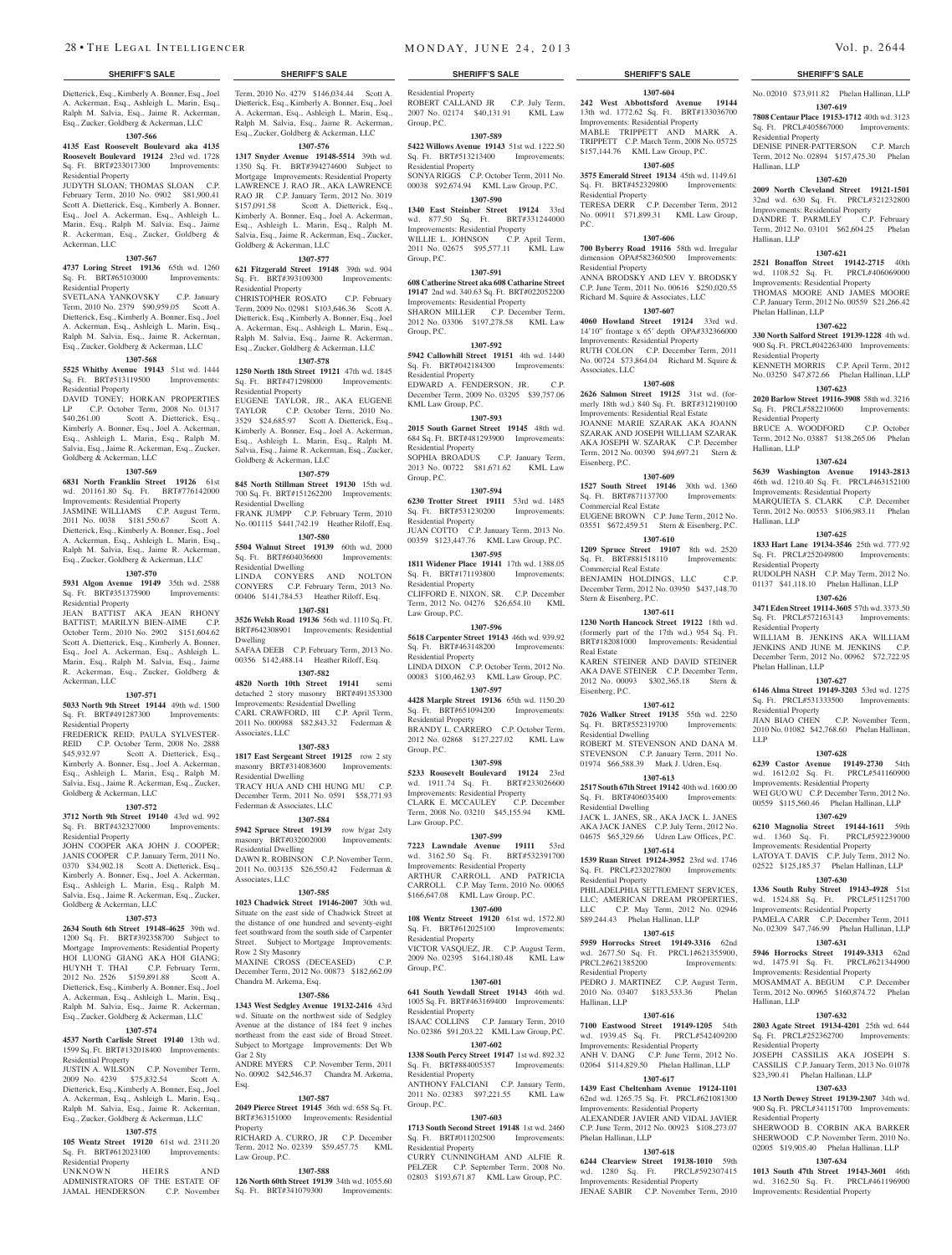Dietterick, Esq., Kimberly A. Bonner, Esq., Joel A. Ackerman, Esq., Ashleigh L. Marin, Esq., Ralph M. Salvia, Esq., Jaime R. Ackerman, Esq., Zucker, Goldberg & Ackerman, LLC

#### **1307-566**

#### **4135 East Roosevelt Boulevard aka 4135 Roosevelt Boulevard 19124** 23rd wd. 1728 Sq. Ft. BRT#233017300 Improvements: Residential Property

JUDYTH SLOAN; THOMAS SLOAN C.P. February Term, 2010 No. 0902 \$81,900.41 Scott A. Dietterick, Esq., Kimberly A. Bonner, Esq., Joel A. Ackerman, Esq., Ashleigh L. Marin, Esq., Ralph M. Salvia, Esq., Jaime R. Ackerman, Esq., Zucker, Goldberg & Ackerman, LLC

# **1307-567**

**4737 Loring Street 19136** 65th wd. 1260 Sq. Ft. BRT#65103000 Improvements: Residential Property

SVETLANA YANKOVSKY C.P. January Term, 2010 No. 2379 \$90,959.05 Scott A. Dietterick, Esq., Kimberly A. Bonner, Esq., Joel A. Ackerman, Esq., Ashleigh L. Marin, Esq., Ralph M. Salvia, Esq., Jaime R. Ackerman, Esq., Zucker, Goldberg & Ackerman, LLC

#### **1307-568**

**5525 Whitby Avenue 19143** 51st wd. 1444 Sq. Ft. BRT#513119500 Improvements: Residential Property

DAVID TONEY; HORKAN PROPERTIES LP C.P. October Term, 2008 No. 01317<br>\$40.261.00 Scott A. Dietterick, Esq., Scott A. Dietterick, Esq., Kimberly A. Bonner, Esq., Joel A. Ackerman, Esq., Ashleigh L. Marin, Esq., Ralph M. Salvia, Esq., Jaime R. Ackerman, Esq., Zucker, Goldberg & Ackerman, LLC

#### **1307-569**

**6831 North Franklin Street 19126** 61st wd. 201161.80 Sq. Ft. BRT#776142000 Improvements: Residential Property

JASMINE WILLIAMS C.P. August Term, 2011 No. 0038 \$181,550.67 Scott A. Dietterick, Esq., Kimberly A. Bonner, Esq., Joel A. Ackerman, Esq., Ashleigh L. Marin, Esq., Ralph M. Salvia, Esq., Jaime R. Ackerman, Esq., Zucker, Goldberg & Ackerman, LLC **1307-570**

**5931 Algon Avenue 19149** 35th wd. 2588 Sq. Ft. BRT#351375900 Improvements: Residential Property JEAN BATTIST AKA JEAN RHONY BATTIST; MARILYN BIEN-AIME C.P. October Term, 2010 No. 2902 \$151,604.62 Scott A. Dietterick, Esq., Kimberly A. Bonner,

Esq., Joel A. Ackerman, Esq., Ashleigh L. Marin, Esq., Ralph M. Salvia, Esq., Jaime R. Ackerman, Esq., Zucker, Goldberg & Ackerman, LLC

#### **1307-571**

**5033 North 9th Street 19144** 49th wd. 1500 Sq. Ft. BRT#491287300 Improvements: Residential Property

FREDERICK REID; PAULA SYLVESTER-REID C.P. October Term, 2008 No. 2888<br>\$45.932.97 Scott A. Dietterick, Esq., Scott A. Dietterick, Esq., Kimberly A. Bonner, Esq., Joel A. Ackerman, Esq., Ashleigh L. Marin, Esq., Ralph M. Salvia, Esq., Jaime R. Ackerman, Esq., Zucker, Goldberg & Ackerman, LLC

#### **1307-572**

**3712 North 9th Street 19140** 43rd wd. 992 Sq. Ft. BRT#432327000 Improvements: Residential Property

JOHN COOPER AKA JOHN J. COOPER; JANIS COOPER C.P. January Term, 2011 No. 0370 \$34,902.18 Scott A. Dietterick, Esq., Kimberly A. Bonner, Esq., Joel A. Ackerman, Esq., Ashleigh L. Marin, Esq., Ralph M. Salvia, Esq., Jaime R. Ackerman, Esq., Zucker, Goldberg & Ackerman, LLC

#### **1307-573**

**2634 South 6th Street 19148-4625** 39th wd. 1200 Sq. Ft. BRT#392358700 Subject to Mortgage Improvements: Residential Property HOI LUONG GIANG AKA HOI GIANG; HUYNH T. THAI C.P. February Term, 2012 No. 2526 \$159,891.88 Scott A. Dietterick, Esq., Kimberly A. Bonner, Esq., Joel A. Ackerman, Esq., Ashleigh L. Marin, Esq., Ralph M. Salvia, Esq., Jaime R. Ackerman, Esq., Zucker, Goldberg & Ackerman, LLC

#### **1307-574**

**4537 North Carlisle Street 19140** 13th wd. 1599 Sq. Ft. BRT#132018400 Improvements: Residential Property

JUSTIN A. WILSON C.P. November Term, 2009 No. 4239 \$75,832.54 Scott A. Dietterick, Esq., Kimberly A. Bonner, Esq., Joel A. Ackerman, Esq., Ashleigh L. Marin, Esq., Ralph M. Salvia, Esq., Jaime R. Ackerman, Esq., Zucker, Goldberg & Ackerman, LLC

## **1307-575**

**105 Wentz Street 19120** 61st wd. 2311.20 Sq. Ft. BRT#612023100 Improvements: Residential Property<br>UNKNOWN

HEIRS AND ADMINISTRATORS OF THE ESTATE OF JAMAL HENDERSON C.P. November

Term, 2010 No. 4279 \$146,034.44 Scott A. Dietterick, Esq., Kimberly A. Bonner, Esq., Joel A. Ackerman, Esq., Ashleigh L. Marin, Esq., Ralph M. Salvia, Esq., Jaime R. Ackerman, Esq., Zucker, Goldberg & Ackerman, LLC

## **1307-576**

**1317 Snyder Avenue 19148-5514** 39th wd. 1350 Sq. Ft. BRT#394274600 Subject to Mortgage Improvements: Residential Property LAWRENCE J. RAO JR., AKA LAWRENCE RAO JR C.P. January Term, 2012 No. 3019 \$157,091.58 Scott A. Dietterick, Esq., Kimberly A. Bonner, Esq., Joel A. Ackerman, Esq., Ashleigh L. Marin, Esq., Ralph M. Salvia, Esq., Jaime R. Ackerman, Esq., Zucker, Goldberg & Ackerman, LLC

#### **1307-577**

**621 Fitzgerald Street 19148** 39th wd. 904 Sq. Ft. BRT#393109300 Improvements: Residential Property

CHRISTOPHER ROSATO C.P. February Term, 2009 No. 02981 \$103,646.36 Scott A. Dietterick, Esq., Kimberly A. Bonner, Esq., Joel A. Ackerman, Esq., Ashleigh L. Marin, Esq., Ralph M. Salvia, Esq., Jaime R. Ackerman, Esq., Zucker, Goldberg & Ackerman, LLC

#### **1307-578**

**1250 North 18th Street 19121** 47th wd. 1845 Sq. Ft. BRT#471298000 Improvements: Residential Property

EUGENE TAYLOR, JR., AKA EUGENE TAYLOR C.P. October Term, 2010 No. 3529 \$24,685.97 Scott A. Dietterick, Esq., Kimberly A. Bonner, Esq., Joel A. Ackerman, Esq., Ashleigh L. Marin, Esq., Ralph M. Salvia, Esq., Jaime R. Ackerman, Esq., Zucker, Goldberg & Ackerman, LLC

#### **1307-579**

**845 North Stillman Street 19130** 15th wd. 700 Sq. Ft. BRT#151262200 Improvements: Residential Dwelling

FRANK JUMPP C.P. February Term, 2010 No. 001115 \$441,742.19 Heather Riloff, Esq. **1307-580**

**5504 Walnut Street 19139** 60th wd. 2000 Sq. Ft. BRT#604036600 Improvements: Residential Dwelling LINDA CONYERS AND NOLTON CONYERS C.P. February Term, 2013 No. 00406 \$141,784.53 Heather Riloff, Esq.

#### **1307-581**

**3526 Welsh Road 19136** 56th wd. 1110 Sq. Ft. BRT#642308901 Improvements: Residential Dwelling SAFAA DEEB C.P. February Term, 2013 No.

00356 \$142,488.14 Heather Riloff, Esq. **1307-582**

**4820 North 10th Street 19141** semi detached 2 story masonry BRT#491353300

Improvements: Residential Dwelling CARL CRAWFORD, III C.P. April Term, 2011 No. 000988 \$82,843.32 Federman & Associates, LLC

#### **1307-583**

**1817 East Sergeant Street 19125** row 2 sty masonry BRT#314083600 Improvements: Residential Dwelling TRACY HUA AND CHI HUNG MU C.P. December Term, 2011 No. 0591 \$58,771.93 Federman & Associates, LLC

#### **1307-584**

**5942 Spruce Street 19139** row b/gar 2sty masonry BRT#032002000 Improvements: Residential Dwelling DAWN R. ROBINSON C.P. November Term, 2011 No. 003135 \$26,550.42 Federman & Associates, LLC

#### **1307-585**

**1023 Chadwick Street 19146-2007** 30th wd. Situate on the east side of Chadwick Street at the distance of one hundred and seventy-eight feet southward from the south side of Carpenter Street. Subject to Mortgage Improvements: Row 2 Sty Masonry MAXINE CROSS (DECEASED) December Term, 2012 No. 00873 \$182,662.09

#### Chandra M. Arkema, Esq. **1307-586**

**1343 West Sedgley Avenue 19132-2416** 43rd wd. Situate on the northwest side of Sedgley Avenue at the distance of 184 feet 9 inches northeast from the east side of Broad Street. Subject to Mortgage Improvements: Det Wb Gar 2 Sty ANDRE MYERS C.P. November Term, 2011

No. 00902 \$42,546.37 Chandra M. Arkema, Esq.

## **1307-587**

**2049 Pierce Street 19145** 36th wd. 658 Sq. Ft. BRT#363151000 Improvements: Residential **Property** RICHARD A. CURRO, JR C.P. December

Term, 2012 No. 02339 \$59,457.75 KML Law Group, P.C.

#### **1307-588**

**126 North 60th Street 19139** 34th wd. 1055.60 Sq. Ft. BRT#341079300 Improvements:

#### **SHERIFF'S SALE SHERIFF'S SALE SHERIFF'S SALE SHERIFF'S SALE SHERIFF'S SALE**

Residential Property ROBERT CALLAND JR C.P. July Term, 2007 No. 02174 \$40,131.91 KML Law Group, P.C.

**1307-604 242 West Abbottsford Avenue 19144**  13th wd. 1772.62 Sq. Ft. BRT#133036700 Improvements: Residential Property MABLE TRIPPETT AND MARK A. TRIPPETT C.P. March Term, 2008 No. 05725 \$157,144.76 KML Law Group, P.C. **1307-605 3575 Emerald Street 19134** 45th wd. 1149.61 Sq. Ft. BRT#452329800 Improvements: No. 02010 \$73,911.82 Phelan Hallinan, LLP **1307-619 7808 Centaur Place 19153-1712** 40th wd. 3123 Sq. Ft. PRCL#405867000 Improvements:

DENISE PINER-PATTERSON C.P. March Term, 2012 No. 02894 \$157,475.30 Phelan

**1307-620 2009 North Cleveland Street 19121-1501**  32nd wd. 630 Sq. Ft. PRCL#321232800 Improvements: Residential Property<br>DANDRE T. PARMLEY C.P. February

Term, 2012 No. 03101 \$62,604.25 Phelan

**1307-621 2521 Bonaffon Street 19142-2715** 40th wd. 1108.52 Sq. Ft. PRCL#406069000 Improvements: Residential Property THOMAS MOORE AND JAMES MOORE C.P. January Term, 2012 No. 00559 \$21,266.42

**1307-622 330 North Salford Street 19139-1228** 4th wd. 900 Sq. Ft. PRCL#042263400 Improvements:

KENNETH MORRIS C.P. April Term, 2012 No. 03250 \$47,872.66 Phelan Hallinan, LLP **1307-623 2020 Barlow Street 19116-3908** 58th wd. 3216 Sq. Ft. PRCL#582210600 Improvements:

BRUCE A. WOODFORD C.P. October Term, 2012 No. 03887 \$138,265.06 Phelan

**1307-624 5639 Washington Avenue 19143-2813**  46th wd. 1210.40 Sq. Ft. PRCL#463152100 Improvements: Residential Property MARQUIETA S. CLARK C.P. December Term, 2012 No. 00553 \$106,983.11 Phelan

**1307-625 1833 Hart Lane 19134-3546** 25th wd. 777.92 Sq. Ft. PRCL#252049800 Improvements:

RUDOLPH NASH C.P. May Term, 2012 No. 01137 \$41,118.10 Phelan Hallinan, LLP **1307-626 3471 Eden Street 19114-3605** 57th wd. 3373.50 Sq. Ft. PRCL#572163143 Improvements:

WILLIAM B. JENKINS AKA WILLIAM JENKINS AND JUNE M. JENKINS C.P. December Term, 2012 No. 00962 \$72,722.95

**1307-627 6146 Alma Street 19149-3203** 53rd wd. 1275 Sq. Ft. PRCL#531333500 Improvements:

JIAN BIAO CHEN C.P. November Term, 2010 No. 01082 \$42,768.60 Phelan Hallinan,

**1307-628 6239 Castor Avenue 19149-2730** 54th wd. 1612.02 Sq. Ft. PRCL#541160900 Improvements: Residential Property WEI GUO WU C.P. December Term, 2012 No. 00559 \$115,560.46 Phelan Hallinan, LLP **1307-629 6210 Magnolia Street 19144-1611** 59th wd. 1360 Sq. Ft. PRCL#592239000 Improvements: Residential Property

LATOYA T. DAVIS C.P. July Term, 2012 No. 02522 \$125,185.37 Phelan Hallinan, LLP **1307-630 1336 South Ruby Street 19143-4928** 51st wd. 1524.88 Sq. Ft. PRCL#511251700 Improvements: Residential Property PAMELA CARR C.P. December Term, 2011 No. 02309 \$47,746.99 Phelan Hallinan, LLP **1307-631 5946 Horrocks Street 19149-3313** 62nd wd. 1475.91 Sq. Ft. PRCL#621344900 Improvements: Residential Property MOSAMMAT A. BEGUM C.P. December Term, 2012 No. 00965 \$160,874.72 Phelan

**1307-632 2803 Agate Street 19134-4201** 25th wd. 644 Sq. Ft. PRCL#252362700 Improvements:

JOSEPH CASSILIS AKA JOSEPH S. CASSILIS C.P. January Term, 2013 No. 01078 \$23,390.41 Phelan Hallinan, LLP **1307-633 13 North Dewey Street 19139-2307** 34th wd. 900 Sq. Ft. PRCL#341151700 Improvements:

SHERWOOD B. CORBIN AKA BARKER SHERWOOD C.P. November Term, 2010 No. 02005 \$19,905.40 Phelan Hallinan, LLP **1307-634 1013 South 47th Street 19143-3601** 46th wd. 3162.50 Sq. Ft. PRCL#461196900 Improvements: Residential Property

Residential Property

DANDRE T. PARMLEY

Hallinan, LLP

Hallinan, LLP

Phelan Hallinan, LLP

Residential Property

Residential Property

Hallinan, LLP

Hallinan, LLP

Residential Property

Residential Property

Phelan Hallinan, LLP

Residential Property

Hallinan, LLP

esidential Property

Residential Property

LLP

TERESA DERR C.P. December Term, 2012 No. 00911 \$71,899.31 KML Law Group,

**1307-606 700 Byberry Road 19116** 58th wd. Irregular dimension OPA#582360500 Improvements:

ANNA BRODSKY AND LEV Y. BRODSKY C.P. June Term, 2011 No. 00616 \$250,020.55 Richard M. Squire & Associates, LLC **1307-607 4060 Howland Street 19124** 33rd wd. 14'10" frontage x 65' depth OPA#332366000 Improvements: Residential Property RUTH COLON C.P. December Term, 2011 No. 00724 \$73,864.04 Richard M. Squire &

**1307-608 2626 Salmon Street 19125** 31st wd. (formerly 18th wd.) 840 Sq. Ft. BRT#312190100 Improvements: Residential Real Estate JOANNE MARIE SZARAK AKA JOANN SZARAK AND JOSEPH WILLIAM SZARAK AKA JOSEPH W. SZARAK C.P. December Term, 2012 No. 00390 \$94,697.21 Stern &

**1307-609 1527 South Street 19146** 30th wd. 1360 Sq. Ft. BRT#871137700 Improvements:

EUGENE BROWN C.P. June Term, 2012 No. 03551 \$672,459.51 Stern & Eisenberg, P.C. **1307-610 1209 Spruce Street 19107** 8th wd. 2520 Sq. Ft. BRT#881518110 Improvements:

BENJAMIN HOLDINGS, LLC C.P. December Term, 2012 No. 03950 \$437,148.70

**1307-611 1230 North Hancock Street 19122** 18th wd. (formerly part of the 17th wd.) 954 Sq. Ft. BRT#182081000 Improvements: Residential

KAREN STEINER AND DAVID STEINER AKA DAVE STEINER C.P. December Term, 2012 No. 00093 \$302,365.18 Stern &

**1307-612 7026 Walker Street 19135** 55th wd. 2250 Sq. Ft. BRT#552319700 Improvements:

ROBERT M. STEVENSON AND DANA M. STEVENSON C.P. January Term, 2011 No. 01974 \$66,588.39 Mark J. Udren, Esq. **1307-613 2517 South 67th Street 19142** 40th wd. 1600.00 Sq. Ft. BRT#406035400 Improvements:

JACK L. JANES, SR., AKA JACK L. JANES AKA JACK JANES C.P. July Term, 2012 No. 04675 \$65,329.66 Udren Law Offices, P.C. **1307-614 1539 Ruan Street 19124-3952** 23rd wd. 1746 Sq. Ft. PRCL#232027800 Improvements:

PHILADELPHIA SETTLEMENT SERVICES, LLC; AMERICAN DREAM PROPERTIES,<br>LLC C.P. May Term, 2012 No. 02946 C.P. May Term, 2012 No. 02946

PEDRO J. MARTINEZ C.P. August Term, 2010 No. 03407 \$183,533.36 Phelan

**1307-616 7100 Eastwood Street 19149-1205** 54th wd. 1939.45 Sq. Ft. PRCL#542409200 nents: Residential Property ANH V. DANG C.P. June Term, 2012 No. 02064 \$114,829.50 Phelan Hallinan, LLP **1307-617 1439 East Cheltenham Avenue 19124-1101**  62nd wd. 1265.75 Sq. Ft. PRCL#621081300 Improvements: Residential Property ALEXANDER JAVIER AND VIDAL JAVIER C.P. June Term, 2012 No. 00923 \$108,273.07

**1307-618 6244 Clearview Street 19138-1010** 59th wd. 1280 Sq. Ft. PRCL#592307415 Improvements: Residential Property JENAE SABIR C.P. November Term, 2010

\$89,244.43 Phelan Hallinan, LLP **1307-615 5959 Horrocks Street 19149-3316** 62nd wd. 2677.50 Sq. Ft. PRCL1#621355900,<br>PRCL2#621385200 Improvements:

Residential Property

Residential Property

Associates, LLC

Eisenberg, P.C.

Commercial Real Estate

Commercial Real Estate

Stern & Eisenberg, P.C.

Real Estate

Eisenberg, P.C.

Residential Dwelling

Residential Dwelling

Residential Property

PRCL2#621385200 Residential Property

Phelan Hallinan, LLP

Hallinan, LLP

P.C.

#### **1307-589**

**5422 Willows Avenue 19143** 51st wd. 1222.50 Sq. Ft. BRT#513213400 Improvements: Residential Property SONYA RIGGS C.P. October Term, 2011 No. 00038 \$92,674.94 KML Law Group, P.C.

## **1307-590**

**1340 East Steinber Street 19124** 33rd wd. 877.50 Sq. Ft. BRT#331244000 Improvements: Residential Property WILLIE L. JOHNSON C.P. April Term,

2011 No. 02675 \$95,577.11 KML Law Group, P.C. **1307-591**

**608 Catherine Street aka 608 Catharine Street 19147** 2nd wd. 340.63 Sq. Ft. BRT#022052200 Improvements: Residential Property SHARON MILLER C.P. December Term, 2012 No. 03306 \$197,278.58 KML Law Group, P.C.

#### **1307-592**

**5942 Callowhill Street 19151** 4th wd. 1440 Sq. Ft. BRT#042184300 Improvements: Residential Property EDWARD A. FENDERSON, JR. C.P.

December Term, 2009 No. 03295 \$39,757.06 KML Law Group, P.C. **1307-593**

**2015 South Garnet Street 19145** 48th wd. 684 Sq. Ft. BRT#481293900 Improvements: Residential Property SOPHIA BROADUS C.P. January Term, 2013 No. 00722 \$81,671.62 KML Law Group, P.C.

## **1307-594**

**6230 Trotter Street 19111** 53rd wd. 1485 Sq. Ft. BRT#531230200 Improvements: Residential Property JUAN COTTO C.P. January Term, 2013 No. 00359 \$123,447.76 KML Law Group, P.C.

**1307-595 1811 Widener Place 19141** 17th wd. 1388.05

Sq. Ft. BRT#171193800 Improvements: Residential Property

CLIFFORD E. NIXON, SR. C.P. December Term, 2012 No. 04276 \$26,654.10 KML Law Group, P.C.

#### **1307-596**

**5618 Carpenter Street 19143** 46th wd. 939.92 Sq. Ft. BRT#463148200 Improvements: Residential Property LINDA DIXON C.P. October Term, 2012 No. 00083 \$100,462.93 KML Law Group, P.C.

**1307-597 4428 Marple Street 19136** 65th wd. 1150.20

Sq. Ft. BRT#651094200 Improvements: Residential Property BRANDY L. CARRERO C.P. October Term, 2012 No. 02868 \$127,227.02 KML Law Group, P.C.

#### **1307-598**

**5233 Roosevelt Boulevard 19124** 23rd wd. 1911.74 Sq. Ft. BRT#233026600 Wa. 1911.74 by 11. Discoverence.<br>Improvements: Residential Property<br>CLARK E. MCCAULEY C.P. December CLARK E. MCCAULEY Term, 2008 No. 03210 \$45,155.94 KML Law Group, P.C.

# **1307-599**

**7223 Lawndale Avenue 19111** 53rd wd. 3162.50 Sq. Ft. BRT#532391700 Improvements: Residential Property ARTHUR CARROLL AND PATRICIA CARROLL C.P. May Term, 2010 No. 00065 \$166,647.08 KML Law Group, P.C.

#### **1307-600**

**108 Wentz Streeet 19120** 61st wd. 1572.80 Sq. Ft. BRT#612025100 Improvements: Residential Property

VICTOR VASQUEZ, JR. C.P. August Term, 2009 No. 02395 \$164,180.48 KML Law Group, P.C.

#### **1307-601**

**641 South Yewdall Street 19143** 46th wd. 1005 Sq. Ft. BRT#463169400 Improvements: Residential Property ISAAC COLLINS C.P. January Term, 2010

No. 02386 \$91,203.22 KML Law Group, P.C. **1307-602**

#### **1338 South Percy Street 19147** 1st wd. 892.32 Sq. Ft. BRT#884005357 Improvements:

Residential Property ANTHONY FALCIANI C.P. January Term, 2011 No. 02383 \$97,221.55 KML Law Group, P.C.

**1307-603 1713 South Second Street 19148** 1st wd. 2460 Sq. Ft. BRT#011202500 Improvements:

CURRY CUNNINGHAM AND ALFIE R. PELZER C.P. September Term, 2008 No. 02803 \$193,671.87 KML Law Group, P.C.

Residential Property